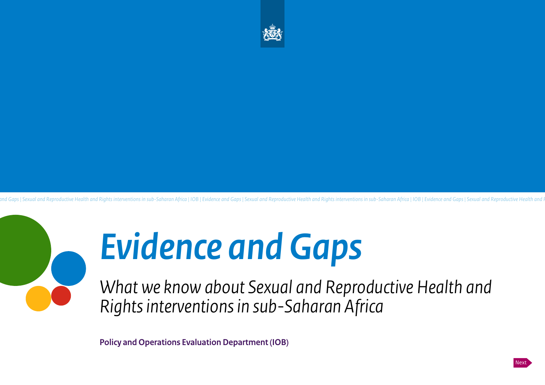

and Gaps | Sexual and Reproductive Health and Rights interventions in sub-Saharan Africa | IOB | Evidence and Gaps | Sexual and Reproductive Health and Rights interventions in sub-Saharan Africa | IOB | Evidence and Gaps |

# *Evidence and Gaps*

*What we know about Sexual and Reproductive Health and Rights interventions in sub-Saharan Africa*

**Policy and Operations Evaluation Department (IOB)**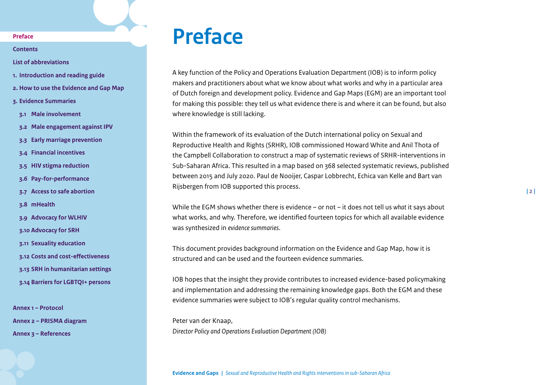<span id="page-1-1"></span>**[Contents](#page-2-0)**

**[List of abbreviations](#page-3-0)**

- **1. [Introduction and reading guide](#page-4-0)**
- **2. [How to use the Evidence and Gap Map](#page-7-0)**
- **3. [Evidence Summaries](#page-10-0)**
- **3.1 [Male involvement](#page-11-0)**
- **3.2 [Male engagement against IPV](#page-15-0)**
- **3.3 [Early marriage prevention](#page-19-0)**
- **3.4 [Financial incentives](#page-23-0)**
- **3.5 [HIV stigma reduction](#page-30-0)**
- **3.6 [Pay-for-performance](#page-33-0)**
- **3.7 [Access to safe abortion](#page-38-0)**
- **3.8 [mHealth](#page-42-0)**
- **3.9 [Advocacy for WLHIV](#page-46-0)**
- **3.10 [Advocacy for SRH](#page-49-0)**
- **3.11 [Sexuality education](#page-53-0)**
- **3.12 [Costs and cost-effectiveness](#page-58-0)**
- **3.13 [SRH in humanitarian settings](#page-62-0)**
- **3.14 [Barriers for LGBTQI+ persons](#page-67-0)**

**[Annex 1 – Protocol](#page-71-0) [Annex 2 – PRISMA diagram](#page-85-0)  [Annex 3 – References](#page-86-0)**

## <span id="page-1-0"></span>**Preface**

A key function of the Policy and Operations Evaluation Department (IOB) is to inform policy makers and practitioners about what we know about what works and why in a particular area of Dutch foreign and development policy. Evidence and Gap Maps (EGM) are an important tool for making this possible: they tell us what evidence there is and where it can be found, but also where knowledge is still lacking.

Within the framework of its evaluation of the Dutch international policy on Sexual and Reproductive Health and Rights (SRHR), IOB commissioned Howard White and Anil Thota of the Campbell Collaboration to construct a map of systematic reviews of SRHR-interventions in Sub-Saharan Africa. This resulted in a map based on 368 selected systematic reviews, published between 2015 and July 2020. Paul de Nooijer, Caspar Lobbrecht, Echica van Kelle and Bart van Rijsbergen from IOB supported this process.

While the EGM shows whether there is evidence – or not – it does not tell us *what* it says about what works, and why. Therefore, we identified fourteen topics for which all available evidence was synthesized in *evidence summaries*.

This document provides background information on the Evidence and Gap Map, how it is structured and can be used and the fourteen evidence summaries.

IOB hopes that the insight they provide contributes to increased evidence-based policymaking and implementation and addressing the remaining knowledge gaps. Both the EGM and these evidence summaries were subject to IOB's regular quality control mechanisms.

Peter van der Knaap, *Director Policy and Operations Evaluation Department (IOB)*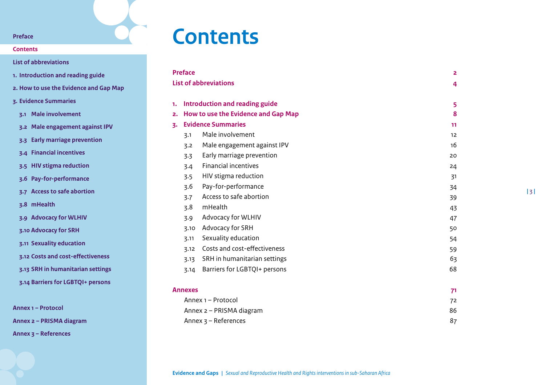### **[Contents](#page-2-0)**

**[List of abbreviations](#page-3-0)**

- **1. [Introduction and reading guide](#page-4-0)**
- **2. [How to use the Evidence and Gap Map](#page-7-0)**
- **3. [Evidence Summaries](#page-10-0)**
- **3.1 [Male involvement](#page-11-0)**
- **3.2 [Male engagement against IPV](#page-15-0)**
- **3.3 [Early marriage prevention](#page-19-0)**
- **3.4 [Financial incentives](#page-23-0)**
- **3.5 [HIV stigma reduction](#page-30-0)**
- **3.6 [Pay-for-performance](#page-33-0)**
- **3.7 [Access to safe abortion](#page-38-0)**
- **3.8 [mHealth](#page-42-0)**
- **3.9 [Advocacy for WLHIV](#page-46-0)**
- **3.10 [Advocacy for SRH](#page-49-0)**
- **3.11 [Sexuality education](#page-53-0)**
- **3.12 [Costs and cost-effectiveness](#page-58-0)**
- **3.13 [SRH in humanitarian settings](#page-62-0)**
- **3.14 [Barriers for LGBTQI+ persons](#page-67-0)**

**[Annex 1 – Protocol](#page-71-0)**

**[Annex 2 – PRISMA diagram](#page-85-0)** 

**[Annex 3 – References](#page-86-0)**

## <span id="page-2-0"></span>**Contents**

| <b>Preface</b> |                                 |                                          |                   |  |  |  |
|----------------|---------------------------------|------------------------------------------|-------------------|--|--|--|
|                |                                 | <b>List of abbreviations</b>             | 4                 |  |  |  |
|                |                                 |                                          |                   |  |  |  |
| 1.             |                                 | Introduction and reading guide<br>5<br>8 |                   |  |  |  |
|                |                                 | 2. How to use the Evidence and Gap Map   |                   |  |  |  |
|                | <b>Evidence Summaries</b><br>3. |                                          |                   |  |  |  |
|                | 3.1                             | Male involvement                         | $12 \overline{ }$ |  |  |  |
|                | 3.2                             | Male engagement against IPV              | 16                |  |  |  |
|                | 3.3                             | Early marriage prevention                | 20                |  |  |  |
|                | 3.4                             | <b>Financial incentives</b>              | 24                |  |  |  |
|                | 3.5                             | HIV stigma reduction                     | 31                |  |  |  |
|                | 3.6                             | Pay-for-performance                      | 34                |  |  |  |
|                | 3.7                             | Access to safe abortion                  | 39                |  |  |  |
|                | 3.8                             | mHealth                                  | 43                |  |  |  |
|                | 3.9                             | Advocacy for WLHIV                       | 47                |  |  |  |
|                | 3.10                            | Advocacy for SRH                         | 50                |  |  |  |
|                | 3.11                            | Sexuality education                      | 54                |  |  |  |
|                | 3.12                            | Costs and cost-effectiveness             | 59                |  |  |  |
|                | 3.13                            | SRH in humanitarian settings             | 63                |  |  |  |
|                |                                 | 3.14 Barriers for LGBTQI+ persons        | 68                |  |  |  |
|                |                                 |                                          |                   |  |  |  |
| Annexes        |                                 |                                          |                   |  |  |  |
|                |                                 | 71<br>Annex 1 - Protocol<br>72<br>86     |                   |  |  |  |
|                | Annex 2 - PRISMA diagram        |                                          |                   |  |  |  |
|                |                                 | Annex $3 -$ References                   | 87                |  |  |  |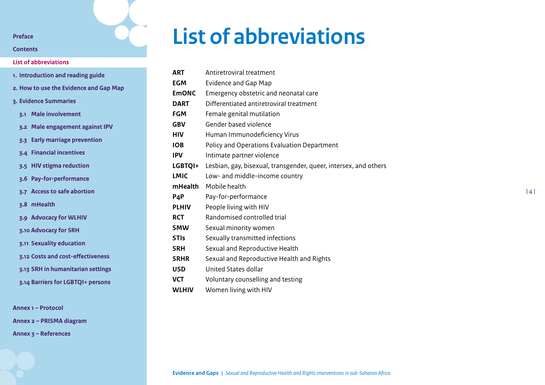## <span id="page-3-1"></span>**[Contents](#page-2-0)**

## **[List of abbreviations](#page-3-0)**

| 1. Introduction and reading guide      |                                   |  |  |  |  |
|----------------------------------------|-----------------------------------|--|--|--|--|
| 2. How to use the Evidence and Gap Map |                                   |  |  |  |  |
| 3. Evidence Summaries                  |                                   |  |  |  |  |
|                                        | 3.1 Male involvement              |  |  |  |  |
|                                        | 3.2 Male engagement against IPV   |  |  |  |  |
|                                        | 3.3 Early marriage prevention     |  |  |  |  |
|                                        | 3.4 Financial incentives          |  |  |  |  |
|                                        | 3.5 HIV stigma reduction          |  |  |  |  |
|                                        | 3.6 Pay-for-performance           |  |  |  |  |
|                                        | 3.7 Access to safe abortion       |  |  |  |  |
|                                        | z.8 mHealth                       |  |  |  |  |
|                                        | 3.9 Advocacy for WLHIV            |  |  |  |  |
|                                        | 3.10 Advocacy for SRH             |  |  |  |  |
|                                        | 3.11 Sexuality education          |  |  |  |  |
|                                        | 3.12 Costs and cost-effectiveness |  |  |  |  |
|                                        | 3.13 SRH in humanitarian settings |  |  |  |  |
|                                        | 3.14 Barriers for LGBTQI+ persons |  |  |  |  |
|                                        |                                   |  |  |  |  |

**[Annex 1 – Protocol](#page-71-0)**

**[Annex 2 – PRISMA diagram](#page-85-0)** 

**[Annex 3 – References](#page-86-0)**

## <span id="page-3-0"></span>**List of abbreviations**

| <b>ART</b>   | Antiretroviral treatment                                         |
|--------------|------------------------------------------------------------------|
| <b>EGM</b>   | <b>Evidence and Gap Map</b>                                      |
| <b>EmONC</b> | Emergency obstetric and neonatal care                            |
| <b>DART</b>  | Differentiated antiretroviral treatment                          |
| <b>FGM</b>   | Female genital mutilation                                        |
| <b>GBV</b>   | Gender based violence                                            |
| <b>HIV</b>   | Human Immunodeficiency Virus                                     |
| <b>IOB</b>   | Policy and Operations Evaluation Department                      |
| <b>IPV</b>   | Intimate partner violence                                        |
| LGBTQI+      | Lesbian, gay, bisexual, transgender, queer, intersex, and others |
| <b>LMIC</b>  | Low- and middle-income country                                   |
| mHealth      | Mobile health                                                    |
| P4P          | Pay-for-performance                                              |
| <b>PLHIV</b> | People living with HIV                                           |
| <b>RCT</b>   | Randomised controlled trial                                      |
| <b>SMW</b>   | Sexual minority women                                            |
| <b>STIS</b>  | Sexually transmitted infections                                  |
| <b>SRH</b>   | Sexual and Reproductive Health                                   |
| <b>SRHR</b>  | Sexual and Reproductive Health and Rights                        |
| <b>USD</b>   | United States dollar                                             |
| <b>VCT</b>   | Voluntary counselling and testing                                |
|              |                                                                  |

**WLHIV** Women living with HIV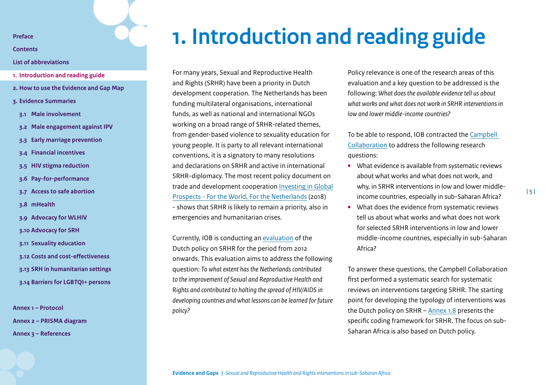<span id="page-4-1"></span>**[Contents](#page-2-0)**

## **[List of abbreviations](#page-3-0)**

- **1. [Introduction and reading guide](#page-4-0)**
- **2. [How to use the Evidence and Gap Map](#page-7-0)**
- **3. [Evidence Summaries](#page-10-0)**
- **3.1 [Male involvement](#page-11-0)**
- **3.2 [Male engagement against IPV](#page-15-0)**
- **3.3 [Early marriage prevention](#page-19-0)**
- **3.4 [Financial incentives](#page-23-0)**
- **3.5 [HIV stigma reduction](#page-30-0)**
- **3.6 [Pay-for-performance](#page-33-0)**
- **3.7 [Access to safe abortion](#page-38-0)**
- **3.8 [mHealth](#page-42-0)**
- **3.9 [Advocacy for WLHIV](#page-46-0)**
- **3.10 [Advocacy for SRH](#page-49-0)**
- **3.11 [Sexuality education](#page-53-0)**
- **3.12 [Costs and cost-effectiveness](#page-58-0)**
- **3.13 [SRH in humanitarian settings](#page-62-0)**
- **3.14 [Barriers for LGBTQI+ persons](#page-67-0)**

**[Annex 1 – Protocol](#page-71-0) [Annex 2 – PRISMA diagram](#page-85-0)  [Annex 3 – References](#page-86-0)**

## <span id="page-4-0"></span>**1. Introduction and reading guide**

For many years, Sexual and Reproductive Health and Rights (SRHR) have been a priority in Dutch development cooperation. The Netherlands has been funding multilateral organisations, international funds, as well as national and international NGOs working on a broad range of SRHR-related themes, from gender-based violence to sexuality education for young people. It is party to all relevant international conventions, it is a signatory to many resolutions and declarations on SRHR and active in international SRHR-diplomacy. The most recent policy document on trade and development cooperation [Investing in Global](https://www.government.nl/documents/policy-notes/2018/05/18/investing-in-global-prospects) [Prospects - For the World, For the Netherlands](https://www.government.nl/documents/policy-notes/2018/05/18/investing-in-global-prospects) (2018) - shows that SRHR is likely to remain a priority, also in emergencies and humanitarian crises.

Currently, IOB is conducting an [evaluation](https://english.iob-evaluatie.nl/publications/terms-of-reference/2020/03/19/evaluation-sexual-and-reproductive-health-and-right) of the Dutch policy on SRHR for the period from 2012 onwards. This evaluation aims to address the following question: *To what extent has the Netherlands contributed to the improvement of Sexual and Reproductive Health and Rights and contributed to halting the spread of HIV/AIDS in developing countries and what lessons can be learned for future policy?*

Policy relevance is one of the research areas of this evaluation and a key question to be addressed is the following: *What does the available evidence tell us about what works and what does not work in SRHR interventions in low and lower middle-income countries?* 

To be able to respond, IOB contracted the [Campbell](https://www.campbellcollaboration.org/)  [Collaboration](https://www.campbellcollaboration.org/) to address the following research questions:

- **•** What evidence is available from systematic reviews about what works and what does not work, and why, in SRHR interventions in low and lower middleincome countries, especially in sub-Saharan Africa?
- **•** What does the evidence from systematic reviews tell us about what works and what does not work for selected SRHR interventions in low and lower middle-income countries, especially in sub-Saharan Africa?

To answer these questions, the Campbell Collaboration first performed a systematic search for systematic reviews on interventions targeting SRHR. The starting point for developing the typology of interventions was the Dutch policy on SRHR – [Annex 1.8](#page-80-0) presents the specific coding framework for SRHR. The focus on sub-Saharan Africa is also based on Dutch policy.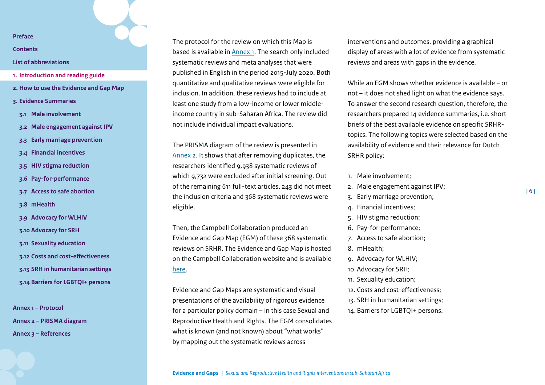**[Contents](#page-2-0)**

## **[List of abbreviations](#page-3-0)**

- **1. [Introduction and reading guide](#page-4-0)**
- **2. [How to use the Evidence and Gap Map](#page-7-0)**
- **3. [Evidence Summaries](#page-10-0)**
- **3.1 [Male involvement](#page-11-0)**
- **3.2 [Male engagement against IPV](#page-15-0)**
- **3.3 [Early marriage prevention](#page-19-0)**
- **3.4 [Financial incentives](#page-23-0)**
- **3.5 [HIV stigma reduction](#page-30-0)**
- **3.6 [Pay-for-performance](#page-33-0)**
- **3.7 [Access to safe abortion](#page-38-0)**
- **3.8 [mHealth](#page-42-0)**
- **3.9 [Advocacy for WLHIV](#page-46-0)**
- **3.10 [Advocacy for SRH](#page-49-0)**
- **3.11 [Sexuality education](#page-53-0)**
- **3.12 [Costs and cost-effectiveness](#page-58-0)**
- **3.13 [SRH in humanitarian settings](#page-62-0)**
- **3.14 [Barriers for LGBTQI+ persons](#page-67-0)**

**[Annex 1 – Protocol](#page-71-0) [Annex 2 – PRISMA diagram](#page-85-0)  [Annex 3 – References](#page-86-0)**

The protocol for the review on which this Map is based is available in [Annex 1.](#page-71-0) The search only included systematic reviews and meta analyses that were published in English in the period 2015-July 2020. Both quantitative and qualitative reviews were eligible for inclusion. In addition, these reviews had to include at least one study from a low-income or lower middleincome country in sub-Saharan Africa. The review did not include individual impact evaluations.

The PRISMA diagram of the review is presented in [Annex 2.](#page-85-0) It shows that after removing duplicates, the researchers identified 9,938 systematic reviews of which 9,732 were excluded after initial screening. Out of the remaining 611 full-text articles, 243 did not meet the inclusion criteria and 368 systematic reviews were eligible.

Then, the Campbell Collaboration produced an Evidence and Gap Map (EGM) of these 368 systematic reviews on SRHR. The Evidence and Gap Map is hosted on the Campbell Collaboration website and is available [here.](https://www.campbellcollaboration.org/SRHR%20map%20Dec2021.html)

Evidence and Gap Maps are systematic and visual presentations of the availability of rigorous evidence for a particular policy domain – in this case Sexual and Reproductive Health and Rights. The EGM consolidates what is known (and not known) about "what works" by mapping out the systematic reviews across

interventions and outcomes, providing a graphical display of areas with a lot of evidence from systematic reviews and areas with gaps in the evidence.

While an EGM shows whether evidence is available – or not – it does not shed light on what the evidence says. To answer the second research question, therefore, the researchers prepared 14 evidence summaries, i.e. short briefs of the best available evidence on specific SRHRtopics. The following topics were selected based on the availability of evidence and their relevance for Dutch SRHR policy:

- 1. Male involvement;
- 2. Male engagement against IPV;
- 3. Early marriage prevention;
- 4. Financial incentives;
- 5. HIV stigma reduction;
- 6. Pay-for-performance;
- 7. Access to safe abortion;
- 8. mHealth;
- 9. Advocacy for WLHIV;
- 10. Advocacy for SRH;
- 11. Sexuality education;
- 12. Costs and cost-effectiveness;
- 13. SRH in humanitarian settings;
- 14. Barriers for LGBTQI+ persons.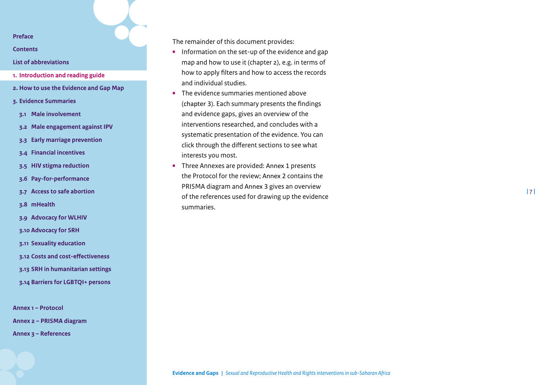**[Contents](#page-2-0)**

## **[List of abbreviations](#page-3-0)**

- **1. [Introduction and reading guide](#page-4-0)**
- **2. [How to use the Evidence and Gap Map](#page-7-0)**
- **3. [Evidence Summaries](#page-10-0)**
- **3.1 [Male involvement](#page-11-0)**
- **3.2 [Male engagement against IPV](#page-15-0)**
- **3.3 [Early marriage prevention](#page-19-0)**
- **3.4 [Financial incentives](#page-23-0)**
- **3.5 [HIV stigma reduction](#page-30-0)**
- **3.6 [Pay-for-performance](#page-33-0)**
- **3.7 [Access to safe abortion](#page-38-0)**
- **3.8 [mHealth](#page-42-0)**
- **3.9 [Advocacy for WLHIV](#page-46-0)**
- **3.10 [Advocacy for SRH](#page-49-0)**
- **3.11 [Sexuality education](#page-53-0)**
- **3.12 [Costs and cost-effectiveness](#page-58-0)**
- **3.13 [SRH in humanitarian settings](#page-62-0)**
- **3.14 [Barriers for LGBTQI+ persons](#page-67-0)**

**[Annex 1 – Protocol](#page-71-0) [Annex 2 – PRISMA diagram](#page-85-0)  [Annex 3 – References](#page-86-0)**

The remainder of this document provides:

- **•** Information on the set-up of the evidence and gap map and how to use it (chapter 2), e.g. in terms of how to apply filters and how to access the records and individual studies.
- **•** The evidence summaries mentioned above (chapter 3). Each summary presents the findings and evidence gaps, gives an overview of the interventions researched, and concludes with a systematic presentation of the evidence. You can click through the different sections to see what interests you most.
- **•** Three Annexes are provided: Annex 1 presents the Protocol for the review; Annex 2 contains the PRISMA diagram and Annex 3 gives an overview of the references used for drawing up the evidence summaries.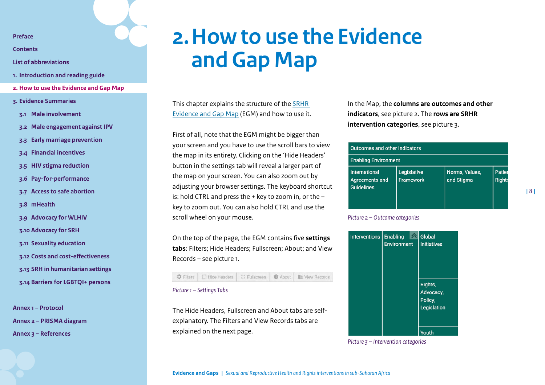<span id="page-7-1"></span>**[Contents](#page-2-0)**

**[List of abbreviations](#page-3-0)**

- **1. [Introduction and reading guide](#page-4-0)**
- **2. [How to use the Evidence and Gap Map](#page-7-0)**
- **3. [Evidence Summaries](#page-10-0)**
- **3.1 [Male involvement](#page-11-0)**
- **3.2 [Male engagement against IPV](#page-15-0)**
- **3.3 [Early marriage prevention](#page-19-0)**
- **3.4 [Financial incentives](#page-23-0)**
- **3.5 [HIV stigma reduction](#page-30-0)**
- **3.6 [Pay-for-performance](#page-33-0)**
- **3.7 [Access to safe abortion](#page-38-0)**
- **3.8 [mHealth](#page-42-0)**
- **3.9 [Advocacy for WLHIV](#page-46-0)**
- **3.10 [Advocacy for SRH](#page-49-0)**
- **3.11 [Sexuality education](#page-53-0)**
- **3.12 [Costs and cost-effectiveness](#page-58-0)**
- **3.13 [SRH in humanitarian settings](#page-62-0)**
- **3.14 [Barriers for LGBTQI+ persons](#page-67-0)**

**[Annex 1 – Protocol](#page-71-0) [Annex 2 – PRISMA diagram](#page-85-0)  [Annex 3 – References](#page-86-0)**

## <span id="page-7-0"></span>**2.How to use the Evidence and Gap Map**

This chapter explains the structure of the [SRHR](https://www.campbellcollaboration.org/SRHR%20map%20Dec2021.html)  [Evidence and Gap Map](https://www.campbellcollaboration.org/SRHR%20map%20Dec2021.html) (EGM) and how to use it.

First of all, note that the EGM might be bigger than your screen and you have to use the scroll bars to view the map in its entirety. Clicking on the 'Hide Headers' button in the settings tab will reveal a larger part of the map on your screen. You can also zoom out by adjusting your browser settings. The keyboard shortcut is: hold CTRL and press the  $+$  key to zoom in, or the  $$ key to zoom out. You can also hold CTRL and use the scroll wheel on your mouse.

On the top of the page, the EGM contains five **settings tabs**: Filters; Hide Headers; Fullscreen; About; and View Records – see picture 1.

#### **C** Filters | Fi Hide Headers | C Fullscreen About **IF** View Records

#### *Picture 1 – Settings Tabs*

The Hide Headers, Fullscreen and About tabs are selfexplanatory. The Filters and View Records tabs are explained on the next page.

In the Map, the **columns are outcomes and other indicators**, see picture 2. The **rows are SRHR intervention categories**, see picture 3.

| Outcomes and other indicators                        |                          |                              |                         |  |  |  |
|------------------------------------------------------|--------------------------|------------------------------|-------------------------|--|--|--|
| <b>Enabling Environment</b>                          |                          |                              |                         |  |  |  |
| International<br>Agreements and<br><b>Guidelines</b> | Legislative<br>Framework | Norms, Values,<br>and Stigma | Patier<br><b>Rights</b> |  |  |  |

## *Picture 2 – Outcome categories*



*Picture 3 – Intervention categories*

**Evidence and Gaps |** *Sexual and Reproductive Health and Rights interventions in sub-Saharan Africa*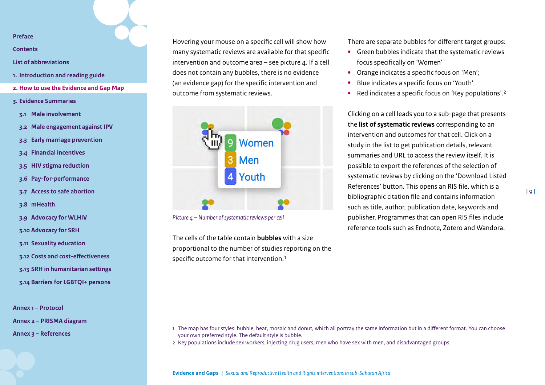**[Contents](#page-2-0)**

### **[List of abbreviations](#page-3-0)**

- **1. [Introduction and reading guide](#page-4-0)**
- **2. [How to use the Evidence and Gap Map](#page-7-0)**
- **3. [Evidence Summaries](#page-10-0)**
- **3.1 [Male involvement](#page-11-0)**
- **3.2 [Male engagement against IPV](#page-15-0)**
- **3.3 [Early marriage prevention](#page-19-0)**
- **3.4 [Financial incentives](#page-23-0)**
- **3.5 [HIV stigma reduction](#page-30-0)**
- **3.6 [Pay-for-performance](#page-33-0)**
- **3.7 [Access to safe abortion](#page-38-0)**
- **3.8 [mHealth](#page-42-0)**
- **3.9 [Advocacy for WLHIV](#page-46-0)**
- **3.10 [Advocacy for SRH](#page-49-0)**
- **3.11 [Sexuality education](#page-53-0)**
- **3.12 [Costs and cost-effectiveness](#page-58-0)**
- **3.13 [SRH in humanitarian settings](#page-62-0)**
- **3.14 [Barriers for LGBTQI+ persons](#page-67-0)**

**[Annex 1 – Protocol](#page-71-0)**

**[Annex 2 – PRISMA diagram](#page-85-0)** 

**[Annex 3 – References](#page-86-0)**

Hovering your mouse on a specific cell will show how many systematic reviews are available for that specific intervention and outcome area  $-$  see picture  $a$ . If a cell does not contain any bubbles, there is no evidence (an evidence gap) for the specific intervention and outcome from systematic reviews.



*Picture 4 – Number of systematic reviews per cell*

The cells of the table contain **bubbles** with a size proportional to the number of studies reporting on the specific outcome for that intervention.<sup>1</sup>

There are separate bubbles for different target groups:

- **•** Green bubbles indicate that the systematic reviews focus specifically on 'Women'
- **•** Orange indicates a specific focus on 'Men';
- **•** Blue indicates a specific focus on 'Youth'
- **•** Red indicates a specific focus on 'Key populations'.2

Clicking on a cell leads you to a sub-page that presents the **list of systematic reviews** corresponding to an intervention and outcomes for that cell. Click on a study in the list to get publication details, relevant summaries and URL to access the review itself. It is possible to export the references of the selection of systematic reviews by clicking on the 'Download Listed References' button. This opens an RIS file, which is a bibliographic citation file and contains information such as title, author, publication date, keywords and publisher. Programmes that can open RIS files include reference tools such as Endnote, Zotero and Wandora.

<sup>1</sup> The map has four styles: bubble, heat, mosaic and donut, which all portray the same information but in a different format. You can choose your own preferred style. The default style is bubble.

<sup>2</sup> Key populations include sex workers, injecting drug users, men who have sex with men, and disadvantaged groups.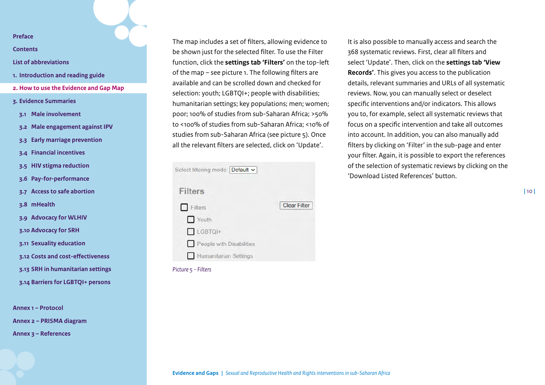**[Contents](#page-2-0)**

## **[List of abbreviations](#page-3-0)**

- **1. [Introduction and reading guide](#page-4-0)**
- **2. [How to use the Evidence and Gap Map](#page-7-0)**
- **3. [Evidence Summaries](#page-10-0)**
- **3.1 [Male involvement](#page-11-0)**
- **3.2 [Male engagement against IPV](#page-15-0)**
- **3.3 [Early marriage prevention](#page-19-0)**
- **3.4 [Financial incentives](#page-23-0)**
- **3.5 [HIV stigma reduction](#page-30-0)**
- **3.6 [Pay-for-performance](#page-33-0)**

**3.7 [Access to safe abortion](#page-38-0)**

- **3.8 [mHealth](#page-42-0)**
- **3.9 [Advocacy for WLHIV](#page-46-0)**
- **3.10 [Advocacy for SRH](#page-49-0)**
- **3.11 [Sexuality education](#page-53-0)**
- **3.12 [Costs and cost-effectiveness](#page-58-0)**
- **3.13 [SRH in humanitarian settings](#page-62-0)**
- **3.14 [Barriers for LGBTQI+ persons](#page-67-0)**

**[Annex 1 – Protocol](#page-71-0)**

**[Annex 2 – PRISMA diagram](#page-85-0)** 

**[Annex 3 – References](#page-86-0)**

The map includes a set of filters, allowing evidence to be shown just for the selected filter. To use the Filter function, click the **settings tab 'Filters'** on the top-left of the map – see picture 1. The following filters are available and can be scrolled down and checked for selection: youth; LGBTQI+; people with disabilities; humanitarian settings; key populations; men; women; poor; 100% of studies from sub-Saharan Africa; >50% to <100% of studies from sub-Saharan Africa; <10% of studies from sub-Saharan Africa (see picture 5). Once all the relevant filters are selected, click on 'Update'.

| Select filtering mode: Default v |                     |
|----------------------------------|---------------------|
| <b>Filters</b>                   |                     |
| Filters                          | <b>Clear Filter</b> |
| Youth                            |                     |
| $L$ GBTQI+                       |                     |
| People with Disabilities         |                     |
| Humanitarian Settings            |                     |
|                                  |                     |

## *Picture 5 - Filters*

It is also possible to manually access and search the 368 systematic reviews. First, clear all filters and select 'Update'. Then, click on the **settings tab 'View Records'**. This gives you access to the publication details, relevant summaries and URLs of all systematic reviews. Now, you can manually select or deselect specific interventions and/or indicators. This allows you to, for example, select all systematic reviews that focus on a specific intervention and take all outcomes into account. In addition, you can also manually add filters by clicking on 'Filter' in the sub-page and enter your filter. Again, it is possible to export the references of the selection of systematic reviews by clicking on the 'Download Listed References' button.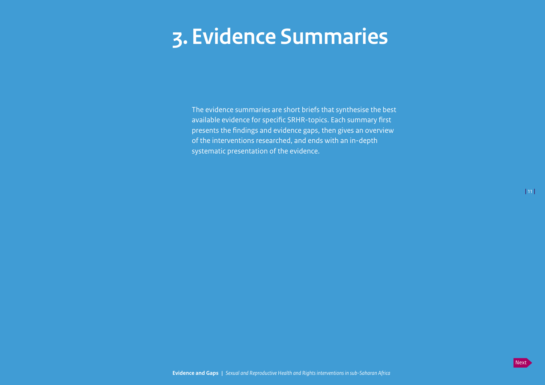## <span id="page-10-1"></span><span id="page-10-0"></span>**3. Evidence Summaries**

The evidence summaries are short briefs that synthesise the best available evidence for specific SRHR-topics. Each summary first presents the findings and evidence gaps, then gives an overview of the interventions researched, and ends with an in-depth systematic presentation of the evidence.

**|** 11 **|**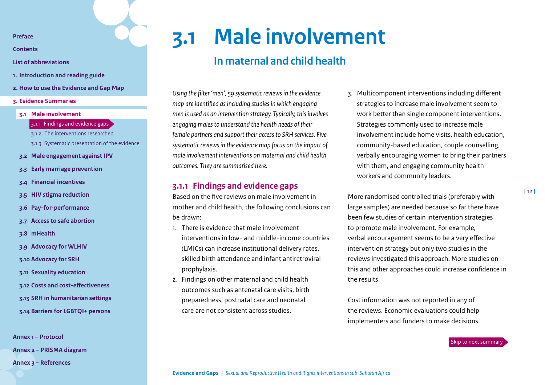<span id="page-11-1"></span>**[Contents](#page-2-0)**

- **[List of abbreviations](#page-3-0)**
- **1. [Introduction and reading guide](#page-4-0)**
- **2. [How to use the Evidence and Gap Map](#page-7-0)**
- **3. [Evidence Summaries](#page-10-0)**
- **3.1 [Male involvement](#page-11-0)**
	- 3.1.1 [Findings and evidence gaps](#page-11-2)
	- 3.1.2 [The interventions researched](#page-12-0)
	- [3.1.3 Systematic presentation of the evidence](#page-13-0)
- **3.2 [Male engagement against IPV](#page-15-0)**
- **3.3 [Early marriage prevention](#page-19-0)**
- **3.4 [Financial incentives](#page-23-0)**
- **3.5 [HIV stigma reduction](#page-30-0)**
- **3.6 [Pay-for-performance](#page-33-0)**
- **3.7 [Access to safe abortion](#page-38-0)**
- **3.8 [mHealth](#page-42-0)**
- **3.9 [Advocacy for WLHIV](#page-46-0)**
- **3.10 [Advocacy for SRH](#page-49-0)**
- **3.11 [Sexuality education](#page-53-0)**
- **3.12 [Costs and cost-effectiveness](#page-58-0)**
- **3.13 [SRH in humanitarian settings](#page-62-0)**
- **3.14 [Barriers for LGBTQI+ persons](#page-67-0)**

**[Annex 1 – Protocol](#page-71-0) [Annex 2 – PRISMA diagram](#page-85-0)  [Annex 3 – References](#page-86-0)**

## **3.1 Male involvement**

## <span id="page-11-0"></span>**In maternal and child health**

*Using the filter 'men', 59 systematic reviews in the evidence map are identified as including studies in which engaging men is used as an intervention strategy. Typically, this involves engaging males to understand the health needs of their female partners and support their access to SRH services. Five systematic reviews in the evidence map focus on the impact of male involvement interventions on maternal and child health outcomes. They are summarised here.*

## <span id="page-11-2"></span>**3.1.1 Findings and evidence gaps**

Based on the five reviews on male involvement in mother and child health, the following conclusions can be drawn:

- 1. There is evidence that male involvement interventions in low- and middle-income countries (LMICs) can increase institutional delivery rates, skilled birth attendance and infant antiretroviral prophylaxis.
- 2. Findings on other maternal and child health outcomes such as antenatal care visits, birth preparedness, postnatal care and neonatal care are not consistent across studies.

3. Multicomponent interventions including different strategies to increase male involvement seem to work better than single component interventions. Strategies commonly used to increase male involvement include home visits, health education, community-based education, couple counselling, verbally encouraging women to bring their partners with them, and engaging community health workers and community leaders.

More randomised controlled trials (preferably with large samples) are needed because so far there have been few studies of certain intervention strategies to promote male involvement. For example, verbal encouragement seems to be a very effective intervention strategy but only two studies in the reviews investigated this approach. More studies on this and other approaches could increase confidence in the results.

Cost information was not reported in any of the reviews. Economic evaluations could help implementers and funders to make decisions.

### [Skip to next summary](#page-15-0)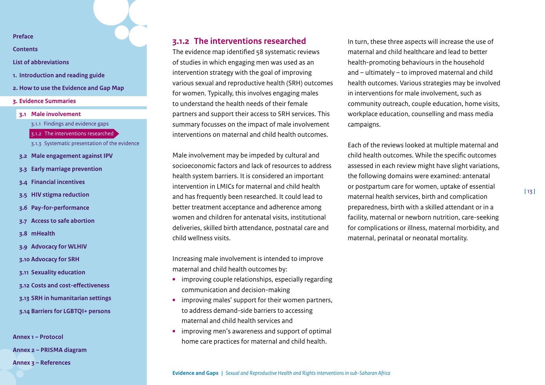**[Contents](#page-2-0)**

- **[List of abbreviations](#page-3-0)**
- **1. [Introduction and reading guide](#page-4-0)**
- **2. [How to use the Evidence and Gap Map](#page-7-0)**
- **3. [Evidence Summaries](#page-10-0)**
- **3.1 [Male involvement](#page-11-0)**
	- 3.1.1 [Findings and evidence gaps](#page-11-2)
	- 3.1.2 [The interventions researched](#page-12-0)
	- [3.1.3 Systematic presentation of the evidence](#page-13-0)
- **3.2 [Male engagement against IPV](#page-15-0)**
- **3.3 [Early marriage prevention](#page-19-0)**
- **3.4 [Financial incentives](#page-23-0)**
- **3.5 [HIV stigma reduction](#page-30-0)**
- **3.6 [Pay-for-performance](#page-33-0)**
- **3.7 [Access to safe abortion](#page-38-0)**
- **3.8 [mHealth](#page-42-0)**
- **3.9 [Advocacy for WLHIV](#page-46-0)**
- **3.10 [Advocacy for SRH](#page-49-0)**
- **3.11 [Sexuality education](#page-53-0)**
- **3.12 [Costs and cost-effectiveness](#page-58-0)**
- **3.13 [SRH in humanitarian settings](#page-62-0)**
- **3.14 [Barriers for LGBTQI+ persons](#page-67-0)**

**[Annex 1 – Protocol](#page-71-0) [Annex 2 – PRISMA diagram](#page-85-0)** 

**[Annex 3 – References](#page-86-0)**

## <span id="page-12-0"></span>**3.1.2 The interventions researched**

The evidence map identified 58 systematic reviews of studies in which engaging men was used as an intervention strategy with the goal of improving various sexual and reproductive health (SRH) outcomes for women. Typically, this involves engaging males to understand the health needs of their female partners and support their access to SRH services. This summary focusses on the impact of male involvement interventions on maternal and child health outcomes.

Male involvement may be impeded by cultural and socioeconomic factors and lack of resources to address health system barriers. It is considered an important intervention in LMICs for maternal and child health and has frequently been researched. It could lead to better treatment acceptance and adherence among women and children for antenatal visits, institutional deliveries, skilled birth attendance, postnatal care and child wellness visits.

Increasing male involvement is intended to improve maternal and child health outcomes by:

- **•** improving couple relationships, especially regarding communication and decision-making
- **•** improving males' support for their women partners, to address demand-side barriers to accessing maternal and child health services and
- **•** improving men's awareness and support of optimal home care practices for maternal and child health.

In turn, these three aspects will increase the use of maternal and child healthcare and lead to better health-promoting behaviours in the household and – ultimately – to improved maternal and child health outcomes. Various strategies may be involved in interventions for male involvement, such as community outreach, couple education, home visits, workplace education, counselling and mass media campaigns.

Each of the reviews looked at multiple maternal and child health outcomes. While the specific outcomes assessed in each review might have slight variations, the following domains were examined: antenatal or postpartum care for women, uptake of essential maternal health services, birth and complication preparedness, birth with a skilled attendant or in a facility, maternal or newborn nutrition, care-seeking for complications or illness, maternal morbidity, and maternal, perinatal or neonatal mortality.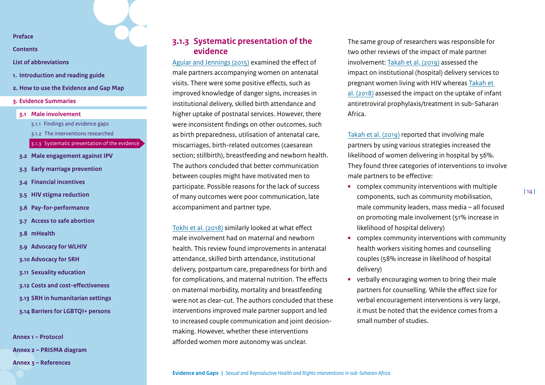**[Contents](#page-2-0)**

- **[List of abbreviations](#page-3-0)**
- **1. [Introduction and reading guide](#page-4-0)**
- **2. [How to use the Evidence and Gap Map](#page-7-0)**
- **3. [Evidence Summaries](#page-10-0)**
- **3.1 [Male involvement](#page-11-0)**
	- 3.1.1 [Findings and evidence gaps](#page-11-2)
	- 3.1.2 [The interventions researched](#page-12-0)
	- [3.1.3 Systematic presentation of the evidence](#page-13-0)
- **3.2 [Male engagement against IPV](#page-15-0)**
- **3.3 [Early marriage prevention](#page-19-0)**
- **3.4 [Financial incentives](#page-23-0)**
- **3.5 [HIV stigma reduction](#page-30-0)**
- **3.6 [Pay-for-performance](#page-33-0)**
- **3.7 [Access to safe abortion](#page-38-0)**
- **3.8 [mHealth](#page-42-0)**
- **3.9 [Advocacy for WLHIV](#page-46-0)**
- **3.10 [Advocacy for SRH](#page-49-0)**
- **3.11 [Sexuality education](#page-53-0)**
- **3.12 [Costs and cost-effectiveness](#page-58-0)**
- **3.13 [SRH in humanitarian settings](#page-62-0)**
- **3.14 [Barriers for LGBTQI+ persons](#page-67-0)**

**[Annex 1 – Protocol](#page-71-0) [Annex 2 – PRISMA diagram](#page-85-0)  [Annex 3 – References](#page-86-0)**

## <span id="page-13-0"></span>**3.1.3 Systematic presentation of the evidence**

[Aguiar and Jennings \(2015\)](https://link.springer.com/article/10.1007%2Fs10995-015-1713-2) examined the effect of male partners accompanying women on antenatal visits. There were some positive effects, such as improved knowledge of danger signs, increases in institutional delivery, skilled birth attendance and higher uptake of postnatal services. However, there were inconsistent findings on other outcomes, such as birth preparedness, utilisation of antenatal care, miscarriages, birth-related outcomes (caesarean section; stillbirth), breastfeeding and newborn health. The authors concluded that better communication between couples might have motivated men to participate. Possible reasons for the lack of success of many outcomes were poor communication, late accompaniment and partner type.

[Tokhi et al. \(2018\)](https://journals.plos.org/plosone/article?id=10.1371/journal.pone.0191620) similarly looked at what effect male involvement had on maternal and newborn health. This review found improvements in antenatal attendance, skilled birth attendance, institutional delivery, postpartum care, preparedness for birth and for complications, and maternal nutrition. The effects on maternal morbidity, mortality and breastfeeding were not as clear-cut. The authors concluded that these interventions improved male partner support and led to increased couple communication and joint decisionmaking. However, whether these interventions afforded women more autonomy was unclear.

The same group of researchers was responsible for two other reviews of the impact of male partner involvement: [Takah et al. \(2019\)](https://link.springer.com/article/10.1007/s10995-018-2676-x) assessed the impact on institutional (hospital) delivery services to pregnant women living with HIV whereas [Takah et](https://bmcpublichealth.biomedcentral.com/articles/10.1186/s12889-018-5171-9)  [al. \(2018\)](https://bmcpublichealth.biomedcentral.com/articles/10.1186/s12889-018-5171-9) assessed the impact on the uptake of infant antiretroviral prophylaxis/treatment in sub-Saharan Africa.

[Takah et al. \(2019\)](https://link.springer.com/article/10.1007/s10995-018-2676-x) reported that involving male partners by using various strategies increased the likelihood of women delivering in hospital by 56%. They found three categories of interventions to involve male partners to be effective:

- **•** complex community interventions with multiple components, such as community mobilisation, male community leaders, mass media – all focused on promoting male involvement (51% increase in likelihood of hospital delivery)
- **•** complex community interventions with community health workers visiting homes and counselling couples (58% increase in likelihood of hospital delivery)
- **•** verbally encouraging women to bring their male partners for counselling. While the effect size for verbal encouragement interventions is very large, it must be noted that the evidence comes from a small number of studies.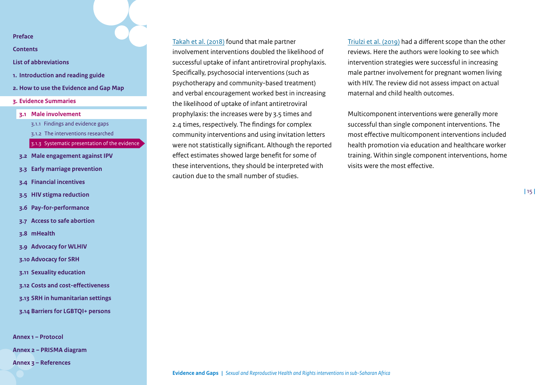**[Contents](#page-2-0)**

- **[List of abbreviations](#page-3-0)**
- **1. [Introduction and reading guide](#page-4-0)**
- **2. [How to use the Evidence and Gap Map](#page-7-0)**
- **3. [Evidence Summaries](#page-10-0)**
- **3.1 [Male involvement](#page-11-0)**
	- 3.1.1 [Findings and evidence gaps](#page-11-2)
	- 3.1.2 [The interventions researched](#page-12-0)
	- [3.1.3 Systematic presentation of the evidence](#page-13-0)
- **3.2 [Male engagement against IPV](#page-15-0)**
- **3.3 [Early marriage prevention](#page-19-0)**
- **3.4 [Financial incentives](#page-23-0)**
- **3.5 [HIV stigma reduction](#page-30-0)**
- **3.6 [Pay-for-performance](#page-33-0)**
- **3.7 [Access to safe abortion](#page-38-0)**
- **3.8 [mHealth](#page-42-0)**
- **3.9 [Advocacy for WLHIV](#page-46-0)**
- **3.10 [Advocacy for SRH](#page-49-0)**
- **3.11 [Sexuality education](#page-53-0)**
- **3.12 [Costs and cost-effectiveness](#page-58-0)**
- **3.13 [SRH in humanitarian settings](#page-62-0)**
- **3.14 [Barriers for LGBTQI+ persons](#page-67-0)**

**[Annex 1 – Protocol](#page-71-0)**

**[Annex 2 – PRISMA diagram](#page-85-0)** 

**[Annex 3 – References](#page-86-0)**

[Takah et al. \(2018\)](https://bmcpublichealth.biomedcentral.com/articles/10.1186/s12889-018-5171-9) found that male partner involvement interventions doubled the likelihood of successful uptake of infant antiretroviral prophylaxis. Specifically, psychosocial interventions (such as psychotherapy and community-based treatment) and verbal encouragement worked best in increasing the likelihood of uptake of infant antiretroviral prophylaxis: the increases were by 3.5 times and 2.4 times, respectively. The findings for complex community interventions and using invitation letters were not statistically significant. Although the reported effect estimates showed large benefit for some of these interventions, they should be interpreted with caution due to the small number of studies.

[Triulzi et al. \(2019\)](https://bmchealthservres.biomedcentral.com/articles/10.1186/s12913-019-4689-6) had a different scope than the other reviews. Here the authors were looking to see which intervention strategies were successful in increasing male partner involvement for pregnant women living with HIV. The review did not assess impact on actual maternal and child health outcomes.

Multicomponent interventions were generally more successful than single component interventions. The most effective multicomponent interventions included health promotion via education and healthcare worker training. Within single component interventions, home visits were the most effective.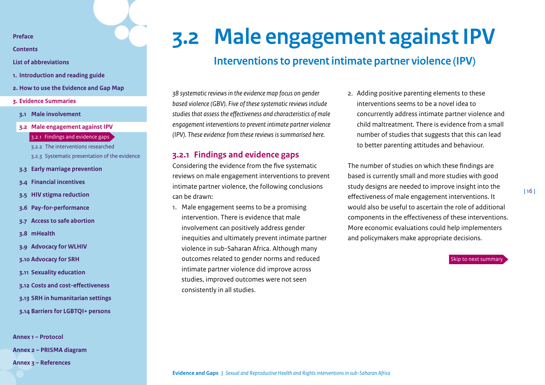<span id="page-15-1"></span>**[Contents](#page-2-0)**

- **[List of abbreviations](#page-3-0)**
- **1. [Introduction and reading guide](#page-4-0)**
- **2. [How to use the Evidence and Gap Map](#page-7-0)**
- **3. [Evidence Summaries](#page-10-0)**
- **3.1 [Male involvement](#page-11-0)**
- **3.2 [Male engagement against IPV](#page-15-0)**

3.2.1 [Findings and evidence gaps](#page-15-2)

- 3.2.2 [The interventions researched](#page-16-0)
- [3.2.3 Systematic presentation of the evidence](#page-17-0)
- **3.3 [Early marriage prevention](#page-19-0)**
- **3.4 [Financial incentives](#page-23-0)**
- **3.5 [HIV stigma reduction](#page-30-0)**
- **3.6 [Pay-for-performance](#page-33-0)**
- **3.7 [Access to safe abortion](#page-38-0)**
- **3.8 [mHealth](#page-42-0)**
- **3.9 [Advocacy for WLHIV](#page-46-0)**
- **3.10 [Advocacy for SRH](#page-49-0)**
- **3.11 [Sexuality education](#page-53-0)**
- **3.12 [Costs and cost-effectiveness](#page-58-0)**
- **3.13 [SRH in humanitarian settings](#page-62-0)**
- **3.14 [Barriers for LGBTQI+ persons](#page-67-0)**

**[Annex 1 – Protocol](#page-71-0) [Annex 2 – PRISMA diagram](#page-85-0)  [Annex 3 – References](#page-86-0)**

## **3.2 Male engagement against IPV**

## <span id="page-15-0"></span>**Interventions to prevent intimate partner violence (IPV)**

*38 systematic reviews in the evidence map focus on gender based violence (GBV). Five of these systematic reviews include studies that assess the effectiveness and characteristics of male engagement interventions to prevent intimate partner violence (IPV). These evidence from these reviews is summarised here.*

## <span id="page-15-2"></span>**3.2.1 Findings and evidence gaps**

Considering the evidence from the five systematic reviews on male engagement interventions to prevent intimate partner violence, the following conclusions can be drawn:

1. Male engagement seems to be a promising intervention. There is evidence that male involvement can positively address gender inequities and ultimately prevent intimate partner violence in sub-Saharan Africa. Although many outcomes related to gender norms and reduced intimate partner violence did improve across studies, improved outcomes were not seen consistently in all studies.

2. Adding positive parenting elements to these interventions seems to be a novel idea to concurrently address intimate partner violence and child maltreatment. There is evidence from a small number of studies that suggests that this can lead to better parenting attitudes and behaviour.

The number of studies on which these findings are based is currently small and more studies with good study designs are needed to improve insight into the effectiveness of male engagement interventions. It would also be useful to ascertain the role of additional components in the effectiveness of these interventions. More economic evaluations could help implementers and policymakers make appropriate decisions.

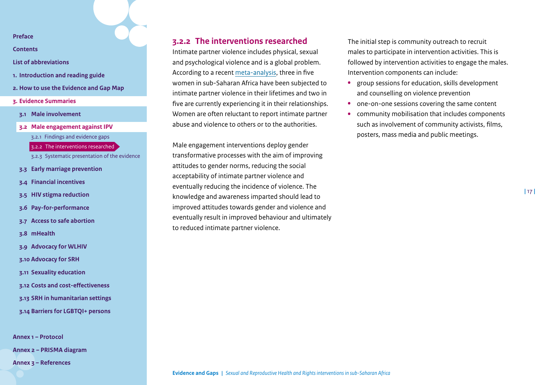**[Contents](#page-2-0)**

- **[List of abbreviations](#page-3-0)**
- **1. [Introduction and reading guide](#page-4-0)**
- **2. [How to use the Evidence and Gap Map](#page-7-0)**
- **3. [Evidence Summaries](#page-10-0)**
- **3.1 [Male involvement](#page-11-0)**
- **3.2 [Male engagement against IPV](#page-15-0)** 3.2.1 [Findings and evidence gaps](#page-15-2) 3.2.2 [The interventions researched](#page-16-0) [3.2.3 Systematic presentation of the evidence](#page-17-0) **3.3 [Early marriage prevention](#page-19-0)**
- 
- **3.4 [Financial incentives](#page-23-0)**
- **3.5 [HIV stigma reduction](#page-30-0)**
- **3.6 [Pay-for-performance](#page-33-0)**
- **3.7 [Access to safe abortion](#page-38-0)**
- **3.8 [mHealth](#page-42-0)**
- **3.9 [Advocacy for WLHIV](#page-46-0)**
- **3.10 [Advocacy for SRH](#page-49-0)**
- **3.11 [Sexuality education](#page-53-0)**
- **3.12 [Costs and cost-effectiveness](#page-58-0)**
- **3.13 [SRH in humanitarian settings](#page-62-0)**
- **3.14 [Barriers for LGBTQI+ persons](#page-67-0)**

**[Annex 1 – Protocol](#page-71-0) [Annex 2 – PRISMA diagram](#page-85-0)  [Annex 3 – References](#page-86-0)**

## <span id="page-16-0"></span>**3.2.2 The interventions researched**

Intimate partner violence includes physical, sexual and psychological violence and is a global problem. According to a recent [meta-analysis,](https://www.ncbi.nlm.nih.gov/pmc/articles/PMC6604322/) three in five women in sub-Saharan Africa have been subjected to intimate partner violence in their lifetimes and two in five are currently experiencing it in their relationships. Women are often reluctant to report intimate partner abuse and violence to others or to the authorities.

Male engagement interventions deploy gender transformative processes with the aim of improving attitudes to gender norms, reducing the social acceptability of intimate partner violence and eventually reducing the incidence of violence. The knowledge and awareness imparted should lead to improved attitudes towards gender and violence and eventually result in improved behaviour and ultimately to reduced intimate partner violence.

The initial step is community outreach to recruit males to participate in intervention activities. This is followed by intervention activities to engage the males. Intervention components can include:

- **•** group sessions for education, skills development and counselling on violence prevention
- **•** one-on-one sessions covering the same content
- **•** community mobilisation that includes components such as involvement of community activists, films, posters, mass media and public meetings.

**|** 17 **|**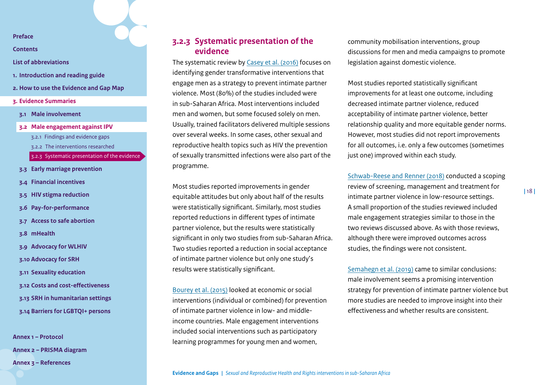**[Contents](#page-2-0)**

**[List of abbreviations](#page-3-0)**

- **1. [Introduction and reading guide](#page-4-0)**
- **2. [How to use the Evidence and Gap Map](#page-7-0)**
- **3. [Evidence Summaries](#page-10-0)**
- **3.1 [Male involvement](#page-11-0)**
- **3.2 [Male engagement against IPV](#page-15-0)** 3.2.1 [Findings and evidence gaps](#page-15-2) 3.2.2 [The interventions researched](#page-16-0) [3.2.3 Systematic presentation of the evidence](#page-17-0) **3.3 [Early marriage prevention](#page-19-0) 3.4 [Financial incentives](#page-23-0)**
- **3.5 [HIV stigma reduction](#page-30-0)**
- **3.6 [Pay-for-performance](#page-33-0)**
- **3.7 [Access to safe abortion](#page-38-0)**
- **3.8 [mHealth](#page-42-0)**
- **3.9 [Advocacy for WLHIV](#page-46-0)**
- **3.10 [Advocacy for SRH](#page-49-0)**
- **3.11 [Sexuality education](#page-53-0)**
- **3.12 [Costs and cost-effectiveness](#page-58-0)**
- **3.13 [SRH in humanitarian settings](#page-62-0)**
- **3.14 [Barriers for LGBTQI+ persons](#page-67-0)**

**[Annex 1 – Protocol](#page-71-0) [Annex 2 – PRISMA diagram](#page-85-0)  [Annex 3 – References](#page-86-0)**

## <span id="page-17-0"></span>**3.2.3 Systematic presentation of the evidence**

The systematic review by [Casey et al. \(2016\)](https://www.researchgate.net/publication/303397562_Gender_Transformative_Approaches_to_Engaging_Men_in_Gender-Based_Violence_Prevention_A_Review_and_Conceptual_Model) focuses on identifying gender transformative interventions that engage men as a strategy to prevent intimate partner violence. Most (80%) of the studies included were in sub-Saharan Africa. Most interventions included men and women, but some focused solely on men. Usually, trained facilitators delivered multiple sessions over several weeks. In some cases, other sexual and reproductive health topics such as HIV the prevention of sexually transmitted infections were also part of the programme.

Most studies reported improvements in gender equitable attitudes but only about half of the results were statistically significant. Similarly, most studies reported reductions in different types of intimate partner violence, but the results were statistically significant in only two studies from sub-Saharan Africa. Two studies reported a reduction in social acceptance of intimate partner violence but only one study's results were statistically significant.

[Bourey et al. \(2015\)](https://www.ncbi.nlm.nih.gov/pmc/articles/PMC4657265/pdf/12889_2015_Article_2460.pdf) looked at economic or social interventions (individual or combined) for prevention of intimate partner violence in low- and middleincome countries. Male engagement interventions included social interventions such as participatory learning programmes for young men and women,

community mobilisation interventions, group discussions for men and media campaigns to promote legislation against domestic violence.

Most studies reported statistically significant improvements for at least one outcome, including decreased intimate partner violence, reduced acceptability of intimate partner violence, better relationship quality and more equitable gender norms. However, most studies did not report improvements for all outcomes, i.e. only a few outcomes (sometimes just one) improved within each study.

[Schwab-Reese and Renner \(2018\)](https://journals.sagepub.com/doi/pdf/10.1177/1745506518766709) conducted a scoping review of screening, management and treatment for intimate partner violence in low-resource settings. A small proportion of the studies reviewed included male engagement strategies similar to those in the two reviews discussed above. As with those reviews, although there were improved outcomes across studies, the findings were not consistent.

[Semahegn et al. \(2019\)](https://www.ncbi.nlm.nih.gov/pmc/articles/PMC6604322/) came to similar conclusions: male involvement seems a promising intervention strategy for prevention of intimate partner violence but more studies are needed to improve insight into their effectiveness and whether results are consistent.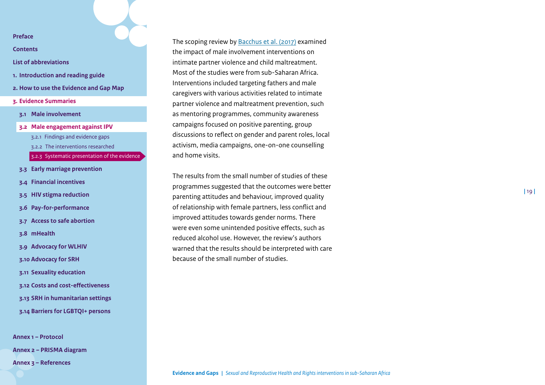**[Contents](#page-2-0)**

### **[List of abbreviations](#page-3-0)**

- **1. [Introduction and reading guide](#page-4-0)**
- **2. [How to use the Evidence and Gap Map](#page-7-0)**
- **3. [Evidence Summaries](#page-10-0)**
- **3.1 [Male involvement](#page-11-0)**
- **3.2 [Male engagement against IPV](#page-15-0)** 3.2.1 [Findings and evidence gaps](#page-15-2) 3.2.2 [The interventions researched](#page-16-0) [3.2.3 Systematic presentation of the evidence](#page-17-0) **3.3 [Early marriage prevention](#page-19-0)**
- **3.4 [Financial incentives](#page-23-0)**
- **3.5 [HIV stigma reduction](#page-30-0)**
- **3.6 [Pay-for-performance](#page-33-0)**
- **3.7 [Access to safe abortion](#page-38-0)**
- **3.8 [mHealth](#page-42-0)**
- **3.9 [Advocacy for WLHIV](#page-46-0)**
- **3.10 [Advocacy for SRH](#page-49-0)**
- **3.11 [Sexuality education](#page-53-0)**
- **3.12 [Costs and cost-effectiveness](#page-58-0)**
- **3.13 [SRH in humanitarian settings](#page-62-0)**
- **3.14 [Barriers for LGBTQI+ persons](#page-67-0)**

**[Annex 1 – Protocol](#page-71-0) [Annex 2 – PRISMA diagram](#page-85-0)  [Annex 3 – References](#page-86-0)**

The scoping review by [Bacchus et al. \(2017\)](https://www.tandfonline.com/doi/full/10.1080/13548506.2016.1274410) examined the impact of male involvement interventions on intimate partner violence and child maltreatment. Most of the studies were from sub-Saharan Africa. Interventions included targeting fathers and male caregivers with various activities related to intimate partner violence and maltreatment prevention, such as mentoring programmes, community awareness campaigns focused on positive parenting, group discussions to reflect on gender and parent roles, local activism, media campaigns, one-on-one counselling and home visits.

The results from the small number of studies of these programmes suggested that the outcomes were better parenting attitudes and behaviour, improved quality of relationship with female partners, less conflict and improved attitudes towards gender norms. There were even some unintended positive effects, such as reduced alcohol use. However, the review's authors warned that the results should be interpreted with care because of the small number of studies.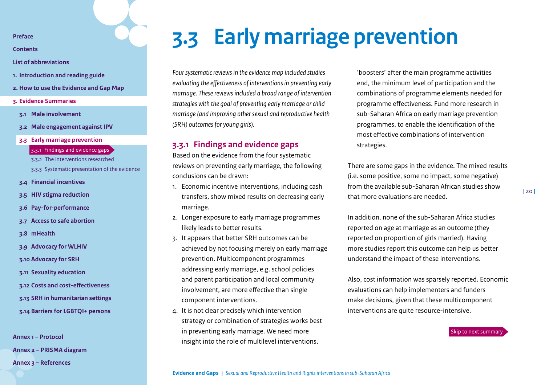<span id="page-19-1"></span>**[Contents](#page-2-0)**

- **[List of abbreviations](#page-3-0)**
- **1. [Introduction and reading guide](#page-4-0)**
- **2. [How to use the Evidence and Gap Map](#page-7-0)**
- **3. [Evidence Summaries](#page-10-0)**
- **3.1 [Male involvement](#page-11-0)**
- **3.2 [Male engagement against IPV](#page-15-0)**
- **3.3 [Early marriage prevention](#page-19-0)**
	- 3.3.1 [Findings and evidence gaps](#page-19-2)
	- 3.3.2 [The interventions researched](#page-20-0)
	- [3.3.3 Systematic presentation of the evidence](#page-21-0)
- **3.4 [Financial incentives](#page-23-0)**
- **3.5 [HIV stigma reduction](#page-30-0)**
- **3.6 [Pay-for-performance](#page-33-0)**
- **3.7 [Access to safe abortion](#page-38-0)**
- **3.8 [mHealth](#page-42-0)**
- **3.9 [Advocacy for WLHIV](#page-46-0)**
- **3.10 [Advocacy for SRH](#page-49-0)**
- **3.11 [Sexuality education](#page-53-0)**
- **3.12 [Costs and cost-effectiveness](#page-58-0)**
- **3.13 [SRH in humanitarian settings](#page-62-0)**
- **3.14 [Barriers for LGBTQI+ persons](#page-67-0)**

**[Annex 1 – Protocol](#page-71-0)**

**[Annex 2 – PRISMA diagram](#page-85-0)** 

**[Annex 3 – References](#page-86-0)**

## <span id="page-19-0"></span>**3.3 Early marriage prevention**

*Four systematic reviews in the evidence map included studies evaluating the effectiveness of interventions in preventing early marriage. These reviews included a broad range of intervention strategies with the goal of preventing early marriage or child marriage (and improving other sexual and reproductive health (SRH) outcomes for young girls).* 

## <span id="page-19-2"></span>**3.3.1 Findings and evidence gaps**

Based on the evidence from the four systematic reviews on preventing early marriage, the following conclusions can be drawn:

- 1. Economic incentive interventions, including cash transfers, show mixed results on decreasing early marriage.
- 2. Longer exposure to early marriage programmes likely leads to better results.
- 3. It appears that better SRH outcomes can be achieved by not focusing merely on early marriage prevention. Multicomponent programmes addressing early marriage, e.g. school policies and parent participation and local community involvement, are more effective than single component interventions.
- 4. It is not clear precisely which intervention strategy or combination of strategies works best in preventing early marriage. We need more insight into the role of multilevel interventions,

'boosters' after the main programme activities end, the minimum level of participation and the combinations of programme elements needed for programme effectiveness. Fund more research in sub-Saharan Africa on early marriage prevention programmes, to enable the identification of the most effective combinations of intervention strategies.

There are some gaps in the evidence. The mixed results (i.e. some positive, some no impact, some negative) from the available sub-Saharan African studies show that more evaluations are needed.

In addition, none of the sub-Saharan Africa studies reported on age at marriage as an outcome (they reported on proportion of girls married). Having more studies report this outcome can help us better understand the impact of these interventions.

Also, cost information was sparsely reported. Economic evaluations can help implementers and funders make decisions, given that these multicomponent interventions are quite resource-intensive.

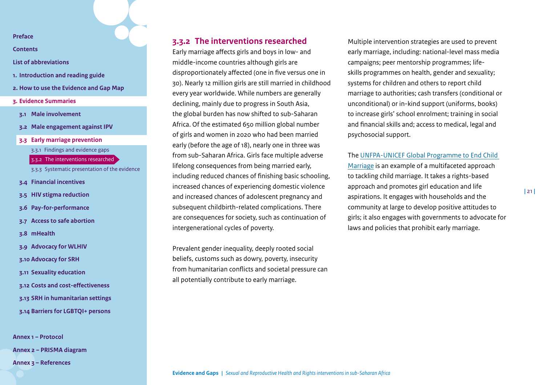**[Contents](#page-2-0)**

- **[List of abbreviations](#page-3-0)**
- **1. [Introduction and reading guide](#page-4-0)**
- **2. [How to use the Evidence and Gap Map](#page-7-0)**
- **3. [Evidence Summaries](#page-10-0)**
- **3.1 [Male involvement](#page-11-0)**
- **3.2 [Male engagement against IPV](#page-15-0)**
- **3.3 [Early marriage prevention](#page-19-0)**
	- 3.3.1 [Findings and evidence gaps](#page-19-2)
	- 3.3.2 [The interventions researched](#page-20-0)
	- [3.3.3 Systematic presentation of the evidence](#page-21-0)
- **3.4 [Financial incentives](#page-23-0)**
- **3.5 [HIV stigma reduction](#page-30-0)**
- **3.6 [Pay-for-performance](#page-33-0)**
- **3.7 [Access to safe abortion](#page-38-0)**
- **3.8 [mHealth](#page-42-0)**
- **3.9 [Advocacy for WLHIV](#page-46-0)**
- **3.10 [Advocacy for SRH](#page-49-0)**
- **3.11 [Sexuality education](#page-53-0)**
- **3.12 [Costs and cost-effectiveness](#page-58-0)**
- **3.13 [SRH in humanitarian settings](#page-62-0)**
- **3.14 [Barriers for LGBTQI+ persons](#page-67-0)**

**[Annex 1 – Protocol](#page-71-0) [Annex 2 – PRISMA diagram](#page-85-0)  [Annex 3 – References](#page-86-0)**

## <span id="page-20-0"></span>**3.3.2 The interventions researched**

Early marriage affects girls and boys in low- and middle-income countries although girls are disproportionately affected (one in five versus one in 30). Nearly 12 million girls are still married in childhood every year worldwide. While numbers are generally declining, mainly due to progress in South Asia, the global burden has now shifted to sub-Saharan Africa. Of the estimated 650 million global number of girls and women in 2020 who had been married early (before the age of 18), nearly one in three was from sub-Saharan Africa. Girls face multiple adverse lifelong consequences from being married early, including reduced chances of finishing basic schooling, increased chances of experiencing domestic violence and increased chances of adolescent pregnancy and subsequent childbirth-related complications. There are consequences for society, such as continuation of intergenerational cycles of poverty.

Prevalent gender inequality, deeply rooted social beliefs, customs such as dowry, poverty, insecurity from humanitarian conflicts and societal pressure can all potentially contribute to early marriage.

Multiple intervention strategies are used to prevent early marriage, including: national-level mass media campaigns; peer mentorship programmes; lifeskills programmes on health, gender and sexuality; systems for children and others to report child marriage to authorities; cash transfers (conditional or unconditional) or in-kind support (uniforms, books) to increase girls' school enrolment; training in social and financial skills and; access to medical, legal and psychosocial support.

The [UNFPA-UNICEF Global Programme to End Child](https://www.unicef.org/protection/unfpa-unicef-global-programme-end-child-marriage)  [Marriage](https://www.unicef.org/protection/unfpa-unicef-global-programme-end-child-marriage) is an example of a multifaceted approach to tackling child marriage. It takes a rights-based approach and promotes girl education and life aspirations. It engages with households and the community at large to develop positive attitudes to girls; it also engages with governments to advocate for laws and policies that prohibit early marriage.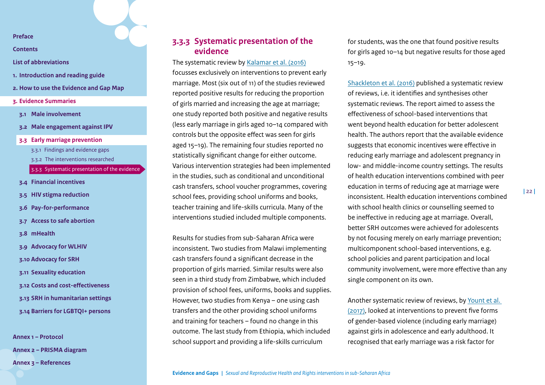**[Contents](#page-2-0)**

**[List of abbreviations](#page-3-0)**

- **1. [Introduction and reading guide](#page-4-0)**
- **2. [How to use the Evidence and Gap Map](#page-7-0)**
- **3. [Evidence Summaries](#page-10-0)**
- **3.1 [Male involvement](#page-11-0)**
- **3.2 [Male engagement against IPV](#page-15-0)**
- **3.3 [Early marriage prevention](#page-19-0)**
	- 3.3.1 [Findings and evidence gaps](#page-19-2)
	- 3.3.2 [The interventions researched](#page-20-0)
	- [3.3.3 Systematic presentation of the evidence](#page-21-0)
- **3.4 [Financial incentives](#page-23-0)**
- **3.5 [HIV stigma reduction](#page-30-0)**
- **3.6 [Pay-for-performance](#page-33-0)**
- **3.7 [Access to safe abortion](#page-38-0)**
- **3.8 [mHealth](#page-42-0)**
- **3.9 [Advocacy for WLHIV](#page-46-0)**
- **3.10 [Advocacy for SRH](#page-49-0)**
- **3.11 [Sexuality education](#page-53-0)**
- **3.12 [Costs and cost-effectiveness](#page-58-0)**
- **3.13 [SRH in humanitarian settings](#page-62-0)**
- **3.14 [Barriers for LGBTQI+ persons](#page-67-0)**

**[Annex 1 – Protocol](#page-71-0) [Annex 2 – PRISMA diagram](#page-85-0)  [Annex 3 – References](#page-86-0)**

## <span id="page-21-0"></span>**3.3.3 Systematic presentation of the evidence**

The systematic review by [Kalamar et al. \(2016\)](https://pubmed.ncbi.nlm.nih.gov/27562449/) focusses exclusively on interventions to prevent early marriage. Most (six out of 11) of the studies reviewed reported positive results for reducing the proportion of girls married and increasing the age at marriage; one study reported both positive and negative results (less early marriage in girls aged 10–14 compared with controls but the opposite effect was seen for girls aged 15–19). The remaining four studies reported no statistically significant change for either outcome. Various intervention strategies had been implemented in the studies, such as conditional and unconditional cash transfers, school voucher programmes, covering school fees, providing school uniforms and books, teacher training and life-skills curricula. Many of the interventions studied included multiple components.

Results for studies from sub-Saharan Africa were inconsistent. Two studies from Malawi implementing cash transfers found a significant decrease in the proportion of girls married. Similar results were also seen in a third study from Zimbabwe, which included provision of school fees, uniforms, books and supplies. However, two studies from Kenya – one using cash transfers and the other providing school uniforms and training for teachers – found no change in this outcome. The last study from Ethiopia, which included school support and providing a life-skills curriculum

for students, was the one that found positive results for girls aged 10–14 but negative results for those aged 15–19.

[Shackleton et al. \(2016\)](https://www.jahonline.org/article/S1054-139X(15)00736-3/fulltext) published a systematic review of reviews, i.e. it identifies and synthesises other systematic reviews. The report aimed to assess the effectiveness of school-based interventions that went beyond health education for better adolescent health. The authors report that the available evidence suggests that economic incentives were effective in reducing early marriage and adolescent pregnancy in low- and middle-income country settings. The results of health education interventions combined with peer education in terms of reducing age at marriage were inconsistent. Health education interventions combined with school health clinics or counselling seemed to be ineffective in reducing age at marriage. Overall, better SRH outcomes were achieved for adolescents by not focusing merely on early marriage prevention; multicomponent school-based interventions, e.g. school policies and parent participation and local community involvement, were more effective than any single component on its own.

Another systematic review of reviews, by [Yount et al.](https://reader.elsevier.com/reader/sd/pii/S0277953617305191?token=862E453601B50250825831FC223F700D79E8A31667D533139020ED8BE79C88AF53F4D238341B82B36EE88269EAE787DC)  [\(2017\),](https://reader.elsevier.com/reader/sd/pii/S0277953617305191?token=862E453601B50250825831FC223F700D79E8A31667D533139020ED8BE79C88AF53F4D238341B82B36EE88269EAE787DC) looked at interventions to prevent five forms of gender-based violence (including early marriage) against girls in adolescence and early adulthood. It recognised that early marriage was a risk factor for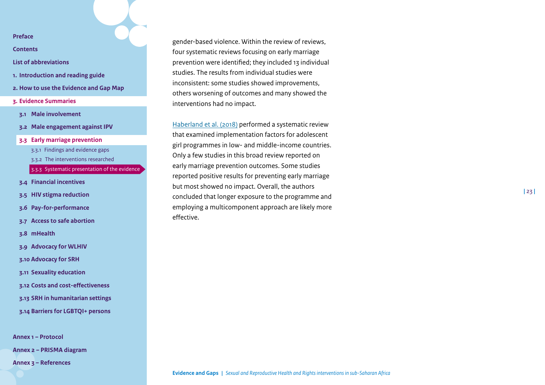**[Contents](#page-2-0)**

- **[List of abbreviations](#page-3-0)**
- **1. [Introduction and reading guide](#page-4-0)**
- **2. [How to use the Evidence and Gap Map](#page-7-0)**
- **3. [Evidence Summaries](#page-10-0)**
- **3.1 [Male involvement](#page-11-0)**
- **3.2 [Male engagement against IPV](#page-15-0)**
- **3.3 [Early marriage prevention](#page-19-0)**
	- 3.3.1 [Findings and evidence gaps](#page-19-2)
	- 3.3.2 [The interventions researched](#page-20-0)
	- [3.3.3 Systematic presentation of the evidence](#page-21-0)
- **3.4 [Financial incentives](#page-23-0)**
- **3.5 [HIV stigma reduction](#page-30-0)**
- **3.6 [Pay-for-performance](#page-33-0)**
- **3.7 [Access to safe abortion](#page-38-0)**
- **3.8 [mHealth](#page-42-0)**
- **3.9 [Advocacy for WLHIV](#page-46-0)**
- **3.10 [Advocacy for SRH](#page-49-0)**
- **3.11 [Sexuality education](#page-53-0)**
- **3.12 [Costs and cost-effectiveness](#page-58-0)**
- **3.13 [SRH in humanitarian settings](#page-62-0)**
- **3.14 [Barriers for LGBTQI+ persons](#page-67-0)**

**[Annex 1 – Protocol](#page-71-0) [Annex 2 – PRISMA diagram](#page-85-0)** 

**[Annex 3 – References](#page-86-0)**

gender-based violence. Within the review of reviews, four systematic reviews focusing on early marriage prevention were identified; they included 13 individual studies. The results from individual studies were inconsistent: some studies showed improvements, others worsening of outcomes and many showed the interventions had no impact.

[Haberland et al. \(2018\)](https://www.jahonline.org/article/S1054-139X(17)30866-2/fulltext) performed a systematic review that examined implementation factors for adolescent girl programmes in low- and middle-income countries. Only a few studies in this broad review reported on early marriage prevention outcomes. Some studies reported positive results for preventing early marriage but most showed no impact. Overall, the authors concluded that longer exposure to the programme and employing a multicomponent approach are likely more effective.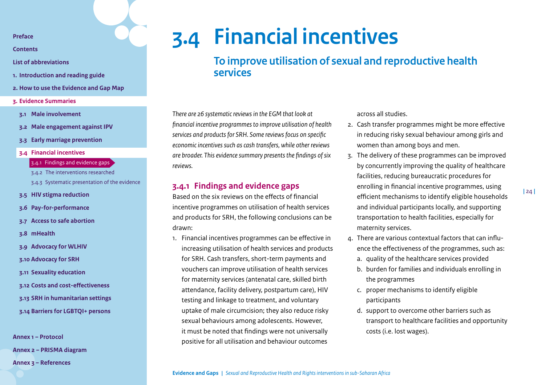<span id="page-23-1"></span>**[Contents](#page-2-0)**

- **[List of abbreviations](#page-3-0)**
- **1. [Introduction and reading guide](#page-4-0)**
- **2. [How to use the Evidence and Gap Map](#page-7-0)**
- **3. [Evidence Summaries](#page-10-0)**
- **3.1 [Male involvement](#page-11-0)**
- **3.2 [Male engagement against IPV](#page-15-0)**
- **3.3 [Early marriage prevention](#page-19-0)**
- **3.4 [Financial incentives](#page-23-0)**
	- 3.4.1 [Findings and evidence gaps](#page-23-2)
	- 3.4.2 [The interventions researched](#page-25-0)
	- [3.4.3 Systematic presentation of the evidence](#page-26-0)
- **3.5 [HIV stigma reduction](#page-30-0)**
- **3.6 [Pay-for-performance](#page-33-0)**
- **3.7 [Access to safe abortion](#page-38-0)**
- **3.8 [mHealth](#page-42-0)**
- **3.9 [Advocacy for WLHIV](#page-46-0)**
- **3.10 [Advocacy for SRH](#page-49-0)**
- **3.11 [Sexuality education](#page-53-0)**
- **3.12 [Costs and cost-effectiveness](#page-58-0)**
- **3.13 [SRH in humanitarian settings](#page-62-0)**
- **3.14 [Barriers for LGBTQI+ persons](#page-67-0)**

**[Annex 1 – Protocol](#page-71-0) [Annex 2 – PRISMA diagram](#page-85-0)** 

**[Annex 3 – References](#page-86-0)**

## **3.4 Financial incentives**

<span id="page-23-0"></span>**To improve utilisation of sexual and reproductive health services**

*There are 26 systematic reviews in the EGM that look at financial incentive programmes to improve utilisation of health services and products for SRH. Some reviews focus on specific economic incentives such as cash transfers, while other reviews are broader. This evidence summary presents the findings of six reviews.* 

## <span id="page-23-2"></span>**3.4.1 Findings and evidence gaps**

Based on the six reviews on the effects of financial incentive programmes on utilisation of health services and products for SRH, the following conclusions can be drawn:

1. Financial incentives programmes can be effective in increasing utilisation of health services and products for SRH. Cash transfers, short-term payments and vouchers can improve utilisation of health services for maternity services (antenatal care, skilled birth attendance, facility delivery, postpartum care), HIV testing and linkage to treatment, and voluntary uptake of male circumcision; they also reduce risky sexual behaviours among adolescents. However, it must be noted that findings were not universally positive for all utilisation and behaviour outcomes

across all studies.

- 2. Cash transfer programmes might be more effective in reducing risky sexual behaviour among girls and women than among boys and men.
- 3. The delivery of these programmes can be improved by concurrently improving the quality of healthcare facilities, reducing bureaucratic procedures for enrolling in financial incentive programmes, using efficient mechanisms to identify eligible households and individual participants locally, and supporting transportation to health facilities, especially for maternity services.
- 4. There are various contextual factors that can influence the effectiveness of the programmes, such as:
	- a. quality of the healthcare services provided
	- b. burden for families and individuals enrolling in the programmes
	- c. proper mechanisms to identify eligible participants
	- d. support to overcome other barriers such as transport to healthcare facilities and opportunity costs (i.e. lost wages).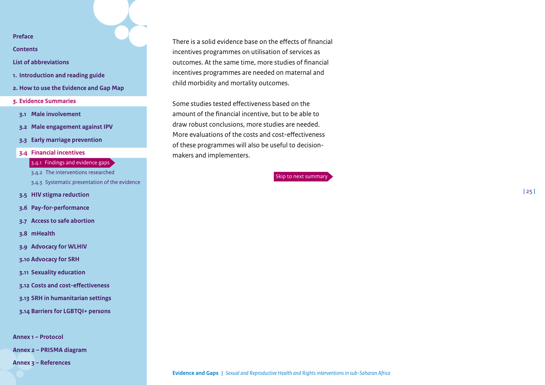**[Contents](#page-2-0)**

- **[List of abbreviations](#page-3-0)**
- **1. [Introduction and reading guide](#page-4-0)**
- **2. [How to use the Evidence and Gap Map](#page-7-0)**
- **3. [Evidence Summaries](#page-10-0)**
- **3.1 [Male involvement](#page-11-0)**
- **3.2 [Male engagement against IPV](#page-15-0)**
- **3.3 [Early marriage prevention](#page-19-0)**
- **3.4 [Financial incentives](#page-23-0)**

## 3.4.1 [Findings and evidence gaps](#page-23-2)

- 3.4.2 [The interventions researched](#page-25-0)
- [3.4.3 Systematic presentation of the evidence](#page-26-0)
- **3.5 [HIV stigma reduction](#page-30-0)**
- **3.6 [Pay-for-performance](#page-33-0)**
- **3.7 [Access to safe abortion](#page-38-0)**
- **3.8 [mHealth](#page-42-0)**
- **3.9 [Advocacy for WLHIV](#page-46-0)**
- **3.10 [Advocacy for SRH](#page-49-0)**
- **3.11 [Sexuality education](#page-53-0)**
- **3.12 [Costs and cost-effectiveness](#page-58-0)**
- **3.13 [SRH in humanitarian settings](#page-62-0)**
- **3.14 [Barriers for LGBTQI+ persons](#page-67-0)**

**[Annex 1 – Protocol](#page-71-0)**

**[Annex 2 – PRISMA diagram](#page-85-0)** 

**[Annex 3 – References](#page-86-0)**

There is a solid evidence base on the effects of financial incentives programmes on utilisation of services as outcomes. At the same time, more studies of financial incentives programmes are needed on maternal and child morbidity and mortality outcomes.

Some studies tested effectiveness based on the amount of the financial incentive, but to be able to draw robust conclusions, more studies are needed. More evaluations of the costs and cost-effectiveness of these programmes will also be useful to decisionmakers and implementers.

[Skip to next summary](#page-30-0)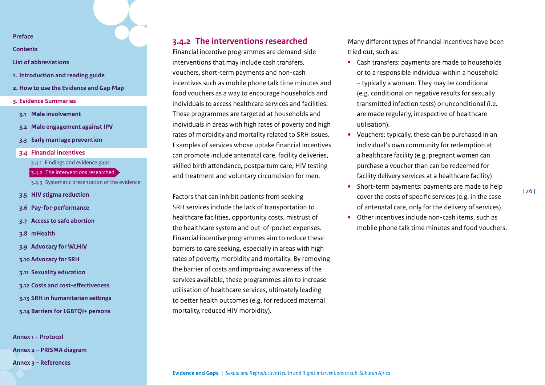**[Contents](#page-2-0)**

- **[List of abbreviations](#page-3-0)**
- **1. [Introduction and reading guide](#page-4-0)**
- **2. [How to use the Evidence and Gap Map](#page-7-0)**
- **3. [Evidence Summaries](#page-10-0)**
- **3.1 [Male involvement](#page-11-0)**
- **3.2 [Male engagement against IPV](#page-15-0)**
- **3.3 [Early marriage prevention](#page-19-0)**
- **3.4 [Financial incentives](#page-23-0)**
	- 3.4.1 [Findings and evidence gaps](#page-23-2)
	- 3.4.2 [The interventions researched](#page-25-0)
	- [3.4.3 Systematic presentation of the evidence](#page-26-0)
- **3.5 [HIV stigma reduction](#page-30-0)**
- **3.6 [Pay-for-performance](#page-33-0)**
- **3.7 [Access to safe abortion](#page-38-0)**
- **3.8 [mHealth](#page-42-0)**
- **3.9 [Advocacy for WLHIV](#page-46-0)**
- **3.10 [Advocacy for SRH](#page-49-0)**
- **3.11 [Sexuality education](#page-53-0)**
- **3.12 [Costs and cost-effectiveness](#page-58-0)**
- **3.13 [SRH in humanitarian settings](#page-62-0)**
- **3.14 [Barriers for LGBTQI+ persons](#page-67-0)**

**[Annex 1 – Protocol](#page-71-0) [Annex 2 – PRISMA diagram](#page-85-0)  [Annex 3 – References](#page-86-0)**

## <span id="page-25-0"></span>**3.4.2 The interventions researched**

Financial incentive programmes are demand-side interventions that may include cash transfers, vouchers, short-term payments and non-cash incentives such as mobile phone talk time minutes and food vouchers as a way to encourage households and individuals to access healthcare services and facilities. These programmes are targeted at households and individuals in areas with high rates of poverty and high rates of morbidity and mortality related to SRH issues. Examples of services whose uptake financial incentives can promote include antenatal care, facility deliveries, skilled birth attendance, postpartum care, HIV testing and treatment and voluntary circumcision for men.

Factors that can inhibit patients from seeking SRH services include the lack of transportation to healthcare facilities, opportunity costs, mistrust of the healthcare system and out-of-pocket expenses. Financial incentive programmes aim to reduce these barriers to care seeking, especially in areas with high rates of poverty, morbidity and mortality. By removing the barrier of costs and improving awareness of the services available, these programmes aim to increase utilisation of healthcare services, ultimately leading to better health outcomes (e.g. for reduced maternal mortality, reduced HIV morbidity).

Many different types of financial incentives have been tried out, such as:

- **•** Cash transfers: payments are made to households or to a responsible individual within a household – typically a woman. They may be conditional (e.g. conditional on negative results for sexually transmitted infection tests) or unconditional (i.e. are made regularly, irrespective of healthcare utilisation).
- **•** Vouchers: typically, these can be purchased in an individual's own community for redemption at a healthcare facility (e.g. pregnant women can purchase a voucher than can be redeemed for facility delivery services at a healthcare facility)
- **•** Short-term payments: payments are made to help cover the costs of specific services (e.g. in the case of antenatal care, only for the delivery of services).
- **•** Other incentives include non-cash items, such as mobile phone talk time minutes and food vouchers[.](#page-23-0)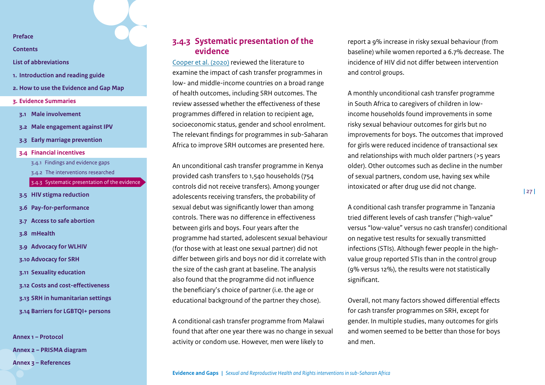**[Contents](#page-2-0)**

**[List of abbreviations](#page-3-0)**

- **1. [Introduction and reading guide](#page-4-0)**
- **2. [How to use the Evidence and Gap Map](#page-7-0)**
- **3. [Evidence Summaries](#page-10-0)**
- **3.1 [Male involvement](#page-11-0)**
- **3.2 [Male engagement against IPV](#page-15-0)**
- **3.3 [Early marriage prevention](#page-19-0)**
- **3.4 [Financial incentives](#page-23-0)**
	- 3.4.1 [Findings and evidence gaps](#page-23-2)
	- 3.4.2 [The interventions researched](#page-25-0)
	- [3.4.3 Systematic presentation of the evidence](#page-26-0)
- **3.5 [HIV stigma reduction](#page-30-0)**
- **3.6 [Pay-for-performance](#page-33-0)**
- **3.7 [Access to safe abortion](#page-38-0)**
- **3.8 [mHealth](#page-42-0)**
- **3.9 [Advocacy for WLHIV](#page-46-0)**
- **3.10 [Advocacy for SRH](#page-49-0)**
- **3.11 [Sexuality education](#page-53-0)**
- **3.12 [Costs and cost-effectiveness](#page-58-0)**
- **3.13 [SRH in humanitarian settings](#page-62-0)**
- **3.14 [Barriers for LGBTQI+ persons](#page-67-0)**

**[Annex 1 – Protocol](#page-71-0) [Annex 2 – PRISMA diagram](#page-85-0)  [Annex 3 – References](#page-86-0)**

## <span id="page-26-0"></span>**3.4.3 Systematic presentation of the evidence**

[Cooper et al. \(2020\)](https://www.sciencedirect.com/science/article/pii/S0277953620300253) reviewed the literature to examine the impact of cash transfer programmes in low- and middle-income countries on a broad range of health outcomes, including SRH outcomes. The review assessed whether the effectiveness of these programmes differed in relation to recipient age, socioeconomic status, gender and school enrolment. The relevant findings for programmes in sub-Saharan Africa to improve SRH outcomes are presented here.

An unconditional cash transfer programme in Kenya provided cash transfers to 1,540 households (754 controls did not receive transfers). Among younger adolescents receiving transfers, the probability of sexual debut was significantly lower than among controls. There was no difference in effectiveness between girls and boys. Four years after the programme had started, adolescent sexual behaviour (for those with at least one sexual partner) did not differ between girls and boys nor did it correlate with the size of the cash grant at baseline. The analysis also found that the programme did not influence the beneficiary's choice of partner (i.e. the age or educational background of the partner they chose).

A conditional cash transfer programme from Malawi found that after one year there was no change in sexual activity or condom use. However, men were likely to

report a 9% increase in risky sexual behaviour (from baseline) while women reported a 6.7% decrease. The incidence of HIV did not differ between intervention and control groups.

A monthly unconditional cash transfer programme in South Africa to caregivers of children in lowincome households found improvements in some risky sexual behaviour outcomes for girls but no improvements for boys. The outcomes that improved for girls were reduced incidence of transactional sex and relationships with much older partners (>5 years older). Other outcomes such as decline in the number of sexual partners, condom use, having sex while intoxicated or after drug use did not change.

A conditional cash transfer programme in Tanzania tried different levels of cash transfer ("high-value" versus "low-value" versus no cash transfer) conditional on negative test results for sexually transmitted infections (STIs). Although fewer people in the highvalue group reported STIs than in the control group (9% versus 12%), the results were not statistically significant.

Overall, not many factors showed differential effects for cash transfer programmes on SRH, except for gender. In multiple studies, many outcomes for girls and women seemed to be better than those for boys and men.

**Evidence and Gaps |** *Sexual and Reproductive Health and Rights interventions in sub-Saharan Africa*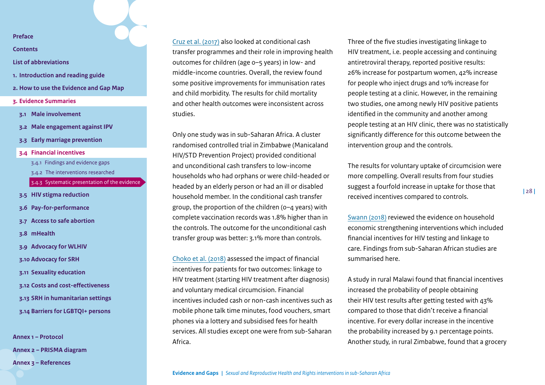**[Contents](#page-2-0)**

- **[List of abbreviations](#page-3-0)**
- **1. [Introduction and reading guide](#page-4-0)**
- **2. [How to use the Evidence and Gap Map](#page-7-0)**
- **3. [Evidence Summaries](#page-10-0)**
- **3.1 [Male involvement](#page-11-0)**
- **3.2 [Male engagement against IPV](#page-15-0)**
- **3.3 [Early marriage prevention](#page-19-0)**
- **3.4 [Financial incentives](#page-23-0)**
	- 3.4.1 [Findings and evidence gaps](#page-23-2)
	- 3.4.2 [The interventions researched](#page-25-0)
	- [3.4.3 Systematic presentation of the evidence](#page-26-0)
- **3.5 [HIV stigma reduction](#page-30-0)**
- **3.6 [Pay-for-performance](#page-33-0)**
- **3.7 [Access to safe abortion](#page-38-0)**
- **3.8 [mHealth](#page-42-0)**
- **3.9 [Advocacy for WLHIV](#page-46-0)**
- **3.10 [Advocacy for SRH](#page-49-0)**
- **3.11 [Sexuality education](#page-53-0)**
- **3.12 [Costs and cost-effectiveness](#page-58-0)**
- **3.13 [SRH in humanitarian settings](#page-62-0)**
- **3.14 [Barriers for LGBTQI+ persons](#page-67-0)**

**[Annex 1 – Protocol](#page-71-0) [Annex 2 – PRISMA diagram](#page-85-0)  [Annex 3 – References](#page-86-0)**

[Cruz et al. \(2017\)](https://equityhealthj.biomedcentral.com/articles/10.1186/s12939-017-0647-2) also looked at conditional cash transfer programmes and their role in improving health outcomes for children (age 0–5 years) in low- and middle-income countries. Overall, the review found some positive improvements for immunisation rates and child morbidity. The results for child mortality and other health outcomes were inconsistent across studies.

Only one study was in sub-Saharan Africa. A cluster randomised controlled trial in Zimbabwe (Manicaland HIV/STD Prevention Project) provided conditional and unconditional cash transfers to low-income households who had orphans or were child-headed or headed by an elderly person or had an ill or disabled household member. In the conditional cash transfer group, the proportion of the children (0–4 years) with complete vaccination records was 1.8% higher than in the controls. The outcome for the unconditional cash transfer group was better: 3.1% more than controls.

[Choko et al. \(2018\)](https://pubmed.ncbi.nlm.nih.gov/30427889/) assessed the impact of financial incentives for patients for two outcomes: linkage to HIV treatment (starting HIV treatment after diagnosis) and voluntary medical circumcision. Financial incentives included cash or non-cash incentives such as mobile phone talk time minutes, food vouchers, smart phones via a lottery and subsidised fees for health services. All studies except one were from sub-Saharan Africa.

Three of the five studies investigating linkage to HIV treatment, i.e. people accessing and continuing antiretroviral therapy, reported positive results: 26% increase for postpartum women, 42% increase for people who inject drugs and 10% increase for people testing at a clinic. However, in the remaining two studies, one among newly HIV positive patients identified in the community and another among people testing at an HIV clinic, there was no statistically significantly difference for this outcome between the intervention group and the controls.

The results for voluntary uptake of circumcision were more compelling. Overall results from four studies suggest a fourfold increase in uptake for those that received incentives compared to controls.

[Swann \(2018\)](https://www.tandfonline.com/doi/full/10.1080/09540121.2018.1476665) reviewed the evidence on household economic strengthening interventions which included financial incentives for HIV testing and linkage to care. Findings from sub-Saharan African studies are summarised here.

A study in rural Malawi found that financial incentives increased the probability of people obtaining their HIV test results after getting tested with 43% compared to those that didn't receive a financial incentive. For every dollar increase in the incentive the probability increased by 9.1 percentage points. Another study, in rural Zimbabwe, found that a grocery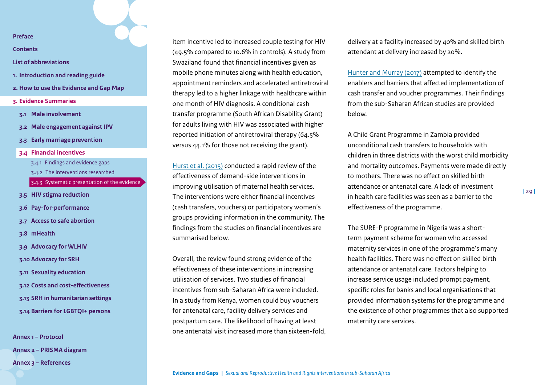**[Contents](#page-2-0)**

- **[List of abbreviations](#page-3-0)**
- **1. [Introduction and reading guide](#page-4-0)**
- **2. [How to use the Evidence and Gap Map](#page-7-0)**
- **3. [Evidence Summaries](#page-10-0)**
- **3.1 [Male involvement](#page-11-0)**
- **3.2 [Male engagement against IPV](#page-15-0)**
- **3.3 [Early marriage prevention](#page-19-0)**
- **3.4 [Financial incentives](#page-23-0)**
	- 3.4.1 [Findings and evidence gaps](#page-23-2)
	- 3.4.2 [The interventions researched](#page-25-0)
	- [3.4.3 Systematic presentation of the evidence](#page-26-0)
- **3.5 [HIV stigma reduction](#page-30-0)**
- **3.6 [Pay-for-performance](#page-33-0)**
- **3.7 [Access to safe abortion](#page-38-0)**
- **3.8 [mHealth](#page-42-0)**
- **3.9 [Advocacy for WLHIV](#page-46-0)**
- **3.10 [Advocacy for SRH](#page-49-0)**
- **3.11 [Sexuality education](#page-53-0)**
- **3.12 [Costs and cost-effectiveness](#page-58-0)**
- **3.13 [SRH in humanitarian settings](#page-62-0)**
- **3.14 [Barriers for LGBTQI+ persons](#page-67-0)**

**[Annex 1 – Protocol](#page-71-0) [Annex 2 – PRISMA diagram](#page-85-0)  [Annex 3 – References](#page-86-0)**

item incentive led to increased couple testing for HIV (49.5% compared to 10.6% in controls). A study from Swaziland found that financial incentives given as mobile phone minutes along with health education, appointment reminders and accelerated antiretroviral therapy led to a higher linkage with healthcare within one month of HIV diagnosis. A conditional cash transfer programme (South African Disability Grant) for adults living with HIV was associated with higher reported initiation of antiretroviral therapy (64.5% versus 44.1% for those not receiving the grant).

[Hurst et al. \(2015\)](https://bmcpregnancychildbirth.biomedcentral.com/articles/10.1186/s12884-015-0727-5) conducted a rapid review of the effectiveness of demand-side interventions in improving utilisation of maternal health services. The interventions were either financial incentives (cash transfers, vouchers) or participatory women's groups providing information in the community. The findings from the studies on financial incentives are summarised below.

Overall, the review found strong evidence of the effectiveness of these interventions in increasing utilisation of services. Two studies of financial incentives from sub-Saharan Africa were included. In a study from Kenya, women could buy vouchers for antenatal care, facility delivery services and postpartum care. The likelihood of having at least one antenatal visit increased more than sixteen-fold,

delivery at a facility increased by 40% and skilled birth attendant at delivery increased by 20%.

[Hunter and Murray \(2017\)](https://pubmed.ncbi.nlm.nih.gov/28854877/) attempted to identify the enablers and barriers that affected implementation of cash transfer and voucher programmes. Their findings from the sub-Saharan African studies are provided below.

A Child Grant Programme in Zambia provided unconditional cash transfers to households with children in three districts with the worst child morbidity and mortality outcomes. Payments were made directly to mothers. There was no effect on skilled birth attendance or antenatal care. A lack of investment in health care facilities was seen as a barrier to the effectiveness of the programme.

The SURE-P programme in Nigeria was a shortterm payment scheme for women who accessed maternity services in one of the programme's many health facilities. There was no effect on skilled birth attendance or antenatal care. Factors helping to increase service usage included prompt payment, specific roles for banks and local organisations that provided information systems for the programme and the existence of other programmes that also supported maternity care services.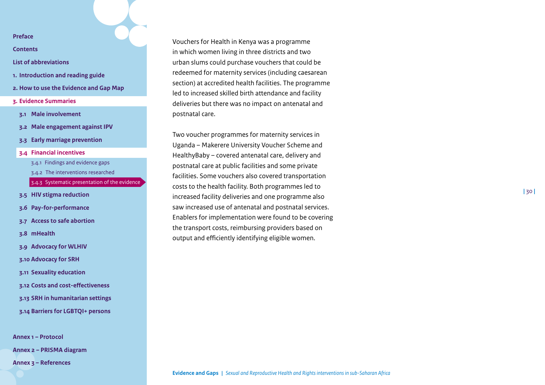**[Contents](#page-2-0)**

### **[List of abbreviations](#page-3-0)**

- **1. [Introduction and reading guide](#page-4-0)**
- **2. [How to use the Evidence and Gap Map](#page-7-0)**
- **3. [Evidence Summaries](#page-10-0)**
- **3.1 [Male involvement](#page-11-0)**
- **3.2 [Male engagement against IPV](#page-15-0)**
- **3.3 [Early marriage prevention](#page-19-0)**
- **3.4 [Financial incentives](#page-23-0)**
	- 3.4.1 [Findings and evidence gaps](#page-23-2)
	- 3.4.2 [The interventions researched](#page-25-0)
	- [3.4.3 Systematic presentation of the evidence](#page-26-0)
- **3.5 [HIV stigma reduction](#page-30-0)**
- **3.6 [Pay-for-performance](#page-33-0)**
- **3.7 [Access to safe abortion](#page-38-0)**
- **3.8 [mHealth](#page-42-0)**
- **3.9 [Advocacy for WLHIV](#page-46-0)**
- **3.10 [Advocacy for SRH](#page-49-0)**
- **3.11 [Sexuality education](#page-53-0)**
- **3.12 [Costs and cost-effectiveness](#page-58-0)**
- **3.13 [SRH in humanitarian settings](#page-62-0)**
- **3.14 [Barriers for LGBTQI+ persons](#page-67-0)**

**[Annex 1 – Protocol](#page-71-0) [Annex 2 – PRISMA diagram](#page-85-0)  [Annex 3 – References](#page-86-0)**

Vouchers for Health in Kenya was a programme in which women living in three districts and two urban slums could purchase vouchers that could be redeemed for maternity services (including caesarean section) at accredited health facilities. The programme led to increased skilled birth attendance and facility deliveries but there was no impact on antenatal and postnatal care.

Two voucher programmes for maternity services in Uganda – Makerere University Voucher Scheme and HealthyBaby – covered antenatal care, delivery and postnatal care at public facilities and some private facilities. Some vouchers also covered transportation costs to the health facility. Both programmes led to increased facility deliveries and one programme also saw increased use of antenatal and postnatal services. Enablers for implementation were found to be covering the transport costs, reimbursing providers based on output and efficiently identifying eligible women.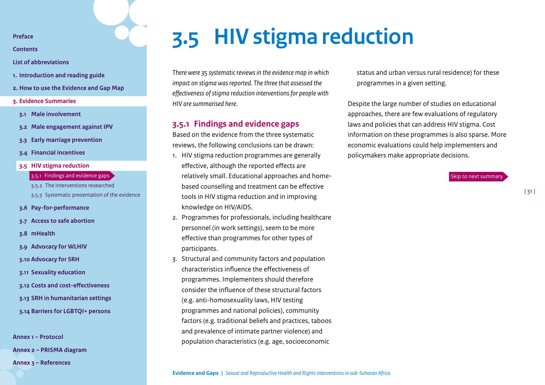<span id="page-30-1"></span>**[Contents](#page-2-0)**

**[List of abbreviations](#page-3-0)**

- **1. [Introduction and reading guide](#page-4-0)**
- **2. [How to use the Evidence and Gap Map](#page-7-0)**
- **3. [Evidence Summaries](#page-10-0)**
- **3.1 [Male involvement](#page-11-0)**
- **3.2 [Male engagement against IPV](#page-15-0)**
- **3.3 [Early marriage prevention](#page-19-0)**
- **3.4 [Financial incentives](#page-23-0)**
- **3.5 [HIV stigma reduction](#page-30-0)**
	- 3.5.1 [Findings and evidence gaps](#page-30-2)
	- 3.5.2 [The interventions researched](#page-31-0)
	- [3.5.3 Systematic presentation of the evidence](#page-32-0)
- **3.6 [Pay-for-performance](#page-33-0)**
- **3.7 [Access to safe abortion](#page-38-0)**
- **3.8 [mHealth](#page-42-0)**
- **3.9 [Advocacy for WLHIV](#page-46-0)**
- **3.10 [Advocacy for SRH](#page-49-0)**
- **3.11 [Sexuality education](#page-53-0)**
- **3.12 [Costs and cost-effectiveness](#page-58-0)**
- **3.13 [SRH in humanitarian settings](#page-62-0)**
- **3.14 [Barriers for LGBTQI+ persons](#page-67-0)**

**[Annex 1 – Protocol](#page-71-0)**

**[Annex 2 – PRISMA diagram](#page-85-0)** 

**[Annex 3 – References](#page-86-0)**

## <span id="page-30-0"></span>**3.5 HIV stigma reduction**

*There were 35 systematic reviews in the evidence map in which impact on stigma was reported. The three that assessed the effectiveness of stigma reduction interventions for people with HIV are summarised here.*

## <span id="page-30-2"></span>**3.5.1 Findings and evidence gaps**

Based on the evidence from the three systematic reviews, the following conclusions can be drawn:

- 1. HIV stigma reduction programmes are generally effective, although the reported effects are relatively small. Educational approaches and homebased counselling and treatment can be effective tools in HIV stigma reduction and in improving knowledge on HIV/AIDS.
- 2. Programmes for professionals, including healthcare personnel (in work settings), seem to be more effective than programmes for other types of participants.
- 3. Structural and community factors and population characteristics influence the effectiveness of programmes. Implementers should therefore consider the influence of these structural factors (e.g. anti-homosexuality laws, HIV testing programmes and national policies), community factors (e.g. traditional beliefs and practices, taboos and prevalence of intimate partner violence) and population characteristics (e.g. age, socioeconomic

status and urban versus rural residence) for these programmes in a given setting.

Despite the large number of studies on educational approaches, there are few evaluations of regulatory laws and policies that can address HIV stigma. Cost information on these programmes is also sparse. More economic evaluations could help implementers and policymakers make appropriate decisions.

[Skip to next summary](#page-33-0)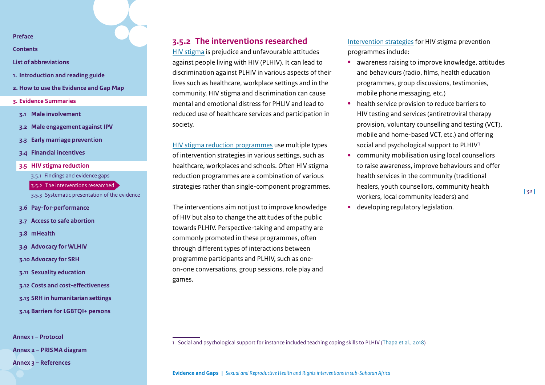**[Contents](#page-2-0)**

- **[List of abbreviations](#page-3-0)**
- **1. [Introduction and reading guide](#page-4-0)**
- **2. [How to use the Evidence and Gap Map](#page-7-0)**
- **3. [Evidence Summaries](#page-10-0)**
- **3.1 [Male involvement](#page-11-0)**
- **3.2 [Male engagement against IPV](#page-15-0)**
- **3.3 [Early marriage prevention](#page-19-0)**
- **3.4 [Financial incentives](#page-23-0)**
- **3.5 [HIV stigma reduction](#page-30-0)**
	- 3.5.1 [Findings and evidence gaps](#page-30-2)
	- 3.5.2 [The interventions researched](#page-31-0)
	- [3.5.3 Systematic presentation of the evidence](#page-32-0)
- **3.6 [Pay-for-performance](#page-33-0)**
- **3.7 [Access to safe abortion](#page-38-0)**
- **3.8 [mHealth](#page-42-0)**
- **3.9 [Advocacy for WLHIV](#page-46-0)**
- **3.10 [Advocacy for SRH](#page-49-0)**
- **3.11 [Sexuality education](#page-53-0)**
- **3.12 [Costs and cost-effectiveness](#page-58-0)**
- **3.13 [SRH in humanitarian settings](#page-62-0)**
- **3.14 [Barriers for LGBTQI+ persons](#page-67-0)**

**[Annex 1 – Protocol](#page-71-0)**

**[Annex 2 – PRISMA diagram](#page-85-0)** 

**[Annex 3 – References](#page-86-0)**

## <span id="page-31-0"></span>**3.5.2 The interventions researched**

[HIV stigma](https://www.cdc.gov/hiv/basics/hiv-stigma/index.html) is prejudice and unfavourable attitudes against people living with HIV (PLHIV). It can lead to discrimination against PLHIV in various aspects of their lives such as healthcare, workplace settings and in the community. HIV stigma and discrimination can cause mental and emotional distress for PHLIV and lead to reduced use of healthcare services and participation in society.

[HIV stigma reduction programmes](https://www.sciencedirect.com/science/article/pii/S0277953617304215#bib33) use multiple types of intervention strategies in various settings, such as healthcare, workplaces and schools. Often HIV stigma reduction programmes are a combination of various strategies rather than single-component programmes.

The interventions aim not just to improve knowledge of HIV but also to change the attitudes of the public towards PLHIV. Perspective-taking and empathy are commonly promoted in these programmes, often through different types of interactions between programme participants and PLHIV, such as oneon-one conversations, group sessions, role play and games.

[Intervention strategies](https://bmcpublichealth.biomedcentral.com/articles/10.1186/s12889-018-6156-4) for HIV stigma prevention programmes include:

- **•** awareness raising to improve knowledge, attitudes and behaviours (radio, films, health education programmes, group discussions, testimonies, mobile phone messaging, etc.)
- **•** health service provision to reduce barriers to HIV testing and services (antiretroviral therapy provision, voluntary counselling and testing (VCT), mobile and home-based VCT, etc.) and offering social and psychological support to PLHIV1
- **•** community mobilisation using local counsellors to raise awareness, improve behaviours and offer health services in the community (traditional healers, youth counsellors, community health workers, local community leaders) and
	- **|** 32 **|**

**•** developing regulatory legislation[.](#page-30-0)

1 Social and psychological support for instance included teaching coping skills to PLHIV [\(Thapa et al., 2018](https://bmcpublichealth.biomedcentral.com/articles/10.1186/s12889-018-6156-4))

**Evidence and Gaps |** *Sexual and Reproductive Health and Rights interventions in sub-Saharan Africa*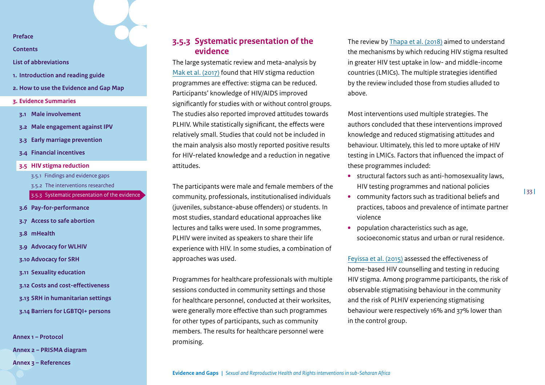**[Contents](#page-2-0)**

- **[List of abbreviations](#page-3-0)**
- **1. [Introduction and reading guide](#page-4-0)**
- **2. [How to use the Evidence and Gap Map](#page-7-0)**
- **3. [Evidence Summaries](#page-10-0)**
- **3.1 [Male involvement](#page-11-0)**
- **3.2 [Male engagement against IPV](#page-15-0)**
- **3.3 [Early marriage prevention](#page-19-0)**
- **3.4 [Financial incentives](#page-23-0)**
- **3.5 [HIV stigma reduction](#page-30-0)**
	- 3.5.1 [Findings and evidence gaps](#page-30-2)
	- 3.5.2 [The interventions researched](#page-31-0)
	- [3.5.3 Systematic presentation of the evidence](#page-32-0)
- **3.6 [Pay-for-performance](#page-33-0)**
- **3.7 [Access to safe abortion](#page-38-0)**
- **3.8 [mHealth](#page-42-0)**
- **3.9 [Advocacy for WLHIV](#page-46-0)**
- **3.10 [Advocacy for SRH](#page-49-0)**
- **3.11 [Sexuality education](#page-53-0)**
- **3.12 [Costs and cost-effectiveness](#page-58-0)**
- **3.13 [SRH in humanitarian settings](#page-62-0)**
- **3.14 [Barriers for LGBTQI+ persons](#page-67-0)**

**[Annex 1 – Protocol](#page-71-0) [Annex 2 – PRISMA diagram](#page-85-0)  [Annex 3 – References](#page-86-0)**

## <span id="page-32-0"></span>**3.5.3 Systematic presentation of the evidence**

The large systematic review and meta-analysis by [Mak et al. \(2017\)](https://www.sciencedirect.com/science/article/pii/S0277953617304215#bib33) found that HIV stigma reduction programmes are effective: stigma can be reduced. Participants' knowledge of HIV/AIDS improved significantly for studies with or without control groups. The studies also reported improved attitudes towards PLHIV. While statistically significant, the effects were relatively small. Studies that could not be included in the main analysis also mostly reported positive results for HIV-related knowledge and a reduction in negative attitudes.

The participants were male and female members of the community, professionals, institutionalised individuals (juveniles, substance-abuse offenders) or students. In most studies, standard educational approaches like lectures and talks were used. In some programmes, PLHIV were invited as speakers to share their life experience with HIV. In some studies, a combination of approaches was used.

Programmes for healthcare professionals with multiple sessions conducted in community settings and those for healthcare personnel, conducted at their worksites, were generally more effective than such programmes for other types of participants, such as community members. The results for healthcare personnel were promising.

The review by [Thapa et al. \(2018\)](https://bmcpublichealth.biomedcentral.com/articles/10.1186/s12889-018-6156-4) aimed to understand the mechanisms by which reducing HIV stigma resulted in greater HIV test uptake in low- and middle-income countries (LMICs). The multiple strategies identified by the review included those from studies alluded to above.

Most interventions used multiple strategies. The authors concluded that these interventions improved knowledge and reduced stigmatising attitudes and behaviour. Ultimately, this led to more uptake of HIV testing in LMICs. Factors that influenced the impact of these programmes included:

- **•** structural factors such as anti-homosexuality laws, HIV testing programmes and national policies
- **•** community factors such as traditional beliefs and practices, taboos and prevalence of intimate partner violence
- **•** population characteristics such as age, socioeconomic status and urban or rural residence.

[Feyissa et al. \(2015\)](https://pubmed.ncbi.nlm.nih.gov/26455755/) assessed the effectiveness of home-based HIV counselling and testing in reducing HIV stigma. Among programme participants, the risk of observable stigmatising behaviour in the community and the risk of PLHIV experiencing stigmatising behaviour were respectively 16% and 37% lower than in the control group.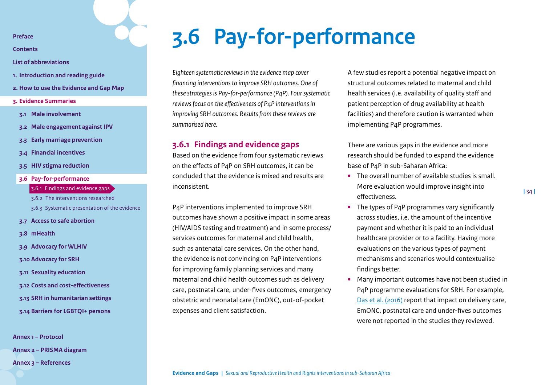<span id="page-33-1"></span>**[Contents](#page-2-0)**

**[List of abbreviations](#page-3-0)**

- **1. [Introduction and reading guide](#page-4-0)**
- **2. [How to use the Evidence and Gap Map](#page-7-0)**
- **3. [Evidence Summaries](#page-10-0)**
- **3.1 [Male involvement](#page-11-0)**
- **3.2 [Male engagement against IPV](#page-15-0)**
- **3.3 [Early marriage prevention](#page-19-0)**
- **3.4 [Financial incentives](#page-23-0)**
- **3.5 [HIV stigma reduction](#page-30-0)**
- **3.6 [Pay-for-performance](#page-33-0)**
	- 3.6.1 [Findings and evidence gaps](#page-33-2)
	- 3.6.2 [The interventions researched](#page-35-0)
	- [3.6.3 Systematic presentation of the evidence](#page-36-0)
- **3.7 [Access to safe abortion](#page-38-0)**
- **3.8 [mHealth](#page-42-0)**
- **3.9 [Advocacy for WLHIV](#page-46-0)**
- **3.10 [Advocacy for SRH](#page-49-0)**
- **3.11 [Sexuality education](#page-53-0)**
- **3.12 [Costs and cost-effectiveness](#page-58-0)**
- **3.13 [SRH in humanitarian settings](#page-62-0)**
- **3.14 [Barriers for LGBTQI+ persons](#page-67-0)**

**[Annex 1 – Protocol](#page-71-0) [Annex 2 – PRISMA diagram](#page-85-0)  [Annex 3 – References](#page-86-0)**

## <span id="page-33-0"></span>**3.6 Pay-for-performance**

*Eighteen systematic reviews in the evidence map cover financing interventions to improve SRH outcomes. One of these strategies is Pay-for-performance (P4P). Four systematic reviews focus on the effectiveness of P4P interventions in improving SRH outcomes. Results from these reviews are summarised here.*

## <span id="page-33-2"></span>**3.6.1 Findings and evidence gaps**

Based on the evidence from four systematic reviews on the effects of P4P on SRH outcomes, it can be concluded that the evidence is mixed and results are inconsistent.

P4P interventions implemented to improve SRH outcomes have shown a positive impact in some areas (HIV/AIDS testing and treatment) and in some process/ services outcomes for maternal and child health, such as antenatal care services. On the other hand, the evidence is not convincing on P4P interventions for improving family planning services and many maternal and child health outcomes such as delivery care, postnatal care, under-fives outcomes, emergency obstetric and neonatal care (EmONC), out-of-pocket expenses and client satisfaction.

A few studies report a potential negative impact on structural outcomes related to maternal and child health services (i.e. availability of quality staff and patient perception of drug availability at health facilities) and therefore caution is warranted when implementing P4P programmes.

There are various gaps in the evidence and more research should be funded to expand the evidence base of P4P in sub-Saharan Africa:

- **•** The overall number of available studies is small. More evaluation would improve insight into effectiveness.
- **•** The types of P4P programmes vary significantly across studies, i.e. the amount of the incentive payment and whether it is paid to an individual healthcare provider or to a facility. Having more evaluations on the various types of payment mechanisms and scenarios would contextualise findings better.
- **•** Many important outcomes have not been studied in P4P programme evaluations for SRH. For example, [Das et al. \(2016\)](https://bmcpublichealth.biomedcentral.com/articles/10.1186/s12889-016-2982-4) report that impact on delivery care, EmONC, postnatal care and under-fives outcomes were not reported in the studies they reviewed.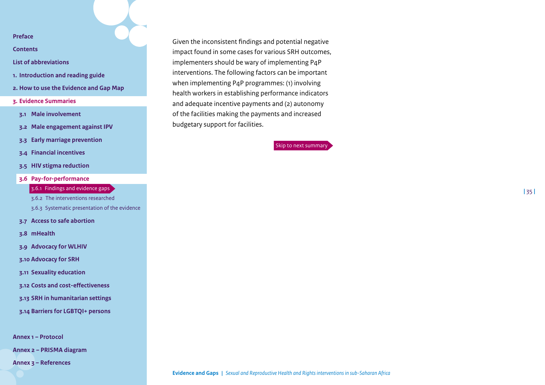**[Contents](#page-2-0)**

- **[List of abbreviations](#page-3-0)**
- **1. [Introduction and reading guide](#page-4-0)**
- **2. [How to use the Evidence and Gap Map](#page-7-0)**
- **3. [Evidence Summaries](#page-10-0)**
- **3.1 [Male involvement](#page-11-0)**
- **3.2 [Male engagement against IPV](#page-15-0)**
- **3.3 [Early marriage prevention](#page-19-0)**
- **3.4 [Financial incentives](#page-23-0)**
- **3.5 [HIV stigma reduction](#page-30-0)**
- **3.6 [Pay-for-performance](#page-33-0)**

## 3.6.1 [Findings and evidence gaps](#page-33-2)

3.6.2 [The interventions researched](#page-35-0)

- [3.6.3 Systematic presentation of the evidence](#page-36-0)
- **3.7 [Access to safe abortion](#page-38-0)**
- **3.8 [mHealth](#page-42-0)**
- **3.9 [Advocacy for WLHIV](#page-46-0)**
- **3.10 [Advocacy for SRH](#page-49-0)**
- **3.11 [Sexuality education](#page-53-0)**
- **3.12 [Costs and cost-effectiveness](#page-58-0)**
- **3.13 [SRH in humanitarian settings](#page-62-0)**
- **3.14 [Barriers for LGBTQI+ persons](#page-67-0)**

**[Annex 1 – Protocol](#page-71-0)**

**[Annex 2 – PRISMA diagram](#page-85-0)** 

**[Annex 3 – References](#page-86-0)**

Given the inconsistent findings and potential negative impact found in some cases for various SRH outcomes, implementers should be wary of implementing P4P interventions. The following factors can be important when implementing P4P programmes: (1) involving health workers in establishing performance indicators and adequate incentive payments and (2) autonomy of the facilities making the payments and increased budgetary support for facilities.

[Skip to next summary](#page-38-0)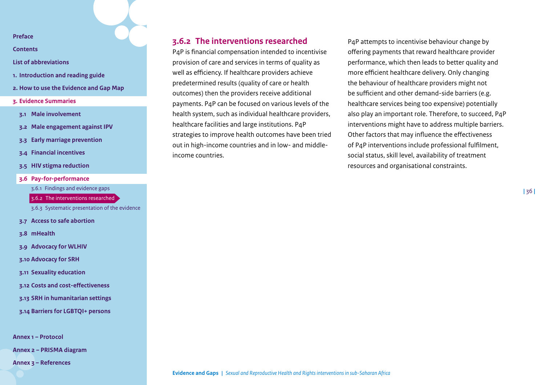**[Contents](#page-2-0)**

- **[List of abbreviations](#page-3-0)**
- **1. [Introduction and reading guide](#page-4-0)**
- **2. [How to use the Evidence and Gap Map](#page-7-0)**
- **3. [Evidence Summaries](#page-10-0)**
- **3.1 [Male involvement](#page-11-0)**
- **3.2 [Male engagement against IPV](#page-15-0)**
- **3.3 [Early marriage prevention](#page-19-0)**
- **3.4 [Financial incentives](#page-23-0)**
- **3.5 [HIV stigma reduction](#page-30-0)**
- **3.6 [Pay-for-performance](#page-33-0)**
	- 3.6.1 [Findings and evidence gaps](#page-33-2)
	- 3.6.2 [The interventions researched](#page-35-0)
	- [3.6.3 Systematic presentation of the evidence](#page-36-0)
- **3.7 [Access to safe abortion](#page-38-0)**
- **3.8 [mHealth](#page-42-0)**
- **3.9 [Advocacy for WLHIV](#page-46-0)**
- **3.10 [Advocacy for SRH](#page-49-0)**
- **3.11 [Sexuality education](#page-53-0)**
- **3.12 [Costs and cost-effectiveness](#page-58-0)**
- **3.13 [SRH in humanitarian settings](#page-62-0)**
- **3.14 [Barriers for LGBTQI+ persons](#page-67-0)**

**[Annex 1 – Protocol](#page-71-0)**

**[Annex 2 – PRISMA diagram](#page-85-0)** 

**[Annex 3 – References](#page-86-0)**

## <span id="page-35-0"></span>**3.6.2 The interventions researched**

P4P is financial compensation intended to incentivise provision of care and services in terms of quality as well as efficiency. If healthcare providers achieve predetermined results (quality of care or health outcomes) then the providers receive additional payments. P4P can be focused on various levels of the health system, such as individual healthcare providers, healthcare facilities and large institutions. P4P strategies to improve health outcomes have been tried out in high-income countries and in low- and middleincome countries.

P4P attempts to incentivise behaviour change by offering payments that reward healthcare provider performance, which then leads to better quality and more efficient healthcare delivery. Only changing the behaviour of healthcare providers might not be sufficient and other demand-side barriers (e.g. healthcare services being too expensive) potentially also play an important role. Therefore, to succeed, P4P interventions might have to address multiple barriers. Other factors that may influence the effectiveness of P4P interventions include professional fulfilment, social status, skill level, availability of treatment resources and organisational constraints.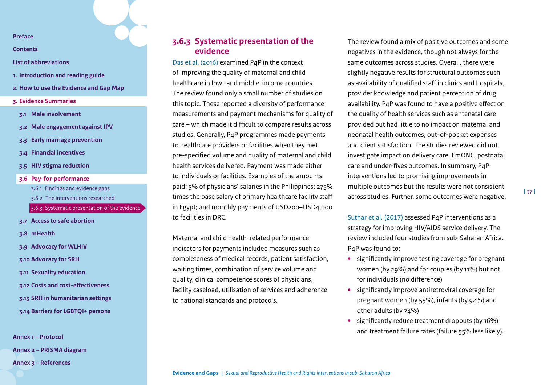**[Contents](#page-2-0)**

- **[List of abbreviations](#page-3-0)**
- **1. [Introduction and reading guide](#page-4-0)**
- **2. [How to use the Evidence and Gap Map](#page-7-0)**
- **3. [Evidence Summaries](#page-10-0)**
- **3.1 [Male involvement](#page-11-0)**
- **3.2 [Male engagement against IPV](#page-15-0)**
- **3.3 [Early marriage prevention](#page-19-0)**
- **3.4 [Financial incentives](#page-23-0)**
- **3.5 [HIV stigma reduction](#page-30-0)**
- **3.6 [Pay-for-performance](#page-33-0)**
	- 3.6.1 [Findings and evidence gaps](#page-33-1)
	- 3.6.2 [The interventions researched](#page-35-0)
	- [3.6.3 Systematic presentation of the evidence](#page-36-0)
- **3.7 [Access to safe abortion](#page-38-0)**
- **3.8 [mHealth](#page-42-0)**
- **3.9 [Advocacy for WLHIV](#page-46-0)**
- **3.10 [Advocacy for SRH](#page-49-0)**
- **3.11 [Sexuality education](#page-53-0)**
- **3.12 [Costs and cost-effectiveness](#page-58-0)**
- **3.13 [SRH in humanitarian settings](#page-62-0)**
- **3.14 [Barriers for LGBTQI+ persons](#page-67-0)**

**[Annex 1 – Protocol](#page-71-0) [Annex 2 – PRISMA diagram](#page-85-0)  [Annex 3 – References](#page-86-0)**

# <span id="page-36-0"></span>**3.6.3 Systematic presentation of the evidence**

[Das et al. \(2016\)](https://bmcpublichealth.biomedcentral.com/articles/10.1186/s12889-016-2982-4) examined P4P in the context of improving the quality of maternal and child healthcare in low- and middle-income countries. The review found only a small number of studies on this topic. These reported a diversity of performance measurements and payment mechanisms for quality of care – which made it difficult to compare results across studies. Generally, P4P programmes made payments to healthcare providers or facilities when they met pre-specified volume and quality of maternal and child health services delivered. Payment was made either to individuals or facilities. Examples of the amounts paid: 5% of physicians' salaries in the Philippines; 275% times the base salary of primary healthcare facility staff in Egypt; and monthly payments of USD200–USD4,000 to facilities in DRC.

Maternal and child health-related performance indicators for payments included measures such as completeness of medical records, patient satisfaction, waiting times, combination of service volume and quality, clinical competence scores of physicians, facility caseload, utilisation of services and adherence to national standards and protocols.

The review found a mix of positive outcomes and some negatives in the evidence, though not always for the same outcomes across studies. Overall, there were slightly negative results for structural outcomes such as availability of qualified staff in clinics and hospitals, provider knowledge and patient perception of drug availability. P4P was found to have a positive effect on the quality of health services such as antenatal care provided but had little to no impact on maternal and neonatal health outcomes, out-of-pocket expenses and client satisfaction. The studies reviewed did not investigate impact on delivery care, EmONC, postnatal care and under-fives outcomes. In summary, P4P interventions led to promising improvements in multiple outcomes but the results were not consistent across studies. Further, some outcomes were negative.

**|** 37 **|**

[Suthar et al. \(2017\)](https://www.ncbi.nlm.nih.gov/pmc/articles/PMC5210258/) assessed P4P interventions as a strategy for improving HIV/AIDS service delivery. The review included four studies from sub-Saharan Africa. P4P was found to:

- **•** significantly improve testing coverage for pregnant women (by 29%) and for couples (by 11%) but not for individuals (no difference)
- **•** significantly improve antiretroviral coverage for pregnant women (by 55%), infants (by 92%) and other adults (by 74%)
- **•** significantly reduce treatment dropouts (by 16%) and treatment failure rates (failure 55% less likely).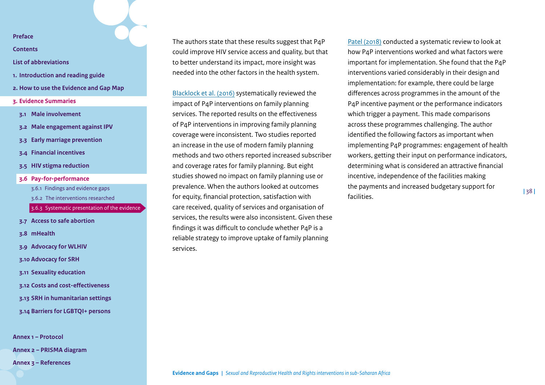**[Contents](#page-2-0)**

- **[List of abbreviations](#page-3-0)**
- **1. [Introduction and reading guide](#page-4-0)**
- **2. [How to use the Evidence and Gap Map](#page-7-0)**
- **3. [Evidence Summaries](#page-10-0)**
- **3.1 [Male involvement](#page-11-0)**
- **3.2 [Male engagement against IPV](#page-15-0)**
- **3.3 [Early marriage prevention](#page-19-0)**
- **3.4 [Financial incentives](#page-23-0)**
- **3.5 [HIV stigma reduction](#page-30-0)**
- **3.6 [Pay-for-performance](#page-33-0)**
	- 3.6.1 [Findings and evidence gaps](#page-33-1)
	- 3.6.2 [The interventions researched](#page-35-0)
	- [3.6.3 Systematic presentation of the evidence](#page-36-0)
- **3.7 [Access to safe abortion](#page-38-0)**
- **3.8 [mHealth](#page-42-0)**
- **3.9 [Advocacy for WLHIV](#page-46-0)**
- **3.10 [Advocacy for SRH](#page-49-0)**
- **3.11 [Sexuality education](#page-53-0)**
- **3.12 [Costs and cost-effectiveness](#page-58-0)**
- **3.13 [SRH in humanitarian settings](#page-62-0)**
- **3.14 [Barriers for LGBTQI+ persons](#page-67-0)**

**[Annex 1 – Protocol](#page-71-0) [Annex 2 – PRISMA diagram](#page-85-0)** 

**[Annex 3 – References](#page-86-0)**

The authors state that these results suggest that P4P could improve HIV service access and quality, but that to better understand its impact, more insight was needed into the other factors in the health system.

[Blacklock et al. \(2016\)](https://onlinelibrary.wiley.com/doi/full/10.1111/sifp.12001) systematically reviewed the impact of P4P interventions on family planning services. The reported results on the effectiveness of P4P interventions in improving family planning coverage were inconsistent. Two studies reported an increase in the use of modern family planning methods and two others reported increased subscriber and coverage rates for family planning. But eight studies showed no impact on family planning use or prevalence. When the authors looked at outcomes for equity, financial protection, satisfaction with care received, quality of services and organisation of services, the results were also inconsistent. Given these findings it was difficult to conclude whether P4P is a reliable strategy to improve uptake of family planning services.

[Patel \(2018\)](https://pubmed.ncbi.nlm.nih.gov/30675337/) conducted a systematic review to look at how P4P interventions worked and what factors were important for implementation. She found that the P4P interventions varied considerably in their design and implementation: for example, there could be large differences across programmes in the amount of the P4P incentive payment or the performance indicators which trigger a payment. This made comparisons across these programmes challenging. The author identified the following factors as important when implementing P4P programmes: engagement of health workers, getting their input on performance indicators, determining what is considered an attractive financial incentive, independence of the facilities making the payments and increased budgetary support for facilities.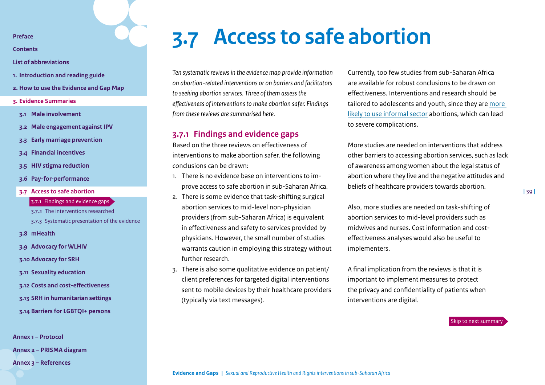**[Contents](#page-2-0)**

**[List of abbreviations](#page-3-0)**

- **1. [Introduction and reading guide](#page-4-0)**
- **2. [How to use the Evidence and Gap Map](#page-7-0)**
- **3. [Evidence Summaries](#page-10-0)**
- **3.1 [Male involvement](#page-11-0)**
- **3.2 [Male engagement against IPV](#page-15-0)**
- **3.3 [Early marriage prevention](#page-19-0)**
- **3.4 [Financial incentives](#page-23-0)**
- **3.5 [HIV stigma reduction](#page-30-0)**
- **3.6 [Pay-for-performance](#page-33-0)**
- **3.7 [Access to safe abortion](#page-38-0)**

#### 3.7.1 [Findings and evidence gaps](#page-38-1)

3.7.2 [The interventions researched](#page-39-0) [3.7.3 Systematic presentation of the evidence](#page-40-0)

- **3.8 [mHealth](#page-42-0)**
- **3.9 [Advocacy for WLHIV](#page-46-0)**
- **3.10 [Advocacy for SRH](#page-49-0)**
- **3.11 [Sexuality education](#page-53-0)**
- **3.12 [Costs and cost-effectiveness](#page-58-0)**
- **3.13 [SRH in humanitarian settings](#page-62-0)**
- **3.14 [Barriers for LGBTQI+ persons](#page-67-0)**

**[Annex 1 – Protocol](#page-71-0)**

**[Annex 2 – PRISMA diagram](#page-85-0)** 

**[Annex 3 – References](#page-86-0)**

# <span id="page-38-0"></span>**3.7 Access to safe abortion**

*Ten systematic reviews in the evidence map provide information on abortion-related interventions or on barriers and facilitators to seeking abortion services. Three of them assess the effectiveness of interventions to make abortion safer. Findings from these reviews are summarised here.*

### <span id="page-38-1"></span>**3.7.1 Findings and evidence gaps**

Based on the three reviews on effectiveness of interventions to make abortion safer, the following conclusions can be drawn:

- 1. There is no evidence base on interventions to improve access to safe abortion in sub-Saharan Africa.
- 2. There is some evidence that task-shifting surgical abortion services to mid-level non-physician providers (from sub-Saharan Africa) is equivalent in effectiveness and safety to services provided by physicians. However, the small number of studies warrants caution in employing this strategy without further research.
- 3. There is also some qualitative evidence on patient/ client preferences for targeted digital interventions sent to mobile devices by their healthcare providers (typically via text messages).

Currently, too few studies from sub-Saharan Africa are available for robust conclusions to be drawn on effectiveness. Interventions and research should be tailored to adolescents and youth, since they are [more](https://onlinelibrary.wiley.com/doi/full/10.1002/hpm.2842)  [likely to use informal sector](https://onlinelibrary.wiley.com/doi/full/10.1002/hpm.2842) abortions, which can lead to severe complications.

More studies are needed on interventions that address other barriers to accessing abortion services, such as lack of awareness among women about the legal status of abortion where they live and the negative attitudes and beliefs of healthcare providers towards abortion.

Also, more studies are needed on task-shifting of abortion services to mid-level providers such as midwives and nurses. Cost information and costeffectiveness analyses would also be useful to implementers.

A final implication from the reviews is that it is important to implement measures to protect the privacy and confidentiality of patients when interventions are digital.

[Skip to next summary](#page-42-0)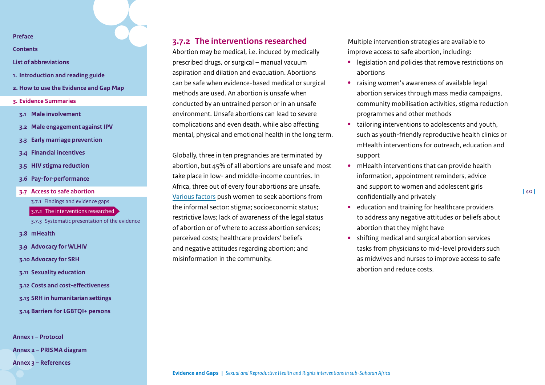**[Contents](#page-2-0)**

- **[List of abbreviations](#page-3-0)**
- **1. [Introduction and reading guide](#page-4-0)**
- **2. [How to use the Evidence and Gap Map](#page-7-0)**
- **3. [Evidence Summaries](#page-10-0)**
- **3.1 [Male involvement](#page-11-0)**
- **3.2 [Male engagement against IPV](#page-15-0)**
- **3.3 [Early marriage prevention](#page-19-0)**
- **3.4 [Financial incentives](#page-23-0)**
- **3.5 [HIV stigma reduction](#page-30-0)**
- **3.6 [Pay-for-performance](#page-33-0)**
- **3.7 [Access to safe abortion](#page-38-0)**

3.7.1 [Findings and evidence gaps](#page-38-1) 3.7.2 [The interventions researched](#page-39-0)

[3.7.3 Systematic presentation of the evidence](#page-40-0)

- **3.8 [mHealth](#page-42-0)**
- **3.9 [Advocacy for WLHIV](#page-46-0)**
- **3.10 [Advocacy for SRH](#page-49-0)**
- **3.11 [Sexuality education](#page-53-0)**
- **3.12 [Costs and cost-effectiveness](#page-58-0)**
- **3.13 [SRH in humanitarian settings](#page-62-0)**
- **3.14 [Barriers for LGBTQI+ persons](#page-67-0)**

**[Annex 1 – Protocol](#page-71-0)**

**[Annex 2 – PRISMA diagram](#page-85-0)** 

**[Annex 3 – References](#page-86-0)**

# <span id="page-39-0"></span>**3.7.2 The interventions researched**

Abortion may be medical, i.e. induced by medically prescribed drugs, or surgical – manual vacuum aspiration and dilation and evacuation. Abortions can be safe when evidence-based medical or surgical methods are used. An abortion is unsafe when conducted by an untrained person or in an unsafe environment. Unsafe abortions can lead to severe complications and even death, while also affecting mental, physical and emotional health in the long term.

Globally, three in ten pregnancies are terminated by abortion, but 45% of all abortions are unsafe and most take place in low- and middle-income countries. In Africa, three out of every four abortions are unsafe. [Various factors](https://bmcwomenshealth.biomedcentral.com/track/pdf/10.1186/s12905-019-0751-0.pdf) push women to seek abortions from the informal sector: stigma; socioeconomic status; restrictive laws; lack of awareness of the legal status of abortion or of where to access abortion services; perceived costs; healthcare providers' beliefs and negative attitudes regarding abortion; and misinformation in the community.

Multiple intervention strategies are available to improve access to safe abortion, including:

- **•** legislation and policies that remove restrictions on abortions
- **•** raising women's awareness of available legal abortion services through mass media campaigns, community mobilisation activities, stigma reduction programmes and other methods
- **•** tailoring interventions to adolescents and youth, such as youth-friendly reproductive health clinics or mHealth interventions for outreach, education and support
- **•** mHealth interventions that can provide health information, appointment reminders, advice and support to women and adolescent girls confidentially and privately
- **•** education and training for healthcare providers to address any negative attitudes or beliefs about abortion that they might have
- **•** shifting medical and surgical abortion services tasks from physicians to mid-level providers such as midwives and nurses to improve access to safe abortion and reduce costs[.](#page-38-0)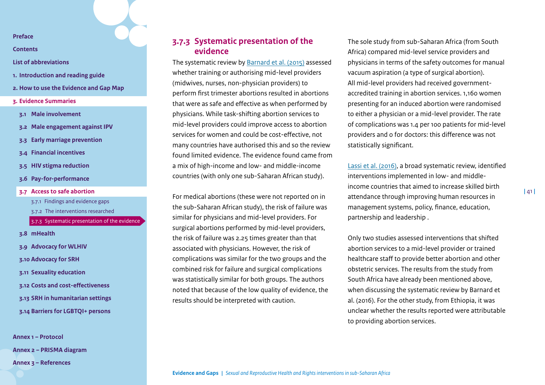**[Contents](#page-2-0)**

**[List of abbreviations](#page-3-0)**

- **1. [Introduction and reading guide](#page-4-0)**
- **2. [How to use the Evidence and Gap Map](#page-7-0)**
- **3. [Evidence Summaries](#page-10-0)**
- **3.1 [Male involvement](#page-11-0)**
- **3.2 [Male engagement against IPV](#page-15-0)**
- **3.3 [Early marriage prevention](#page-19-0)**
- **3.4 [Financial incentives](#page-23-0)**
- **3.5 [HIV stigma reduction](#page-30-0)**
- **3.6 [Pay-for-performance](#page-33-0)**
- **3.7 [Access to safe abortion](#page-38-0)** 3.7.1 [Findings and evidence gaps](#page-38-1)
	- 3.7.2 [The interventions researched](#page-39-0)
	- [3.7.3 Systematic presentation of the evidence](#page-40-0)
- **3.8 [mHealth](#page-42-0)**
- **3.9 [Advocacy for WLHIV](#page-46-0)**
- **3.10 [Advocacy for SRH](#page-49-0)**
- **3.11 [Sexuality education](#page-53-0)**
- **3.12 [Costs and cost-effectiveness](#page-58-0)**
- **3.13 [SRH in humanitarian settings](#page-62-0)**
- **3.14 [Barriers for LGBTQI+ persons](#page-67-0)**

**[Annex 1 – Protocol](#page-71-0) [Annex 2 – PRISMA diagram](#page-85-0)  [Annex 3 – References](#page-86-0)**

# <span id="page-40-0"></span>**3.7.3 Systematic presentation of the evidence**

The systematic review by [Barnard et al. \(2015\)](https://www.cochranelibrary.com/cdsr/doi/10.1002/14651858.CD011242.pub2/full) assessed whether training or authorising mid-level providers (midwives, nurses, non-physician providers) to perform first trimester abortions resulted in abortions that were as safe and effective as when performed by physicians. While task-shifting abortion services to mid-level providers could improve access to abortion services for women and could be cost-effective, not many countries have authorised this and so the review found limited evidence. The evidence found came from a mix of high-income and low- and middle-income countries (with only one sub-Saharan African study).

For medical abortions (these were not reported on in the sub-Saharan African study), the risk of failure was similar for physicians and mid-level providers. For surgical abortions performed by mid-level providers, the risk of failure was 2.25 times greater than that associated with physicians. However, the risk of complications was similar for the two groups and the combined risk for failure and surgical complications was statistically similar for both groups. The authors noted that because of the low quality of evidence, the results should be interpreted with caution.

The sole study from sub-Saharan Africa (from South Africa) compared mid-level service providers and physicians in terms of the safety outcomes for manual vacuum aspiration (a type of surgical abortion). All mid-level providers had received governmentaccredited training in abortion services. 1,160 women presenting for an induced abortion were randomised to either a physician or a mid-level provider. The rate of complications was 1.4 per 100 patients for mid-level providers and 0 for doctors: this difference was not statistically significant.

[Lassi et al. \(2016\),](https://human-resources-health.biomedcentral.com/track/pdf/10.1186/s12960-016-0106-y.pdf) a broad systematic review, identified interventions implemented in low- and middleincome countries that aimed to increase skilled birth attendance through improving human resources in management systems, policy, finance, education, partnership and leadership .

Only two studies assessed interventions that shifted abortion services to a mid-level provider or trained healthcare staff to provide better abortion and other obstetric services. The results from the study from South Africa have already been mentioned above, when discussing the systematic review by Barnard et al. (2016). For the other study, from Ethiopia, it was unclear whether the results reported were attributable to providing abortion services.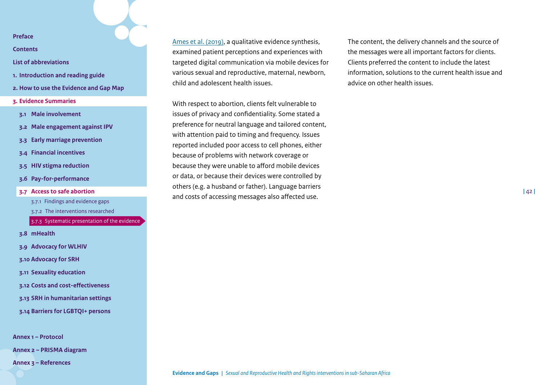**[Contents](#page-2-0)**

- **[List of abbreviations](#page-3-0)**
- **1. [Introduction and reading guide](#page-4-0)**
- **2. [How to use the Evidence and Gap Map](#page-7-0)**
- **3. [Evidence Summaries](#page-10-0)**
- **3.1 [Male involvement](#page-11-0)**
- **3.2 [Male engagement against IPV](#page-15-0)**
- **3.3 [Early marriage prevention](#page-19-0)**
- **3.4 [Financial incentives](#page-23-0)**
- **3.5 [HIV stigma reduction](#page-30-0)**
- **3.6 [Pay-for-performance](#page-33-0)**
- **3.7 [Access to safe abortion](#page-38-0)**

3.7.1 [Findings and evidence gaps](#page-38-1) 3.7.2 [The interventions researched](#page-39-0) [3.7.3 Systematic presentation of the evidence](#page-40-0)

- **3.8 [mHealth](#page-42-0)**
- **3.9 [Advocacy for WLHIV](#page-46-0)**
- **3.10 [Advocacy for SRH](#page-49-0)**
- **3.11 [Sexuality education](#page-53-0)**
- **3.12 [Costs and cost-effectiveness](#page-58-0)**
- **3.13 [SRH in humanitarian settings](#page-62-0)**
- **3.14 [Barriers for LGBTQI+ persons](#page-67-0)**

**[Annex 1 – Protocol](#page-71-0)**

**[Annex 2 – PRISMA diagram](#page-85-0)** 

**[Annex 3 – References](#page-86-0)**

[Ames et al. \(2019\)](https://www.cochranelibrary.com/cdsr/doi/10.1002/14651858.CD013447/epdf/full), a qualitative evidence synthesis, examined patient perceptions and experiences with targeted digital communication via mobile devices for various sexual and reproductive, maternal, newborn, child and adolescent health issues.

With respect to abortion, clients felt vulnerable to issues of privacy and confidentiality. Some stated a preference for neutral language and tailored content, with attention paid to timing and frequency. Issues reported included poor access to cell phones, either because of problems with network coverage or because they were unable to afford mobile devices or data, or because their devices were controlled by others (e.g. a husband or father). Language barriers and costs of accessing messages also affected use.

The content, the delivery channels and the source of the messages were all important factors for clients. Clients preferred the content to include the latest information, solutions to the current health issue and advice on other health issues.

**|** 42 **|**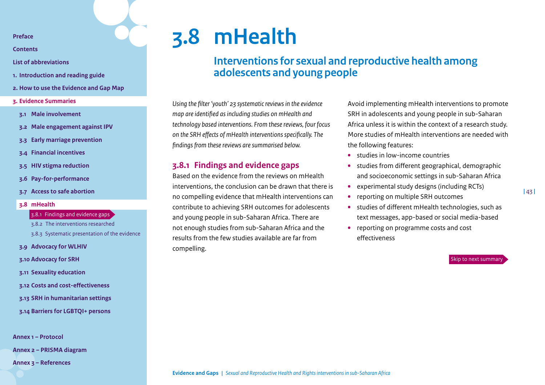**[Contents](#page-2-0)**

- **[List of abbreviations](#page-3-0)**
- **1. [Introduction and reading guide](#page-4-0)**
- **2. [How to use the Evidence and Gap Map](#page-7-0)**
- **3. [Evidence Summaries](#page-10-0)**
- **3.1 [Male involvement](#page-11-0)**
- **3.2 [Male engagement against IPV](#page-15-0)**
- **3.3 [Early marriage prevention](#page-19-0)**
- **3.4 [Financial incentives](#page-23-0)**
- **3.5 [HIV stigma reduction](#page-30-0)**
- **3.6 [Pay-for-performance](#page-33-0)**
- **3.7 [Access to safe abortion](#page-38-0)**
- **3.8 [mHealth](#page-42-0)**

#### 3.8.1 [Findings and evidence gaps](#page-42-1)

- 3.8.2 [The interventions researched](#page-43-0) [3.8.3 Systematic presentation of the evidence](#page-44-0)
- 
- **3.9 [Advocacy for WLHIV](#page-46-0)**
- **3.10 [Advocacy for SRH](#page-49-0)**
- **3.11 [Sexuality education](#page-53-0)**
- **3.12 [Costs and cost-effectiveness](#page-58-0)**
- **3.13 [SRH in humanitarian settings](#page-62-0)**
- **3.14 [Barriers for LGBTQI+ persons](#page-67-0)**

**[Annex 1 – Protocol](#page-71-0)**

**[Annex 2 – PRISMA diagram](#page-85-0)** 

**[Annex 3 – References](#page-86-0)**

# **3.8 mHealth**

# <span id="page-42-0"></span>**Interventions for sexual and reproductive health among adolescents and young people**

*Using the filter 'youth' 23 systematic reviews in the evidence map are identified as including studies on mHealth and technology based interventions. From these reviews, four focus on the SRH effects of mHealth interventions specifically. The findings from these reviews are summarised below.*

# <span id="page-42-1"></span>**3.8.1 Findings and evidence gaps**

Based on the evidence from the reviews on mHealth interventions, the conclusion can be drawn that there is no compelling evidence that mHealth interventions can contribute to achieving SRH outcomes for adolescents and young people in sub-Saharan Africa. There are not enough studies from sub-Saharan Africa and the results from the few studies available are far from compelling.

Avoid implementing mHealth interventions to promote SRH in adolescents and young people in sub-Saharan Africa unless it is within the context of a research study. More studies of mHealth interventions are needed with the following features:

- **•** studies in low-income countries
- **•** studies from different geographical, demographic and socioeconomic settings in sub-Saharan Africa
- **•** experimental study designs (including RCTs)
- **•** reporting on multiple SRH outcomes
- **•** studies of different mHealth technologies, such as text messages, app-based or social media-based
- **•** reporting on programme costs and cost effectiveness

[Skip to next summary](#page-46-0)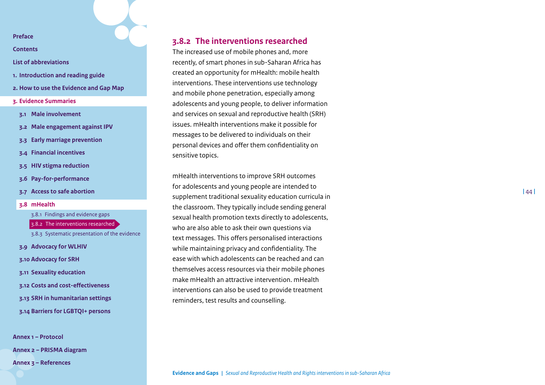**[Contents](#page-2-0)**

- **[List of abbreviations](#page-3-0)**
- **1. [Introduction and reading guide](#page-4-0)**
- **2. [How to use the Evidence and Gap Map](#page-7-0)**
- **3. [Evidence Summaries](#page-10-0)**
- **3.1 [Male involvement](#page-11-0)**
- **3.2 [Male engagement against IPV](#page-15-0)**
- **3.3 [Early marriage prevention](#page-19-0)**
- **3.4 [Financial incentives](#page-23-0)**
- **3.5 [HIV stigma reduction](#page-30-0)**
- **3.6 [Pay-for-performance](#page-33-0)**
- **3.7 [Access to safe abortion](#page-38-0)**
- **3.8 [mHealth](#page-42-0)**

3.8.1 [Findings and evidence gaps](#page-42-1)

- 3.8.2 [The interventions researched](#page-43-0)
- [3.8.3 Systematic presentation of the evidence](#page-44-0)
- **3.9 [Advocacy for WLHIV](#page-46-0)**
- **3.10 [Advocacy for SRH](#page-49-0)**
- **3.11 [Sexuality education](#page-53-0)**
- **3.12 [Costs and cost-effectiveness](#page-58-0)**
- **3.13 [SRH in humanitarian settings](#page-62-0)**
- **3.14 [Barriers for LGBTQI+ persons](#page-67-0)**

**[Annex 1 – Protocol](#page-71-0) [Annex 2 – PRISMA diagram](#page-85-0)  [Annex 3 – References](#page-86-0)**

# <span id="page-43-0"></span>**3.8.2 The interventions researched**

The increased use of mobile phones and, more recently, of smart phones in sub-Saharan Africa has created an opportunity for mHealth: mobile health interventions. These interventions use technology and mobile phone penetration, especially among adolescents and young people, to deliver information and services on sexual and reproductive health (SRH) issues. mHealth interventions make it possible for messages to be delivered to individuals on their personal devices and offer them confidentiality on sensitive topics.

mHealth interventions to improve SRH outcomes for adolescents and young people are intended to supplement traditional sexuality education curricula in the classroom. They typically include sending general sexual health promotion texts directly to adolescents, who are also able to ask their own questions via text messages. This offers personalised interactions while maintaining privacy and confidentiality. The ease with which adolescents can be reached and can themselves access resources via their mobile phones make mHealth an attractive intervention. mHealth interventions can also be used to provide treatment reminders, test results and counselling.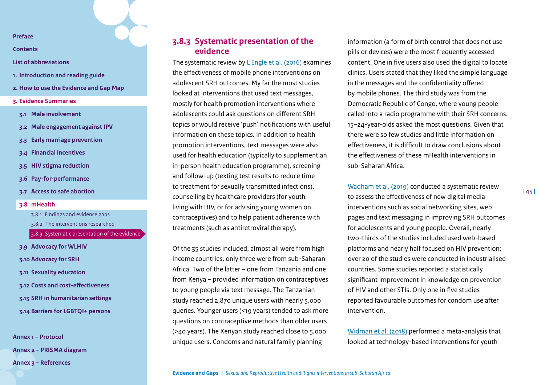**[Contents](#page-2-0)**

**[List of abbreviations](#page-3-0)**

- **1. [Introduction and reading guide](#page-4-0)**
- **2. [How to use the Evidence and Gap Map](#page-7-0)**
- **3. [Evidence Summaries](#page-10-0)**
- **3.1 [Male involvement](#page-11-0)**
- **3.2 [Male engagement against IPV](#page-15-0)**
- **3.3 [Early marriage prevention](#page-19-0)**
- **3.4 [Financial incentives](#page-23-0)**
- **3.5 [HIV stigma reduction](#page-30-0)**
- **3.6 [Pay-for-performance](#page-33-0)**
- **3.7 [Access to safe abortion](#page-38-0)**
- **3.8 [mHealth](#page-42-0)**

3.8.1 [Findings and evidence gaps](#page-42-1) 3.8.2 [The interventions researched](#page-43-0)

[3.8.3 Systematic presentation of the evidence](#page-44-0)

**3.9 [Advocacy for WLHIV](#page-46-0) 3.10 [Advocacy for SRH](#page-49-0) 3.11 [Sexuality education](#page-53-0) 3.12 [Costs and cost-effectiveness](#page-58-0) 3.13 [SRH in humanitarian settings](#page-62-0) 3.14 [Barriers for LGBTQI+ persons](#page-67-0)**

**[Annex 1 – Protocol](#page-71-0) [Annex 2 – PRISMA diagram](#page-85-0)  [Annex 3 – References](#page-86-0)**

# <span id="page-44-0"></span>**3.8.3 Systematic presentation of the evidence**

The systematic review by [L'Engle et al. \(2016\)](https://pediatrics.aappublications.org/content/pediatrics/138/3/e20160884.full.pdf) examines the effectiveness of mobile phone interventions on adolescent SRH outcomes. My far the most studies looked at interventions that used text messages, mostly for health promotion interventions where adolescents could ask questions on different SRH topics or would receive 'push' notifications with useful information on these topics. In addition to health promotion interventions, text messages were also used for health education (typically to supplement an in-person health education programme), screening and follow-up (texting test results to reduce time to treatment for sexually transmitted infections), counselling by healthcare providers (for youth living with HIV, or for advising young women on contraceptives) and to help patient adherence with treatments (such as antiretroviral therapy).

Of the 35 studies included, almost all were from high income countries; only three were from sub-Saharan Africa. Two of the latter – one from Tanzania and one from Kenya – provided information on contraceptives to young people via text message. The Tanzanian study reached 2,870 unique users with nearly 5,000 queries. Younger users (<19 years) tended to ask more questions on contraceptive methods than older users (>40 years). The Kenyan study reached close to 5,000 unique users. Condoms and natural family planning

information (a form of birth control that does not use pills or devices) were the most frequently accessed content. One in five users also used the digital to locate clinics. Users stated that they liked the simple language in the messages and the confidentiality offered by mobile phones. The third study was from the Democratic Republic of Congo, where young people called into a radio programme with their SRH concerns. 15–24-year-olds asked the most questions. Given that there were so few studies and little information on effectiveness, it is difficult to draw conclusions about the effectiveness of these mHealth interventions in sub-Saharan Africa.

[Wadham et al. \(2019\)](https://www.publish.csiro.au/sh/pdf/SH18127) conducted a systematic review to assess the effectiveness of new digital media interventions such as social networking sites, web pages and text messaging in improving SRH outcomes for adolescents and young people. Overall, nearly two-thirds of the studies included used web-based platforms and nearly half focused on HIV prevention; over 20 of the studies were conducted in industrialised countries. Some studies reported a statistically significant improvement in knowledge on prevention of HIV and other STIs. Only one in five studies reported favourable outcomes for condom use after intervention.

[Widman et al. \(2018\)](https://www.ncbi.nlm.nih.gov/pmc/articles/PMC5966833/pdf/nihms962128.pdf) performed a meta-analysis that looked at technology-based interventions for youth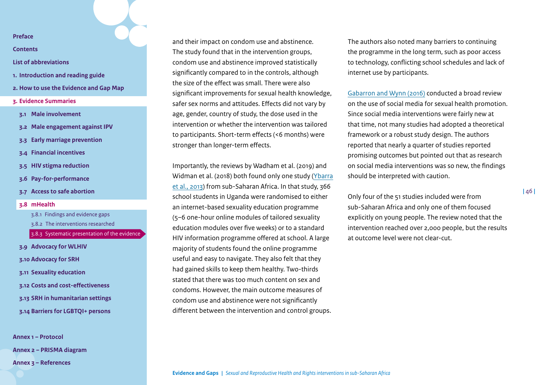**[Contents](#page-2-0)**

#### **[List of abbreviations](#page-3-0)**

- **1. [Introduction and reading guide](#page-4-0)**
- **2. [How to use the Evidence and Gap Map](#page-7-0)**
- **3. [Evidence Summaries](#page-10-0)**
- **3.1 [Male involvement](#page-11-0)**
- **3.2 [Male engagement against IPV](#page-15-0)**
- **3.3 [Early marriage prevention](#page-19-0)**
- **3.4 [Financial incentives](#page-23-0)**
- **3.5 [HIV stigma reduction](#page-30-0)**
- **3.6 [Pay-for-performance](#page-33-0)**
- **3.7 [Access to safe abortion](#page-38-0)**
- **3.8 [mHealth](#page-42-0)**

3.8.1 [Findings and evidence gaps](#page-42-1)

- 3.8.2 [The interventions researched](#page-43-0)
- [3.8.3 Systematic presentation of the evidence](#page-44-0)
- **3.9 [Advocacy for WLHIV](#page-46-0)**
- **3.10 [Advocacy for SRH](#page-49-0)**
- **3.11 [Sexuality education](#page-53-0)**
- **3.12 [Costs and cost-effectiveness](#page-58-0)**
- **3.13 [SRH in humanitarian settings](#page-62-0)**
- **3.14 [Barriers for LGBTQI+ persons](#page-67-0)**

**[Annex 1 – Protocol](#page-71-0) [Annex 2 – PRISMA diagram](#page-85-0)  [Annex 3 – References](#page-86-0)**

and their impact on condom use and abstinence. The study found that in the intervention groups, condom use and abstinence improved statistically significantly compared to in the controls, although the size of the effect was small. There were also significant improvements for sexual health knowledge, safer sex norms and attitudes. Effects did not vary by age, gender, country of study, the dose used in the intervention or whether the intervention was tailored to participants. Short-term effects (<6 months) were stronger than longer-term effects.

Importantly, the reviews by Wadham et al. (2019) and Widman et al. (2018) both found only one study ([Ybarra](https://journals.plos.org/plosone/article?id=10.1371/journal.pone.0070083) [et al., 2013](https://journals.plos.org/plosone/article?id=10.1371/journal.pone.0070083)) from sub-Saharan Africa. In that study, 366 school students in Uganda were randomised to either an internet-based sexuality education programme (5–6 one-hour online modules of tailored sexuality education modules over five weeks) or to a standard HIV information programme offered at school. A large majority of students found the online programme useful and easy to navigate. They also felt that they had gained skills to keep them healthy. Two-thirds stated that there was too much content on sex and condoms. However, the main outcome measures of condom use and abstinence were not significantly different between the intervention and control groups.

The authors also noted many barriers to continuing the programme in the long term, such as poor access to technology, conflicting school schedules and lack of internet use by participants.

[Gabarron and Wynn \(2016\)](https://www.ncbi.nlm.nih.gov/pmc/articles/PMC5030258/pdf/GHA-9-32193.pdf) conducted a broad review on the use of social media for sexual health promotion. Since social media interventions were fairly new at that time, not many studies had adopted a theoretical framework or a robust study design. The authors reported that nearly a quarter of studies reported promising outcomes but pointed out that as research on social media interventions was so new, the findings should be interpreted with caution.

Only four of the 51 studies included were from sub-Saharan Africa and only one of them focused explicitly on young people. The review noted that the intervention reached over 2,000 people, but the results at outcome level were not clear-cut.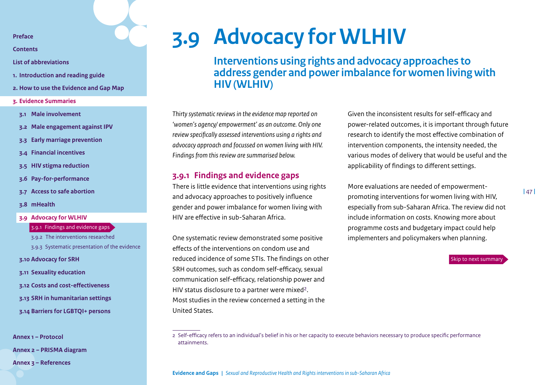**[Contents](#page-2-0)**

- **[List of abbreviations](#page-3-0)**
- **1. [Introduction and reading guide](#page-4-0)**
- **2. [How to use the Evidence and Gap Map](#page-7-0)**
- **3. [Evidence Summaries](#page-10-0)**
- **3.1 [Male involvement](#page-11-0)**
- **3.2 [Male engagement against IPV](#page-15-0)**
- **3.3 [Early marriage prevention](#page-19-0)**
- **3.4 [Financial incentives](#page-23-0)**
- **3.5 [HIV stigma reduction](#page-30-0)**
- **3.6 [Pay-for-performance](#page-33-0)**
- **3.7 [Access to safe abortion](#page-38-0)**
- **3.8 [mHealth](#page-42-0)**

#### **3.9 [Advocacy for WLHIV](#page-46-0)**

- 3.9.1 [Findings and evidence gaps](#page-46-1)
- 3.9.2 [The interventions researched](#page-47-0)
- [3.9.3 Systematic presentation of the evidence](#page-48-0)

**3.10 [Advocacy for SRH](#page-49-0)**

- **3.11 [Sexuality education](#page-53-0)**
- **3.12 [Costs and cost-effectiveness](#page-58-0)**
- **3.13 [SRH in humanitarian settings](#page-62-0)**
- **3.14 [Barriers for LGBTQI+ persons](#page-67-0)**

**[Annex 1 – Protocol](#page-71-0)**

**[Annex 2 – PRISMA diagram](#page-85-0)** 

**[Annex 3 – References](#page-86-0)**

# **3.9 Advocacy for WLHIV**

<span id="page-46-0"></span>**Interventions using rights and advocacy approaches to address gender and power imbalance for women living with HIV (WLHIV)**

*Thirty systematic reviews in the evidence map reported on 'women's agency/ empowerment' as an outcome. Only one review specifically assessed interventions using a rights and advocacy approach and focussed on women living with HIV. Findings from this review are summarised below.*

### <span id="page-46-1"></span>**3.9.1 Findings and evidence gaps**

There is little evidence that interventions using rights and advocacy approaches to positively influence gender and power imbalance for women living with HIV are effective in sub-Saharan Africa.

One systematic review demonstrated some positive effects of the interventions on condom use and reduced incidence of some STIs. The findings on other SRH outcomes, such as condom self-efficacy, sexual communication self-efficacy, relationship power and HIV status disclosure to a partner were mixed<sup>2</sup>. Most studies in the review concerned a setting in the United States.

Given the inconsistent results for self-efficacy and power-related outcomes, it is important through future research to identify the most effective combination of intervention components, the intensity needed, the various modes of delivery that would be useful and the applicability of findings to different settings.

More evaluations are needed of empowermentpromoting interventions for women living with HIV, especially from sub-Saharan Africa. The review did not include information on costs. Knowing more about programme costs and budgetary impact could help implementers and policymakers when planning.



<sup>2</sup> Self-efficacy refers to an individual's belief in his or her capacity to execute behaviors necessary to produce specific performance attainments.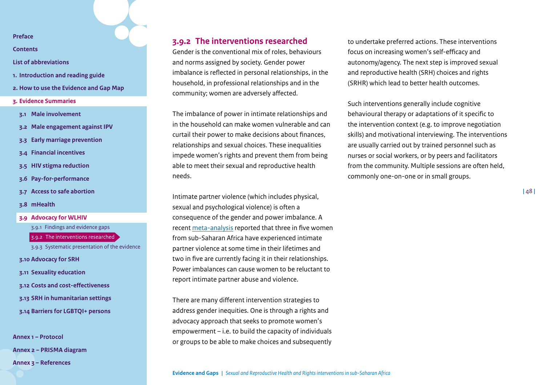**[Contents](#page-2-0)**

- **[List of abbreviations](#page-3-0)**
- **1. [Introduction and reading guide](#page-4-0)**
- **2. [How to use the Evidence and Gap Map](#page-7-0)**
- **3. [Evidence Summaries](#page-10-0)**
- **3.1 [Male involvement](#page-11-0)**
- **3.2 [Male engagement against IPV](#page-15-0)**
- **3.3 [Early marriage prevention](#page-19-0)**
- **3.4 [Financial incentives](#page-23-0)**
- **3.5 [HIV stigma reduction](#page-30-0)**
- **3.6 [Pay-for-performance](#page-33-0)**
- **3.7 [Access to safe abortion](#page-38-0)**
- **3.8 [mHealth](#page-42-0)**
- **3.9 [Advocacy for WLHIV](#page-46-0)**

3.9.1 [Findings and evidence gaps](#page-46-1)

3.9.2 [The interventions researched](#page-47-0)

[3.9.3 Systematic presentation of the evidence](#page-48-0)

**3.10 [Advocacy for SRH](#page-49-0)**

- **3.11 [Sexuality education](#page-53-0)**
- **3.12 [Costs and cost-effectiveness](#page-58-0)**
- **3.13 [SRH in humanitarian settings](#page-62-0)**
- **3.14 [Barriers for LGBTQI+ persons](#page-67-0)**

**[Annex 1 – Protocol](#page-71-0) [Annex 2 – PRISMA diagram](#page-85-0)  [Annex 3 – References](#page-86-0)**

# <span id="page-47-0"></span>**3.9.2 The interventions researched**

Gender is the conventional mix of roles, behaviours and norms assigned by society. Gender power imbalance is reflected in personal relationships, in the household, in professional relationships and in the community; women are adversely affected.

The imbalance of power in intimate relationships and in the household can make women vulnerable and can curtail their power to make decisions about finances, relationships and sexual choices. These inequalities impede women's rights and prevent them from being able to meet their sexual and reproductive health needs.

Intimate partner violence (which includes physical, sexual and psychological violence) is often a consequence of the gender and power imbalance. A recent [meta-analysis](https://www.ncbi.nlm.nih.gov/pmc/articles/PMC6604322/) reported that three in five women from sub-Saharan Africa have experienced intimate partner violence at some time in their lifetimes and two in five are currently facing it in their relationships. Power imbalances can cause women to be reluctant to report intimate partner abuse and violence.

There are many different intervention strategies to address gender inequities. One is through a rights and advocacy approach that seeks to promote women's empowerment – i.e. to build the capacity of individuals or groups to be able to make choices and subsequently to undertake preferred actions. These interventions focus on increasing women's self-efficacy and autonomy/agency. The next step is improved sexual and reproductive health (SRH) choices and rights (SRHR) which lead to better health outcomes.

Such interventions generally include cognitive behavioural therapy or adaptations of it specific to the intervention context (e.g. to improve negotiation skills) and motivational interviewing. The interventions are usually carried out by trained personnel such as nurses or social workers, or by peers and facilitators from the community. Multiple sessions are often held, commonly one-on-one or in small groups.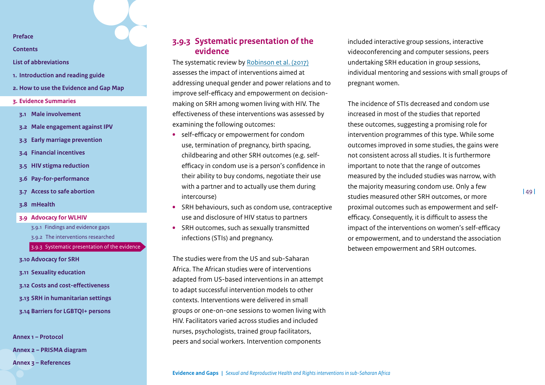**[Contents](#page-2-0)**

**[List of abbreviations](#page-3-0)**

- **1. [Introduction and reading guide](#page-4-0)**
- **2. [How to use the Evidence and Gap Map](#page-7-0)**
- **3. [Evidence Summaries](#page-10-0)**
- **3.1 [Male involvement](#page-11-0)**
- **3.2 [Male engagement against IPV](#page-15-0)**
- **3.3 [Early marriage prevention](#page-19-0)**
- **3.4 [Financial incentives](#page-23-0)**
- **3.5 [HIV stigma reduction](#page-30-0)**
- **3.6 [Pay-for-performance](#page-33-0)**
- **3.7 [Access to safe abortion](#page-38-0)**
- **3.8 [mHealth](#page-42-0)**
- **3.9 [Advocacy for WLHIV](#page-46-0)**
	- 3.9.1 [Findings and evidence gaps](#page-46-1)
	- 3.9.2 [The interventions researched](#page-47-0)
	- [3.9.3 Systematic presentation of the evidence](#page-48-0)

**3.10 [Advocacy for SRH](#page-49-0)**

- **3.11 [Sexuality education](#page-53-0)**
- **3.12 [Costs and cost-effectiveness](#page-58-0)**
- **3.13 [SRH in humanitarian settings](#page-62-0)**
- **3.14 [Barriers for LGBTQI+ persons](#page-67-0)**

**[Annex 1 – Protocol](#page-71-0) [Annex 2 – PRISMA diagram](#page-85-0)** 

**[Annex 3 – References](#page-86-0)**

# <span id="page-48-0"></span>**3.9.3 Systematic presentation of the evidence**

The systematic review by [Robinson et al. \(2017\)](https://journals.plos.org/plosone/article?id=10.1371/journal.pone.0180699) assesses the impact of interventions aimed at addressing unequal gender and power relations and to improve self-efficacy and empowerment on decisionmaking on SRH among women living with HIV. The effectiveness of these interventions was assessed by examining the following outcomes:

- **•** self-efficacy or empowerment for condom use, termination of pregnancy, birth spacing, childbearing and other SRH outcomes (e.g. selfefficacy in condom use is a person's confidence in their ability to buy condoms, negotiate their use with a partner and to actually use them during intercourse)
- **•** SRH behaviours, such as condom use, contraceptive use and disclosure of HIV status to partners
- **•** SRH outcomes, such as sexually transmitted infections (STIs) and pregnancy.

The studies were from the US and sub-Saharan Africa. The African studies were of interventions adapted from US-based interventions in an attempt to adapt successful intervention models to other contexts. Interventions were delivered in small groups or one-on-one sessions to women living with HIV. Facilitators varied across studies and included nurses, psychologists, trained group facilitators, peers and social workers. Intervention components

included interactive group sessions, interactive videoconferencing and computer sessions, peers undertaking SRH education in group sessions, individual mentoring and sessions with small groups of pregnant women.

The incidence of STIs decreased and condom use increased in most of the studies that reported these outcomes, suggesting a promising role for intervention programmes of this type. While some outcomes improved in some studies, the gains were not consistent across all studies. It is furthermore important to note that the range of outcomes measured by the included studies was narrow, with the majority measuring condom use. Only a few studies measured other SRH outcomes, or more proximal outcomes such as empowerment and selfefficacy. Consequently, it is difficult to assess the impact of the interventions on women's self-efficacy or empowerment, and to understand the association between empowerment and SRH outcomes.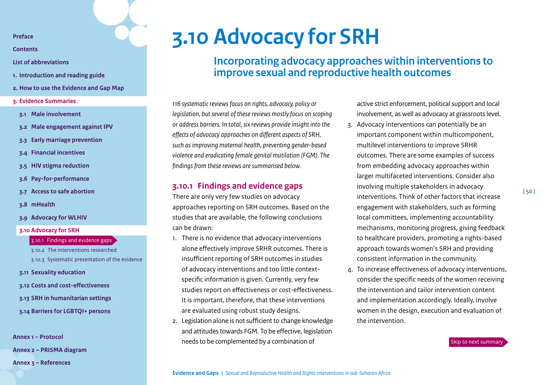**[Contents](#page-2-0)**

- **[List of abbreviations](#page-3-0)**
- **1. [Introduction and reading guide](#page-4-0)**
- **2. [How to use the Evidence and Gap Map](#page-7-0)**
- **3. [Evidence Summaries](#page-10-0)**
- **3.1 [Male involvement](#page-11-0)**
- **3.2 [Male engagement against IPV](#page-15-0)**
- **3.3 [Early marriage prevention](#page-19-0)**
- **3.4 [Financial incentives](#page-23-0)**
- **3.5 [HIV stigma reduction](#page-30-0)**
- **3.6 [Pay-for-performance](#page-33-0)**
- **3.7 [Access to safe abortion](#page-38-0)**
- **3.8 [mHealth](#page-42-0)**
- **3.9 [Advocacy for WLHIV](#page-46-0)**
- **3.10 [Advocacy for SRH](#page-49-0)**
	- 3.10.1 [Findings and evidence gaps](#page-49-1)
	- 3.10.2 [The interventions researched](#page-50-0) [3.10.3 Systematic presentation of the evidence](#page-51-0)
- **3.11 [Sexuality education](#page-53-0)**
- **3.12 [Costs and cost-effectiveness](#page-58-0)**
- **3.13 [SRH in humanitarian settings](#page-62-0)**
- **3.14 [Barriers for LGBTQI+ persons](#page-67-0)**

**[Annex 1 – Protocol](#page-71-0)**

**[Annex 2 – PRISMA diagram](#page-85-0)** 

**[Annex 3 – References](#page-86-0)**

# **3.10 Advocacy for SRH**

<span id="page-49-0"></span>**Incorporating advocacy approaches within interventions to improve sexual and reproductive health outcomes**

*116 systematic reviews focus on rights, advocacy, policy or legislation, but several of these reviews mostly focus on scoping or address barriers. In total, six reviews provide insight into the effects of advocacy approaches on different aspects of SRH, such as improving maternal health, preventing gender-based violence and eradicating female genital mutilation (FGM). The findings from these reviews are summarised below.* 

## <span id="page-49-1"></span>**3.10.1 Findings and evidence gaps**

There are only very few studies on advocacy approaches reporting on SRH outcomes. Based on the studies that are available, the following conclusions can be drawn:

- 1. There is no evidence that advocacy interventions alone effectively improve SRHR outcomes. There is insufficient reporting of SRH outcomes in studies of advocacy interventions and too little contextspecific information is given. Currently, very few studies report on effectiveness or cost-effectiveness. It is important, therefore, that these interventions are evaluated using robust study designs.
- 2. Legislation alone is not sufficient to change knowledge and attitudes towards FGM. To be effective, legislation needs to be complemented by a combination of

active strict enforcement, political support and local involvement, as well as advocacy at grassroots level.

3. Advocacy interventions can potentially be an important component within multicomponent, multilevel interventions to improve SRHR outcomes. There are some examples of success from embedding advocacy approaches within larger multifaceted interventions. Consider also involving multiple stakeholders in advocacy interventions. Think of other factors that increase engagement with stakeholders, such as forming local committees, implementing accountability mechanisms, monitoring progress, giving feedback to healthcare providers, promoting a rights-based approach towards women's SRH and providing consistent information in the community.

**|** 50 **|**

4. To increase effectiveness of advocacy interventions, consider the specific needs of the women receiving the intervention and tailor intervention content and implementation accordingly. Ideally, involve women in the design, execution and evaluation of the intervention.

[Skip to next summary](#page-53-0)

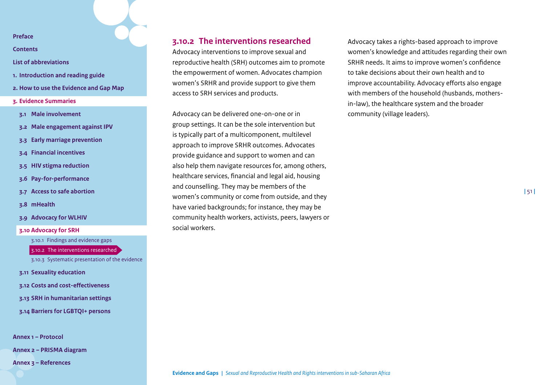**[Contents](#page-2-0)**

- **[List of abbreviations](#page-3-0)**
- **1. [Introduction and reading guide](#page-4-0)**
- **2. [How to use the Evidence and Gap Map](#page-7-0)**
- **3. [Evidence Summaries](#page-10-0)**
- **3.1 [Male involvement](#page-11-0)**
- **3.2 [Male engagement against IPV](#page-15-0)**
- **3.3 [Early marriage prevention](#page-19-0)**
- **3.4 [Financial incentives](#page-23-0)**
- **3.5 [HIV stigma reduction](#page-30-0)**
- **3.6 [Pay-for-performance](#page-33-0)**
- **3.7 [Access to safe abortion](#page-38-0)**
- **3.8 [mHealth](#page-42-0)**
- **3.9 [Advocacy for WLHIV](#page-46-0)**
- **3.10 [Advocacy for SRH](#page-49-0)**

#### 3.10.1 [Findings and evidence gaps](#page-49-1)

#### 3.10.2 [The interventions researched](#page-50-0)

[3.10.3 Systematic presentation of the evidence](#page-51-0)

- **3.11 [Sexuality education](#page-53-0)**
- **3.12 [Costs and cost-effectiveness](#page-58-0)**
- **3.13 [SRH in humanitarian settings](#page-62-0)**
- **3.14 [Barriers for LGBTQI+ persons](#page-67-0)**

**[Annex 1 – Protocol](#page-71-0)**

**[Annex 2 – PRISMA diagram](#page-85-0)** 

**[Annex 3 – References](#page-86-0)**

## <span id="page-50-0"></span>**3.10.2 The interventions researched**

Advocacy interventions to improve sexual and reproductive health (SRH) outcomes aim to promote the empowerment of women. Advocates champion women's SRHR and provide support to give them access to SRH services and products.

Advocacy can be delivered one-on-one or in group settings. It can be the sole intervention but is typically part of a multicomponent, multilevel approach to improve SRHR outcomes. Advocates provide guidance and support to women and can also help them navigate resources for, among others, healthcare services, financial and legal aid, housing and counselling. They may be members of the women's community or come from outside, and they have varied backgrounds; for instance, they may be community health workers, activists, peers, lawyers or social workers.

Advocacy takes a rights-based approach to improve women's knowledge and attitudes regarding their own SRHR needs. It aims to improve women's confidence to take decisions about their own health and to improve accountability. Advocacy efforts also engage with members of the household (husbands, mothersin-law), the healthcare system and the broader community (village leaders).

**|** 51 **|**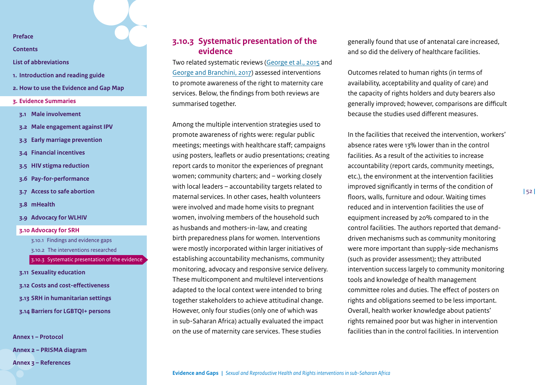**[Contents](#page-2-0)**

- **[List of abbreviations](#page-3-0)**
- **1. [Introduction and reading guide](#page-4-0)**
- **2. [How to use the Evidence and Gap Map](#page-7-0)**
- **3. [Evidence Summaries](#page-10-0)**
- **3.1 [Male involvement](#page-11-0)**
- **3.2 [Male engagement against IPV](#page-15-0)**
- **3.3 [Early marriage prevention](#page-19-0)**
- **3.4 [Financial incentives](#page-23-0)**
- **3.5 [HIV stigma reduction](#page-30-0)**
- **3.6 [Pay-for-performance](#page-33-0)**
- **3.7 [Access to safe abortion](#page-38-0)**
- **3.8 [mHealth](#page-42-0)**
- **3.9 [Advocacy for WLHIV](#page-46-0)**
- **3.10 [Advocacy for SRH](#page-49-0)**
	- 3.10.1 [Findings and evidence gaps](#page-49-1)
	- 3.10.2 [The interventions researched](#page-50-0)
	- [3.10.3 Systematic presentation of the evidence](#page-51-0)
- **3.11 [Sexuality education](#page-53-0)**
- **3.12 [Costs and cost-effectiveness](#page-58-0)**
- **3.13 [SRH in humanitarian settings](#page-62-0)**
- **3.14 [Barriers for LGBTQI+ persons](#page-67-0)**

**[Annex 1 – Protocol](#page-71-0) [Annex 2 – PRISMA diagram](#page-85-0)  [Annex 3 – References](#page-86-0)**

# <span id="page-51-0"></span>**3.10.3 Systematic presentation of the evidence**

Two related systematic reviews ([George et al., 2015](https://www.ncbi.nlm.nih.gov/pmc/articles/PMC4596618/) and [George and Branchini, 2017](https://www.ncbi.nlm.nih.gov/pmc/articles/PMC5577669/)) assessed interventions to promote awareness of the right to maternity care services. Below, the findings from both reviews are summarised together.

Among the multiple intervention strategies used to promote awareness of rights were: regular public meetings; meetings with healthcare staff; campaigns using posters, leaflets or audio presentations; creating report cards to monitor the experiences of pregnant women; community charters; and – working closely with local leaders – accountability targets related to maternal services. In other cases, health volunteers were involved and made home visits to pregnant women, involving members of the household such as husbands and mothers-in-law, and creating birth preparedness plans for women. Interventions were mostly incorporated within larger initiatives of establishing accountability mechanisms, community monitoring, advocacy and responsive service delivery. These multicomponent and multilevel interventions adapted to the local context were intended to bring together stakeholders to achieve attitudinal change. However, only four studies (only one of which was in sub-Saharan Africa) actually evaluated the impact on the use of maternity care services. These studies

generally found that use of antenatal care increased, and so did the delivery of healthcare facilities.

Outcomes related to human rights (in terms of availability, acceptability and quality of care) and the capacity of rights holders and duty bearers also generally improved; however, comparisons are difficult because the studies used different measures.

In the facilities that received the intervention, workers' absence rates were 13% lower than in the control facilities. As a result of the activities to increase accountability (report cards, community meetings, etc.), the environment at the intervention facilities improved significantly in terms of the condition of floors, walls, furniture and odour. Waiting times reduced and in intervention facilities the use of equipment increased by 20% compared to in the control facilities. The authors reported that demanddriven mechanisms such as community monitoring were more important than supply-side mechanisms (such as provider assessment); they attributed intervention success largely to community monitoring tools and knowledge of health management committee roles and duties. The effect of posters on rights and obligations seemed to be less important. Overall, health worker knowledge about patients' rights remained poor but was higher in intervention facilities than in the control facilities. In intervention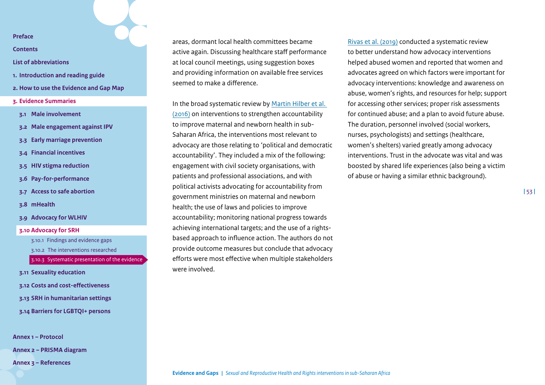**[Contents](#page-2-0)**

- **[List of abbreviations](#page-3-0)**
- **1. [Introduction and reading guide](#page-4-0)**
- **2. [How to use the Evidence and Gap Map](#page-7-0)**
- **3. [Evidence Summaries](#page-10-0)**
- **3.1 [Male involvement](#page-11-0)**
- **3.2 [Male engagement against IPV](#page-15-0)**
- **3.3 [Early marriage prevention](#page-19-0)**
- **3.4 [Financial incentives](#page-23-0)**
- **3.5 [HIV stigma reduction](#page-30-0)**
- **3.6 [Pay-for-performance](#page-33-0)**
- **3.7 [Access to safe abortion](#page-38-0)**
- **3.8 [mHealth](#page-42-0)**
- **3.9 [Advocacy for WLHIV](#page-46-0)**
- **3.10 [Advocacy for SRH](#page-49-0)**
	- 3.10.1 [Findings and evidence gaps](#page-49-1)
	- 3.10.2 [The interventions researched](#page-50-0)
	- [3.10.3 Systematic presentation of the evidence](#page-51-0)
- **3.11 [Sexuality education](#page-53-0)**
- **3.12 [Costs and cost-effectiveness](#page-58-0)**
- **3.13 [SRH in humanitarian settings](#page-62-0)**
- **3.14 [Barriers for LGBTQI+ persons](#page-67-0)**

**[Annex 1 – Protocol](#page-71-0)**

**[Annex 2 – PRISMA diagram](#page-85-0)** 

**[Annex 3 – References](#page-86-0)**

areas, dormant local health committees became active again. Discussing healthcare staff performance at local council meetings, using suggestion boxes and providing information on available free services seemed to make a difference.

In the broad systematic review by [Martin Hilber et al.](https://obgyn.onlinelibrary.wiley.com/doi/full/10.1016/j.ijgo.2016.09.008)  [\(2016\)](https://obgyn.onlinelibrary.wiley.com/doi/full/10.1016/j.ijgo.2016.09.008) on interventions to strengthen accountability to improve maternal and newborn health in sub-Saharan Africa, the interventions most relevant to advocacy are those relating to 'political and democratic accountability'. They included a mix of the following: engagement with civil society organisations, with patients and professional associations, and with political activists advocating for accountability from government ministries on maternal and newborn health; the use of laws and policies to improve accountability; monitoring national progress towards achieving international targets; and the use of a rightsbased approach to influence action. The authors do not provide outcome measures but conclude that advocacy efforts were most effective when multiple stakeholders were involved.

[Rivas et al. \(2019\)](https://www.cochranelibrary.com/cdsr/doi/10.1002/14651858.CD013135.pub2/full) conducted a systematic review to better understand how advocacy interventions helped abused women and reported that women and advocates agreed on which factors were important for advocacy interventions: knowledge and awareness on abuse, women's rights, and resources for help; support for accessing other services; proper risk assessments for continued abuse; and a plan to avoid future abuse. The duration, personnel involved (social workers, nurses, psychologists) and settings (healthcare, women's shelters) varied greatly among advocacy interventions. Trust in the advocate was vital and was boosted by shared life experiences (also being a victim of abuse or having a similar ethnic background).

**|** 53 **|**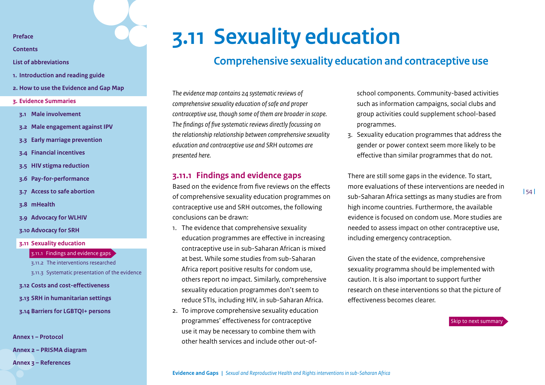**[Contents](#page-2-0)**

- **[List of abbreviations](#page-3-0)**
- **1. [Introduction and reading guide](#page-4-0)**
- **2. [How to use the Evidence and Gap Map](#page-7-0)**
- **3. [Evidence Summaries](#page-10-0)**
- **3.1 [Male involvement](#page-11-0)**
- **3.2 [Male engagement against IPV](#page-15-0)**
- **3.3 [Early marriage prevention](#page-19-0)**
- **3.4 [Financial incentives](#page-23-0)**
- **3.5 [HIV stigma reduction](#page-30-0)**
- **3.6 [Pay-for-performance](#page-33-0)**
- **3.7 [Access to safe abortion](#page-38-0)**
- **3.8 [mHealth](#page-42-0)**
- **3.9 [Advocacy for WLHIV](#page-46-0)**
- **3.10 [Advocacy for SRH](#page-49-0)**
- **3.11 [Sexuality education](#page-53-0)**
	- 3.11.1 [Findings and evidence gaps](#page-53-1)
	- 3.11.2 [The interventions researched](#page-54-0) [3.11.3 Systematic presentation of the evidence](#page-55-0)
	-
- **3.12 [Costs and cost-effectiveness](#page-58-0)**
- **3.13 [SRH in humanitarian settings](#page-62-0)**
- **3.14 [Barriers for LGBTQI+ persons](#page-67-0)**

**[Annex 1 – Protocol](#page-71-0)**

**[Annex 2 – PRISMA diagram](#page-85-0)** 

**[Annex 3 – References](#page-86-0)**

# **3.11 Sexuality education**

# <span id="page-53-0"></span>**Comprehensive sexuality education and contraceptive use**

*The evidence map contains 24 systematic reviews of comprehensive sexuality education of safe and proper contraceptive use, though some of them are broader in scope. The findings of five systematic reviews directly focussing on the relationship relationship between comprehensive sexuality education and contraceptive use and SRH outcomes are presented here.*

## <span id="page-53-1"></span>**3.11.1 Findings and evidence gaps**

Based on the evidence from five reviews on the effects of comprehensive sexuality education programmes on contraceptive use and SRH outcomes, the following conclusions can be drawn:

- 1. The evidence that comprehensive sexuality education programmes are effective in increasing contraceptive use in sub-Saharan African is mixed at best. While some studies from sub-Saharan Africa report positive results for condom use, others report no impact. Similarly, comprehensive sexuality education programmes don't seem to reduce STIs, including HIV, in sub-Saharan Africa.
- 2. To improve comprehensive sexuality education programmes' effectiveness for contraceptive use it may be necessary to combine them with other health services and include other out-of-

school components. Community-based activities such as information campaigns, social clubs and group activities could supplement school-based programmes.

3. Sexuality education programmes that address the gender or power context seem more likely to be effective than similar programmes that do not.

There are still some gaps in the evidence. To start, more evaluations of these interventions are needed in sub-Saharan Africa settings as many studies are from high income countries. Furthermore, the available evidence is focused on condom use. More studies are needed to assess impact on other contraceptive use, including emergency contraception.

Given the state of the evidence, comprehensive sexuality programma should be implemented with caution. It is also important to support further research on these interventions so that the picture of effectiveness becomes clearer.

[Skip to next summary](#page-58-0)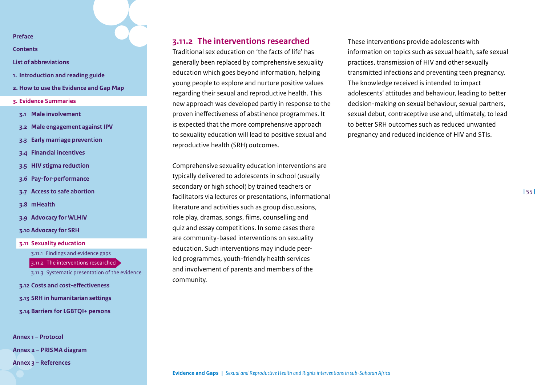**[Contents](#page-2-0)**

- **[List of abbreviations](#page-3-0)**
- **1. [Introduction and reading guide](#page-4-0)**
- **2. [How to use the Evidence and Gap Map](#page-7-0)**
- **3. [Evidence Summaries](#page-10-0)**
- **3.1 [Male involvement](#page-11-0)**
- **3.2 [Male engagement against IPV](#page-15-0)**
- **3.3 [Early marriage prevention](#page-19-0)**
- **3.4 [Financial incentives](#page-23-0)**
- **3.5 [HIV stigma reduction](#page-30-0)**
- **3.6 [Pay-for-performance](#page-33-0)**
- **3.7 [Access to safe abortion](#page-38-0)**
- **3.8 [mHealth](#page-42-0)**
- **3.9 [Advocacy for WLHIV](#page-46-0)**
- **3.10 [Advocacy for SRH](#page-49-0)**
- **3.11 [Sexuality education](#page-53-0)**

3.11.1 [Findings and evidence gaps](#page-53-1)

3.11.2 [The interventions researched](#page-54-0)

[3.11.3 Systematic presentation of the evidence](#page-55-0)

- **3.12 [Costs and cost-effectiveness](#page-58-0)**
- **3.13 [SRH in humanitarian settings](#page-62-0)**
- **3.14 [Barriers for LGBTQI+ persons](#page-67-0)**

**[Annex 1 – Protocol](#page-71-0)**

**[Annex 2 – PRISMA diagram](#page-85-0)** 

**[Annex 3 – References](#page-86-0)**

# <span id="page-54-0"></span>**3.11.2 The interventions researched**

Traditional sex education on 'the facts of life' has generally been replaced by comprehensive sexuality education which goes beyond information, helping young people to explore and nurture positive values regarding their sexual and reproductive health. This new approach was developed partly in response to the proven ineffectiveness of abstinence programmes. It is expected that the more comprehensive approach to sexuality education will lead to positive sexual and reproductive health (SRH) outcomes.

Comprehensive sexuality education interventions are typically delivered to adolescents in school (usually secondary or high school) by trained teachers or facilitators via lectures or presentations, informational literature and activities such as group discussions, role play, dramas, songs, films, counselling and quiz and essay competitions. In some cases there are community-based interventions on sexuality education. Such interventions may include peerled programmes, youth-friendly health services and involvement of parents and members of the community.

These interventions provide adolescents with information on topics such as sexual health, safe sexual practices, transmission of HIV and other sexually transmitted infections and preventing teen pregnancy. The knowledge received is intended to impact adolescents' attitudes and behaviour, leading to better decision-making on sexual behaviour, sexual partners, sexual debut, contraceptive use and, ultimately, to lead to better SRH outcomes such as reduced unwanted pregnancy and reduced incidence of HIV and STIs.

**|** 55 **|**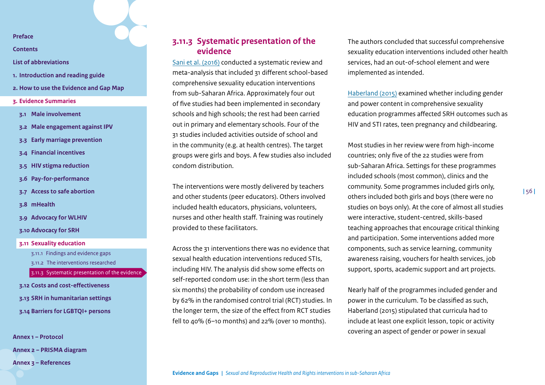**[Contents](#page-2-0)**

- **[List of abbreviations](#page-3-0)**
- **1. [Introduction and reading guide](#page-4-0)**
- **2. [How to use the Evidence and Gap Map](#page-7-0)**
- **3. [Evidence Summaries](#page-10-0)**
- **3.1 [Male involvement](#page-11-0)**
- **3.2 [Male engagement against IPV](#page-15-0)**
- **3.3 [Early marriage prevention](#page-19-0)**
- **3.4 [Financial incentives](#page-23-0)**
- **3.5 [HIV stigma reduction](#page-30-0)**
- **3.6 [Pay-for-performance](#page-33-0)**
- **3.7 [Access to safe abortion](#page-38-0)**
- **3.8 [mHealth](#page-42-0)**
- **3.9 [Advocacy for WLHIV](#page-46-0)**
- **3.10 [Advocacy for SRH](#page-49-0)**
- **3.11 [Sexuality education](#page-53-0)**
	- 3.11.1 [Findings and evidence gaps](#page-53-1) 3.11.2 [The interventions researched](#page-54-0)

[3.11.3 Systematic presentation of the evidence](#page-55-0)

- **3.12 [Costs and cost-effectiveness](#page-58-0)**
- **3.13 [SRH in humanitarian settings](#page-62-0)**
- **3.14 [Barriers for LGBTQI+ persons](#page-67-0)**

**[Annex 1 – Protocol](#page-71-0) [Annex 2 – PRISMA diagram](#page-85-0)  [Annex 3 – References](#page-86-0)**

# <span id="page-55-0"></span>**3.11.3 Systematic presentation of the evidence**

[Sani et al. \(2016\)](https://bmcpublichealth.biomedcentral.com/articles/10.1186/s12889-016-3715-4) conducted a systematic review and meta-analysis that included 31 different school-based comprehensive sexuality education interventions from sub-Saharan Africa. Approximately four out of five studies had been implemented in secondary schools and high schools; the rest had been carried out in primary and elementary schools. Four of the 31 studies included activities outside of school and in the community (e.g. at health centres). The target groups were girls and boys. A few studies also included condom distribution.

The interventions were mostly delivered by teachers and other students (peer educators). Others involved included health educators, physicians, volunteers, nurses and other health staff. Training was routinely provided to these facilitators.

Across the 31 interventions there was no evidence that sexual health education interventions reduced STIs, including HIV. The analysis did show some effects on self-reported condom use: in the short term (less than six months) the probability of condom use increased by 62% in the randomised control trial (RCT) studies. In the longer term, the size of the effect from RCT studies fell to 40% (6–10 months) and 22% (over 10 months).

The authors concluded that successful comprehensive sexuality education interventions included other health services, had an out-of-school element and were implemented as intended.

[Haberland \(2015\)](https://www.guttmacher.org/journals/ipsrh/2015/03/case-addressing-gender-and-power-sexuality-and-hiv-education-comprehensive) examined whether including gender and power content in comprehensive sexuality education programmes affected SRH outcomes such as HIV and STI rates, teen pregnancy and childbearing.

Most studies in her review were from high-income countries; only five of the 22 studies were from sub-Saharan Africa. Settings for these programmes included schools (most common), clinics and the community. Some programmes included girls only, others included both girls and boys (there were no studies on boys only). At the core of almost all studies were interactive, student-centred, skills-based teaching approaches that encourage critical thinking and participation. Some interventions added more components, such as service learning, community awareness raising, vouchers for health services, job support, sports, academic support and art projects.

Nearly half of the programmes included gender and power in the curriculum. To be classified as such, Haberland (2015) stipulated that curricula had to include at least one explicit lesson, topic or activity covering an aspect of gender or power in sexual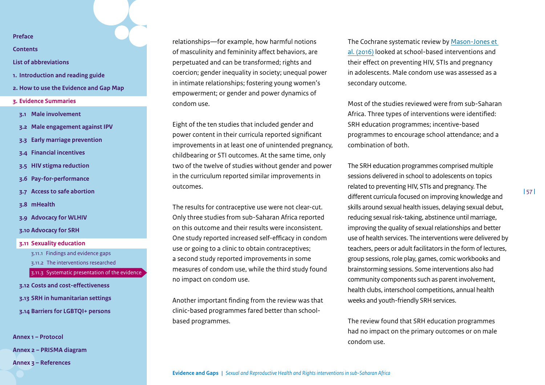**[Contents](#page-2-0)**

- **[List of abbreviations](#page-3-0)**
- **1. [Introduction and reading guide](#page-4-0)**
- **2. [How to use the Evidence and Gap Map](#page-7-0)**
- **3. [Evidence Summaries](#page-10-0)**
- **3.1 [Male involvement](#page-11-0)**
- **3.2 [Male engagement against IPV](#page-15-0)**
- **3.3 [Early marriage prevention](#page-19-0)**
- **3.4 [Financial incentives](#page-23-0)**
- **3.5 [HIV stigma reduction](#page-30-0)**
- **3.6 [Pay-for-performance](#page-33-0)**
- **3.7 [Access to safe abortion](#page-38-0)**
- **3.8 [mHealth](#page-42-0)**
- **3.9 [Advocacy for WLHIV](#page-46-0)**
- **3.10 [Advocacy for SRH](#page-49-0)**
- **3.11 [Sexuality education](#page-53-0)** 3.11.1 [Findings and evidence gaps](#page-53-1) 3.11.2 [The interventions researched](#page-54-0) [3.11.3 Systematic presentation of the evidence](#page-55-0)
- **3.12 [Costs and cost-effectiveness](#page-58-0)**
- **3.13 [SRH in humanitarian settings](#page-62-0)**
- **3.14 [Barriers for LGBTQI+ persons](#page-67-0)**

**[Annex 1 – Protocol](#page-71-0) [Annex 2 – PRISMA diagram](#page-85-0)  [Annex 3 – References](#page-86-0)**

relationships—for example, how harmful notions of masculinity and femininity affect behaviors, are perpetuated and can be transformed; rights and coercion; gender inequality in society; unequal power in intimate relationships; fostering young women's empowerment; or gender and power dynamics of condom use.

Eight of the ten studies that included gender and power content in their curricula reported significant improvements in at least one of unintended pregnancy, childbearing or STI outcomes. At the same time, only two of the twelve of studies without gender and power in the curriculum reported similar improvements in outcomes.

The results for contraceptive use were not clear-cut. Only three studies from sub-Saharan Africa reported on this outcome and their results were inconsistent. One study reported increased self-efficacy in condom use or going to a clinic to obtain contraceptives; a second study reported improvements in some measures of condom use, while the third study found no impact on condom use.

Another important finding from the review was that clinic-based programmes fared better than schoolbased programmes.

The Cochrane systematic review by [Mason-Jones et](https://www.cochranelibrary.com/cdsr/doi/10.1002/14651858.CD006417.pub3/full)  [al. \(2016\)](https://www.cochranelibrary.com/cdsr/doi/10.1002/14651858.CD006417.pub3/full) looked at school-based interventions and their effect on preventing HIV, STIs and pregnancy in adolescents. Male condom use was assessed as a secondary outcome.

Most of the studies reviewed were from sub-Saharan Africa. Three types of interventions were identified: SRH education programmes; incentive-based programmes to encourage school attendance; and a combination of both.

The SRH education programmes comprised multiple sessions delivered in school to adolescents on topics related to preventing HIV, STIs and pregnancy. The different curricula focused on improving knowledge and skills around sexual health issues, delaying sexual debut, reducing sexual risk-taking, abstinence until marriage, improving the quality of sexual relationships and better use of health services. The interventions were delivered by teachers, peers or adult facilitators in the form of lectures, group sessions, role play, games, comic workbooks and brainstorming sessions. Some interventions also had community components such as parent involvement, health clubs, interschool competitions, annual health weeks and youth-friendly SRH services.

The review found that SRH education programmes had no impact on the primary outcomes or on male condom use.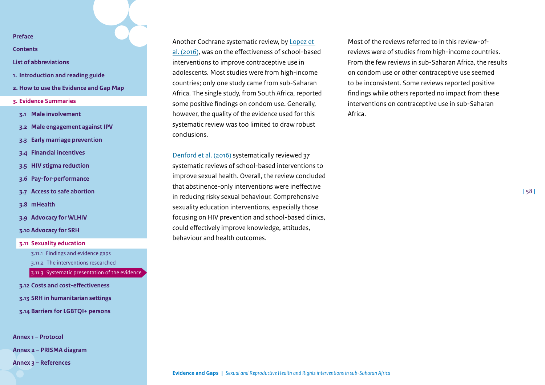**[Contents](#page-2-0)**

#### **[List of abbreviations](#page-3-0)**

- **1. [Introduction and reading guide](#page-4-0)**
- **2. [How to use the Evidence and Gap Map](#page-7-0)**
- **3. [Evidence Summaries](#page-10-0)**
- **3.1 [Male involvement](#page-11-0)**
- **3.2 [Male engagement against IPV](#page-15-0)**
- **3.3 [Early marriage prevention](#page-19-0)**
- **3.4 [Financial incentives](#page-23-0)**
- **3.5 [HIV stigma reduction](#page-30-0)**
- **3.6 [Pay-for-performance](#page-33-0)**
- **3.7 [Access to safe abortion](#page-38-0)**
- **3.8 [mHealth](#page-42-0)**
- **3.9 [Advocacy for WLHIV](#page-46-0)**
- **3.10 [Advocacy for SRH](#page-49-0)**
- **3.11 [Sexuality education](#page-53-0)**
	- 3.11.1 [Findings and evidence gaps](#page-53-1)
	- 3.11.2 [The interventions researched](#page-54-0)

[3.11.3 Systematic presentation of the evidence](#page-55-0)

- **3.12 [Costs and cost-effectiveness](#page-58-0)**
- **3.13 [SRH in humanitarian settings](#page-62-0)**
- **3.14 [Barriers for LGBTQI+ persons](#page-67-0)**

**[Annex 1 – Protocol](#page-71-0)**

**[Annex 2 – PRISMA diagram](#page-85-0)** 

**[Annex 3 – References](#page-86-0)**

Another Cochrane systematic review, by [Lopez et](https://www.cochranelibrary.com/cdsr/doi/10.1002/14651858.CD012249/full)  [al. \(2016\),](https://www.cochranelibrary.com/cdsr/doi/10.1002/14651858.CD012249/full) was on the effectiveness of school-based interventions to improve contraceptive use in adolescents. Most studies were from high-income countries; only one study came from sub-Saharan Africa. The single study, from South Africa, reported some positive findings on condom use. Generally, however, the quality of the evidence used for this systematic review was too limited to draw robust conclusions.

[Denford et al. \(2016\)](https://www.tandfonline.com/doi/full/10.1080/17437199.2016.1240625) systematically reviewed 37 systematic reviews of school-based interventions to improve sexual health. Overall, the review concluded that abstinence-only interventions were ineffective in reducing risky sexual behaviour. Comprehensive sexuality education interventions, especially those focusing on HIV prevention and school-based clinics, could effectively improve knowledge, attitudes, behaviour and health outcomes.

Most of the reviews referred to in this review-ofreviews were of studies from high-income countries. From the few reviews in sub-Saharan Africa, the results on condom use or other contraceptive use seemed to be inconsistent. Some reviews reported positive findings while others reported no impact from these interventions on contraceptive use in sub-Saharan Africa.

**|** 58 **|**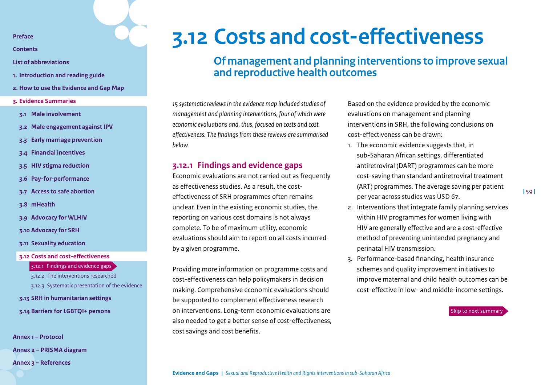**[Contents](#page-2-0)**

**[List of abbreviations](#page-3-0)**

- **1. [Introduction and reading guide](#page-4-0)**
- **2. [How to use the Evidence and Gap Map](#page-7-0)**
- **3. [Evidence Summaries](#page-10-0)**
- **3.1 [Male involvement](#page-11-0)**
- **3.2 [Male engagement against IPV](#page-15-0)**
- **3.3 [Early marriage prevention](#page-19-0)**
- **3.4 [Financial incentives](#page-23-0)**
- **3.5 [HIV stigma reduction](#page-30-0)**
- **3.6 [Pay-for-performance](#page-33-0)**
- **3.7 [Access to safe abortion](#page-38-0)**
- **3.8 [mHealth](#page-42-0)**
- **3.9 [Advocacy for WLHIV](#page-46-0)**
- **3.10 [Advocacy for SRH](#page-49-0)**
- **3.11 [Sexuality education](#page-53-0)**

#### **3.12 [Costs and cost-effectiveness](#page-58-0)**

#### 3.12.1 [Findings and evidence gaps](#page-58-1)

3.12.2 [The interventions researched](#page-59-0) [3.12.3 Systematic presentation of the evidence](#page-60-0)

#### **3.13 [SRH in humanitarian settings](#page-62-0)**

**3.14 [Barriers for LGBTQI+ persons](#page-67-0)**

**[Annex 1 – Protocol](#page-71-0) [Annex 2 – PRISMA diagram](#page-85-0)  [Annex 3 – References](#page-86-0)**

# **3.12 Costs and cost-effectiveness**

# <span id="page-58-0"></span>**Of management and planning interventions to improve sexual and reproductive health outcomes**

*15 systematic reviews in the evidence map included studies of management and planning interventions, four of which were economic evaluations and, thus, focused on costs and cost effectiveness. The findings from these reviews are summarised below.*

## <span id="page-58-1"></span>**3.12.1 Findings and evidence gaps**

Economic evaluations are not carried out as frequently as effectiveness studies. As a result, the costeffectiveness of SRH programmes often remains unclear. Even in the existing economic studies, the reporting on various cost domains is not always complete. To be of maximum utility, economic evaluations should aim to report on all costs incurred by a given programme.

Providing more information on programme costs and cost-effectiveness can help policymakers in decision making. Comprehensive economic evaluations should be supported to complement effectiveness research on interventions. Long-term economic evaluations are also needed to get a better sense of cost-effectiveness, cost savings and cost benefits.

Based on the evidence provided by the economic evaluations on management and planning interventions in SRH, the following conclusions on cost-effectiveness can be drawn:

- 1. The economic evidence suggests that, in sub-Saharan African settings, differentiated antiretroviral (DART) programmes can be more cost-saving than standard antiretroviral treatment (ART) programmes. The average saving per patient per year across studies was USD 67.
- 2. Interventions that integrate family planning services within HIV programmes for women living with HIV are generally effective and are a cost-effective method of preventing unintended pregnancy and perinatal HIV transmission.
- 3. Performance-based financing, health insurance schemes and quality improvement initiatives to improve maternal and child health outcomes can be cost-effective in low- and middle-income settings.

[Skip to next summary](#page-62-0)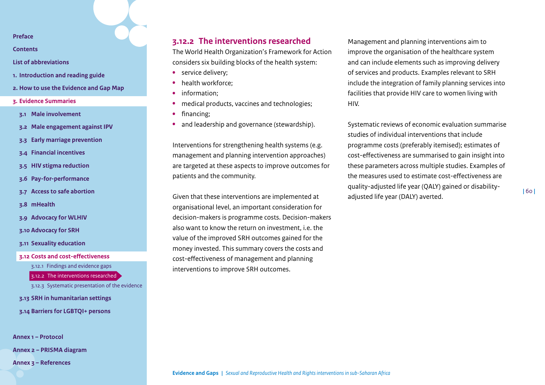**[Contents](#page-2-0)**

- **[List of abbreviations](#page-3-0)**
- **1. [Introduction and reading guide](#page-4-0)**
- **2. [How to use the Evidence and Gap Map](#page-7-0)**
- **3. [Evidence Summaries](#page-10-0)**
- **3.1 [Male involvement](#page-11-0)**
- **3.2 [Male engagement against IPV](#page-15-0)**
- **3.3 [Early marriage prevention](#page-19-0)**
- **3.4 [Financial incentives](#page-23-0)**
- **3.5 [HIV stigma reduction](#page-30-0)**
- **3.6 [Pay-for-performance](#page-33-0)**
- **3.7 [Access to safe abortion](#page-38-0)**
- **3.8 [mHealth](#page-42-0)**
- **3.9 [Advocacy for WLHIV](#page-46-0)**
- **3.10 [Advocacy for SRH](#page-49-0)**
- **3.11 [Sexuality education](#page-53-0)**
- **3.12 [Costs and cost-effectiveness](#page-58-0)**

3.12.1 [Findings and evidence gaps](#page-58-1)

3.12.2 [The interventions researched](#page-59-0)

- [3.12.3 Systematic presentation of the evidence](#page-60-0)
- **3.13 [SRH in humanitarian settings](#page-62-0)**
- **3.14 [Barriers for LGBTQI+ persons](#page-67-0)**

**[Annex 1 – Protocol](#page-71-0)**

**[Annex 2 – PRISMA diagram](#page-85-0)** 

**[Annex 3 – References](#page-86-0)**

# <span id="page-59-0"></span>**3.12.2 The interventions researched**

The World Health Organization's Framework for Action considers six building blocks of the health system:

- **•** service delivery;
- **•** health workforce;
- **•** information;
- **•** medical products, vaccines and technologies;
- **•** financing;
- **•** and leadership and governance (stewardship).

Interventions for strengthening health systems (e.g. management and planning intervention approaches) are targeted at these aspects to improve outcomes for patients and the community.

Given that these interventions are implemented at organisational level, an important consideration for decision-makers is programme costs. Decision-makers also want to know the return on investment, i.e. the value of the improved SRH outcomes gained for the money invested. This summary covers the costs and cost-effectiveness of management and planning interventions to improve SRH outcomes.

Management and planning interventions aim to improve the organisation of the healthcare system and can include elements such as improving delivery of services and products. Examples relevant to SRH include the integration of family planning services into facilities that provide HIV care to women living with HIV.

Systematic reviews of economic evaluation summarise studies of individual interventions that include programme costs (preferably itemised); estimates of cost-effectiveness are summarised to gain insight into these parameters across multiple studies. Examples of the measures used to estimate cost-effectiveness are quality-adjusted life year (QALY) gained or disabilityadjusted life year (DALY) averted.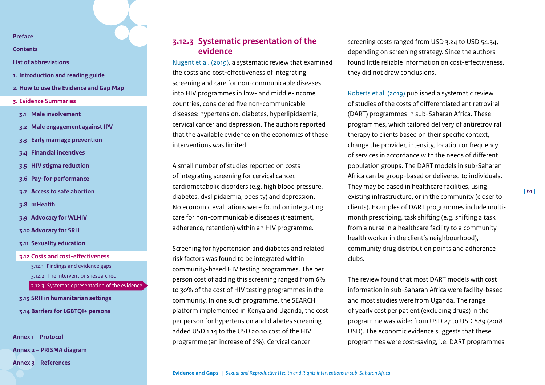**[Contents](#page-2-0)**

**[List of abbreviations](#page-3-0)**

- **1. [Introduction and reading guide](#page-4-0)**
- **2. [How to use the Evidence and Gap Map](#page-7-0)**
- **3. [Evidence Summaries](#page-10-0)**
- **3.1 [Male involvement](#page-11-0)**
- **3.2 [Male engagement against IPV](#page-15-0)**
- **3.3 [Early marriage prevention](#page-19-0)**
- **3.4 [Financial incentives](#page-23-0)**
- **3.5 [HIV stigma reduction](#page-30-0)**
- **3.6 [Pay-for-performance](#page-33-0)**
- **3.7 [Access to safe abortion](#page-38-0)**
- **3.8 [mHealth](#page-42-0)**
- **3.9 [Advocacy for WLHIV](#page-46-0)**
- **3.10 [Advocacy for SRH](#page-49-0)**
- **3.11 [Sexuality education](#page-53-0)**

**3.12 [Costs and cost-effectiveness](#page-58-0)** 3.12.1 [Findings and evidence gaps](#page-58-1) 3.12.2 [The interventions researched](#page-59-0) [3.12.3 Systematic presentation of the evidence](#page-60-0) **3.13 [SRH in humanitarian settings](#page-62-0) 3.14 [Barriers for LGBTQI+ persons](#page-67-0)**

**[Annex 1 – Protocol](#page-71-0) [Annex 2 – PRISMA diagram](#page-85-0)  [Annex 3 – References](#page-86-0)**

# <span id="page-60-0"></span>**3.12.3 Systematic presentation of the evidence**

[Nugent et al. \(2019\)](https://journals.lww.com/aidsonline/Fulltext/2018/07011/Costs_and_cost_effectiveness_of.10.aspx), a systematic review that examined the costs and cost-effectiveness of integrating screening and care for non-communicable diseases into HIV programmes in low- and middle-income countries, considered five non-communicable diseases: hypertension, diabetes, hyperlipidaemia, cervical cancer and depression. The authors reported that the available evidence on the economics of these interventions was limited.

A small number of studies reported on costs of integrating screening for cervical cancer, cardiometabolic disorders (e.g. high blood pressure, diabetes, dyslipidaemia, obesity) and depression. No economic evaluations were found on integrating care for non-communicable diseases (treatment, adherence, retention) within an HIV programme.

Screening for hypertension and diabetes and related risk factors was found to be integrated within community-based HIV testing programmes. The per person cost of adding this screening ranged from 6% to 30% of the cost of HIV testing programmes in the community. In one such programme, the SEARCH platform implemented in Kenya and Uganda, the cost per person for hypertension and diabetes screening added USD 1.14 to the USD 20.10 cost of the HIV programme (an increase of 6%). Cervical cancer

screening costs ranged from USD 3.24 to USD 54.34, depending on screening strategy. Since the authors found little reliable information on cost-effectiveness, they did not draw conclusions.

[Roberts et al. \(2019\)](https://www.ncbi.nlm.nih.gov/pmc/articles/PMC6884078/pdf/nihms-1540156.pdf) published a systematic review of studies of the costs of differentiated antiretroviral (DART) programmes in sub-Saharan Africa. These programmes, which tailored delivery of antiretroviral therapy to clients based on their specific context, change the provider, intensity, location or frequency of services in accordance with the needs of different population groups. The DART models in sub-Saharan Africa can be group-based or delivered to individuals. They may be based in healthcare facilities, using existing infrastructure, or in the community (closer to clients). Examples of DART programmes include multimonth prescribing, task shifting (e.g. shifting a task from a nurse in a healthcare facility to a community health worker in the client's neighbourhood), community drug distribution points and adherence clubs.

The review found that most DART models with cost information in sub-Saharan Africa were facility-based and most studies were from Uganda. The range of yearly cost per patient (excluding drugs) in the programme was wide: from USD 27 to USD 889 (2018 USD). The economic evidence suggests that these programmes were cost-saving, i.e. DART programmes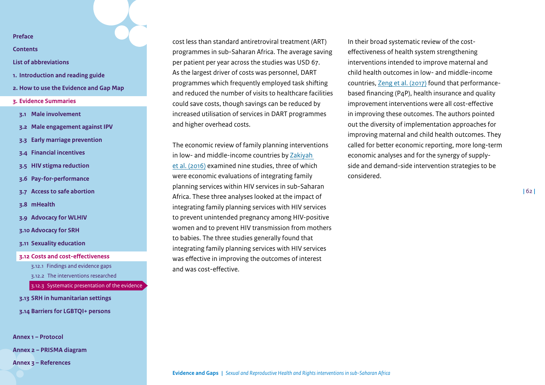**[Contents](#page-2-0)**

#### **[List of abbreviations](#page-3-0)**

- **1. [Introduction and reading guide](#page-4-0)**
- **2. [How to use the Evidence and Gap Map](#page-7-0)**
- **3. [Evidence Summaries](#page-10-0)**
- **3.1 [Male involvement](#page-11-0)**
- **3.2 [Male engagement against IPV](#page-15-0)**
- **3.3 [Early marriage prevention](#page-19-0)**
- **3.4 [Financial incentives](#page-23-0)**
- **3.5 [HIV stigma reduction](#page-30-0)**
- **3.6 [Pay-for-performance](#page-33-0)**
- **3.7 [Access to safe abortion](#page-38-0)**
- **3.8 [mHealth](#page-42-0)**
- **3.9 [Advocacy for WLHIV](#page-46-0)**
- **3.10 [Advocacy for SRH](#page-49-0)**
- **3.11 [Sexuality education](#page-53-0)**

**3.12 [Costs and cost-effectiveness](#page-58-0)**

3.12.1 [Findings and evidence gaps](#page-58-1)

3.12.2 [The interventions researched](#page-59-0)

[3.12.3 Systematic presentation of the evidence](#page-60-0)

**3.13 [SRH in humanitarian settings](#page-62-0) 3.14 [Barriers for LGBTQI+ persons](#page-67-0)**

**[Annex 1 – Protocol](#page-71-0)**

**[Annex 2 – PRISMA diagram](#page-85-0)** 

**[Annex 3 – References](#page-86-0)**

cost less than standard antiretroviral treatment (ART) programmes in sub-Saharan Africa. The average saving per patient per year across the studies was USD 67. As the largest driver of costs was personnel, DART programmes which frequently employed task shifting and reduced the number of visits to healthcare facilities could save costs, though savings can be reduced by increased utilisation of services in DART programmes and higher overhead costs.

The economic review of family planning interventions in low- and middle-income countries by [Zakiyah](https://journals.plos.org/plosone/article?id=10.1371/journal.pone.0168447)  [et al. \(2016\)](https://journals.plos.org/plosone/article?id=10.1371/journal.pone.0168447) examined nine studies, three of which were economic evaluations of integrating family planning services within HIV services in sub-Saharan Africa. These three analyses looked at the impact of integrating family planning services with HIV services to prevent unintended pregnancy among HIV-positive women and to prevent HIV transmission from mothers to babies. The three studies generally found that integrating family planning services with HIV services was effective in improving the outcomes of interest and was cost-effective.

In their broad systematic review of the costeffectiveness of health system strengthening interventions intended to improve maternal and child health outcomes in low- and middle-income countries, [Zeng et al. \(2017\)](https://academic.oup.com/heapol/article/33/2/283/4746764?login=true) found that performancebased financing (P4P), health insurance and quality improvement interventions were all cost-effective in improving these outcomes. The authors pointed out the diversity of implementation approaches for improving maternal and child health outcomes. They called for better economic reporting, more long-term economic analyses and for the synergy of supplyside and demand-side intervention strategies to be considered.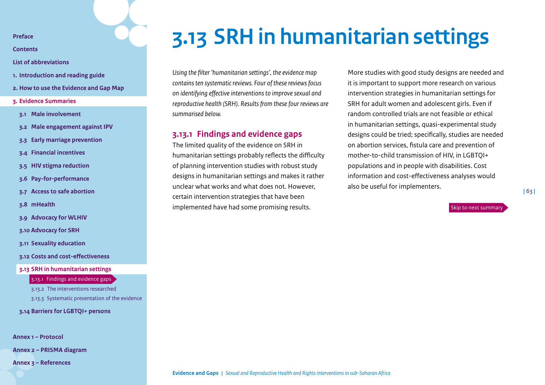**[Contents](#page-2-0)**

**[List of abbreviations](#page-3-0)**

- **1. [Introduction and reading guide](#page-4-0)**
- **2. [How to use the Evidence and Gap Map](#page-7-0)**
- **3. [Evidence Summaries](#page-10-0)**
- **3.1 [Male involvement](#page-11-0)**
- **3.2 [Male engagement against IPV](#page-15-0)**
- **3.3 [Early marriage prevention](#page-19-0)**
- **3.4 [Financial incentives](#page-23-0)**
- **3.5 [HIV stigma reduction](#page-30-0)**
- **3.6 [Pay-for-performance](#page-33-0)**
- **3.7 [Access to safe abortion](#page-38-0)**
- **3.8 [mHealth](#page-42-0)**
- **3.9 [Advocacy for WLHIV](#page-46-0)**
- **3.10 [Advocacy for SRH](#page-49-0)**
- **3.11 [Sexuality education](#page-53-0)**
- **3.12 [Costs and cost-effectiveness](#page-58-0)**
- **3.13 [SRH in humanitarian settings](#page-62-0)**

3.13.1 [Findings and evidence gaps](#page-62-1)

3.13.2 [The interventions researched](#page-63-0) [3.13.3 Systematic presentation of the evidence](#page-64-0)

**3.14 [Barriers for LGBTQI+ persons](#page-67-0)**

**[Annex 1 – Protocol](#page-71-0)**

**[Annex 2 – PRISMA diagram](#page-85-0)** 

**[Annex 3 – References](#page-86-0)**

# <span id="page-62-0"></span>**3.13 SRH in humanitarian settings**

*Using the filter 'humanitarian settings', the evidence map contains ten systematic reviews. Four of these reviews focus on identifying effective interventions to improve sexual and reproductive health (SRH). Results from these four reviews are summarised below.*

## <span id="page-62-1"></span>**3.13.1 Findings and evidence gaps**

The limited quality of the evidence on SRH in humanitarian settings probably reflects the difficulty of planning intervention studies with robust study designs in humanitarian settings and makes it rather unclear what works and what does not. However, certain intervention strategies that have been implemented have had some promising results.

More studies with good study designs are needed and it is important to support more research on various intervention strategies in humanitarian settings for SRH for adult women and adolescent girls. Even if random controlled trials are not feasible or ethical in humanitarian settings, quasi-experimental study designs could be tried; specifically, studies are needed on abortion services, fistula care and prevention of mother-to-child transmission of HIV, in LGBTQI+ populations and in people with disabilities. Cost information and cost-effectiveness analyses would also be useful for implementers.

[Skip to next summary](#page-67-0)

**|** 63 **|**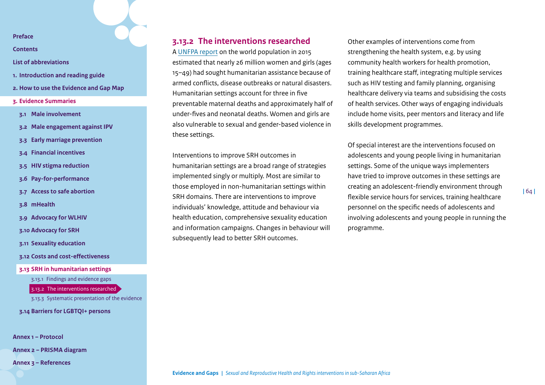**[Contents](#page-2-0)**

- **[List of abbreviations](#page-3-0)**
- **1. [Introduction and reading guide](#page-4-0)**
- **2. [How to use the Evidence and Gap Map](#page-7-0)**
- **3. [Evidence Summaries](#page-10-0)**
- **3.1 [Male involvement](#page-11-0)**
- **3.2 [Male engagement against IPV](#page-15-0)**
- **3.3 [Early marriage prevention](#page-19-0)**
- **3.4 [Financial incentives](#page-23-0)**
- **3.5 [HIV stigma reduction](#page-30-0)**
- **3.6 [Pay-for-performance](#page-33-0)**
- **3.7 [Access to safe abortion](#page-38-0)**
- **3.8 [mHealth](#page-42-0)**
- **3.9 [Advocacy for WLHIV](#page-46-0)**
- **3.10 [Advocacy for SRH](#page-49-0)**
- **3.11 [Sexuality education](#page-53-0)**
- **3.12 [Costs and cost-effectiveness](#page-58-0)**
- **3.13 [SRH in humanitarian settings](#page-62-0)**

3.13.1 [Findings and evidence gaps](#page-62-1)

3.13.2 [The interventions researched](#page-63-0)

[3.13.3 Systematic presentation of the evidence](#page-64-0)

**3.14 [Barriers for LGBTQI+ persons](#page-67-0)**

**[Annex 1 – Protocol](#page-71-0)**

**[Annex 2 – PRISMA diagram](#page-85-0)** 

**[Annex 3 – References](#page-86-0)**

## <span id="page-63-0"></span>**3.13.2 The interventions researched**

A [UNFPA report](https://www.unfpa.org/sites/default/files/sowp/downloads/State_of_World_Population_2015_EN.pdf) on the world population in 2015 estimated that nearly 26 million women and girls (ages 15–49) had sought humanitarian assistance because of armed conflicts, disease outbreaks or natural disasters. Humanitarian settings account for three in five preventable maternal deaths and approximately half of under-fives and neonatal deaths. Women and girls are also vulnerable to sexual and gender-based violence in these settings.

Interventions to improve SRH outcomes in humanitarian settings are a broad range of strategies implemented singly or multiply. Most are similar to those employed in non-humanitarian settings within SRH domains. There are interventions to improve individuals' knowledge, attitude and behaviour via health education, comprehensive sexuality education and information campaigns. Changes in behaviour will subsequently lead to better SRH outcomes.

Other examples of interventions come from strengthening the health system, e.g. by using community health workers for health promotion, training healthcare staff, integrating multiple services such as HIV testing and family planning, organising healthcare delivery via teams and subsidising the costs of health services. Other ways of engaging individuals include home visits, peer mentors and literacy and life skills development programmes.

Of special interest are the interventions focused on adolescents and young people living in humanitarian settings. Some of the unique ways implementers have tried to improve outcomes in these settings are creating an adolescent-friendly environment through flexible service hours for services, training healthcare personnel on the specific needs of adolescents and involving adolescents and young people in running the programme[.](#page-62-0)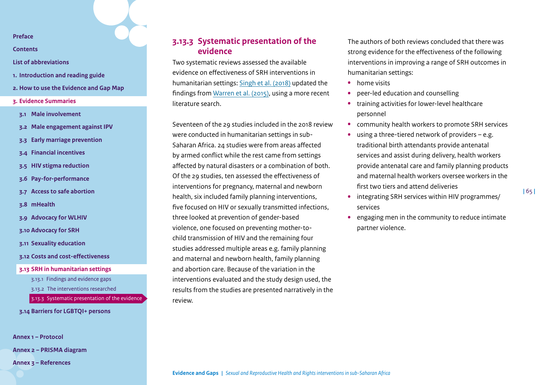**[Contents](#page-2-0)**

**[List of abbreviations](#page-3-0)**

- **1. [Introduction and reading guide](#page-4-0)**
- **2. [How to use the Evidence and Gap Map](#page-7-0)**
- **3. [Evidence Summaries](#page-10-0)**
- **3.1 [Male involvement](#page-11-0)**
- **3.2 [Male engagement against IPV](#page-15-0)**
- **3.3 [Early marriage prevention](#page-19-0)**
- **3.4 [Financial incentives](#page-23-0)**
- **3.5 [HIV stigma reduction](#page-30-0)**
- **3.6 [Pay-for-performance](#page-33-0)**
- **3.7 [Access to safe abortion](#page-38-0)**
- **3.8 [mHealth](#page-42-0)**
- **3.9 [Advocacy for WLHIV](#page-46-0)**
- **3.10 [Advocacy for SRH](#page-49-0)**
- **3.11 [Sexuality education](#page-53-0)**
- **3.12 [Costs and cost-effectiveness](#page-58-0)**
- **3.13 [SRH in humanitarian settings](#page-62-0)**
	- 3.13.1 [Findings and evidence gaps](#page-62-1)
	- 3.13.2 [The interventions researched](#page-63-0)
	- [3.13.3 Systematic presentation of the evidence](#page-64-0)
- **3.14 [Barriers for LGBTQI+ persons](#page-67-0)**

**[Annex 1 – Protocol](#page-71-0)**

**[Annex 2 – PRISMA diagram](#page-85-0)** 

**[Annex 3 – References](#page-86-0)**

# <span id="page-64-0"></span>**3.13.3 Systematic presentation of the evidence**

Two systematic reviews assessed the available evidence on effectiveness of SRH interventions in humanitarian settings: [Singh et al. \(2018\)](https://pubmed.ncbi.nlm.nih.gov/29980147/) updated the findings from [Warren et al. \(2015\)](https://bmjopen.bmj.com/content/bmjopen/5/12/e008226.full.pdf), using a more recent literature search.

Seventeen of the 29 studies included in the 2018 review were conducted in humanitarian settings in sub-Saharan Africa. 24 studies were from areas affected by armed conflict while the rest came from settings affected by natural disasters or a combination of both. Of the 29 studies, ten assessed the effectiveness of interventions for pregnancy, maternal and newborn health, six included family planning interventions, five focused on HIV or sexually transmitted infections, three looked at prevention of gender-based violence, one focused on preventing mother-tochild transmission of HIV and the remaining four studies addressed multiple areas e.g. family planning and maternal and newborn health, family planning and abortion care. Because of the variation in the interventions evaluated and the study design used, the results from the studies are presented narratively in the review.

The authors of both reviews concluded that there was strong evidence for the effectiveness of the following interventions in improving a range of SRH outcomes in humanitarian settings:

- **•** home visits
- **•** peer-led education and counselling
- **•** training activities for lower-level healthcare personnel
- **•** community health workers to promote SRH services
- **•** using a three-tiered network of providers e.g. traditional birth attendants provide antenatal services and assist during delivery, health workers provide antenatal care and family planning products and maternal health workers oversee workers in the first two tiers and attend deliveries

**|** 65 **|**

- **•** integrating SRH services within HIV programmes/ services
- **•** engaging men in the community to reduce intimate partner violence.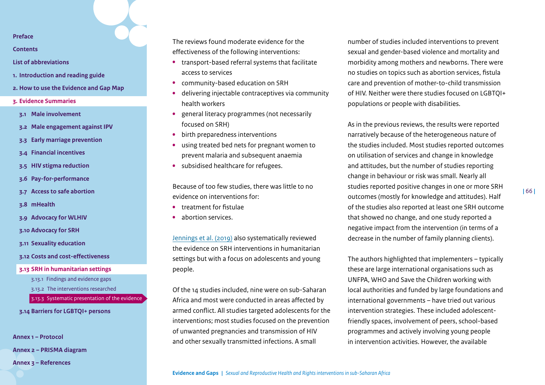**[Contents](#page-2-0)**

- **[List of abbreviations](#page-3-0)**
- **1. [Introduction and reading guide](#page-4-0)**
- **2. [How to use the Evidence and Gap Map](#page-7-0)**
- **3. [Evidence Summaries](#page-10-0)**
- **3.1 [Male involvement](#page-11-0)**
- **3.2 [Male engagement against IPV](#page-15-0)**
- **3.3 [Early marriage prevention](#page-19-0)**
- **3.4 [Financial incentives](#page-23-0)**
- **3.5 [HIV stigma reduction](#page-30-0)**
- **3.6 [Pay-for-performance](#page-33-0)**
- **3.7 [Access to safe abortion](#page-38-0)**
- **3.8 [mHealth](#page-42-0)**
- **3.9 [Advocacy for WLHIV](#page-46-0)**
- **3.10 [Advocacy for SRH](#page-49-0)**
- **3.11 [Sexuality education](#page-53-0)**
- **3.12 [Costs and cost-effectiveness](#page-58-0)**
- **3.13 [SRH in humanitarian settings](#page-62-0)**
	- 3.13.1 [Findings and evidence gaps](#page-62-1)
	- 3.13.2 [The interventions researched](#page-63-0)
	- [3.13.3 Systematic presentation of the evidence](#page-64-0)
- **3.14 [Barriers for LGBTQI+ persons](#page-67-0)**

**[Annex 1 – Protocol](#page-71-0)**

**[Annex 2 – PRISMA diagram](#page-85-0)** 

**[Annex 3 – References](#page-86-0)**

The reviews found moderate evidence for the effectiveness of the following interventions:

- **•** transport-based referral systems that facilitate access to services
- **•** community-based education on SRH
- **•** delivering injectable contraceptives via community health workers
- **•** general literacy programmes (not necessarily focused on SRH)
- **•** birth preparedness interventions
- **•** using treated bed nets for pregnant women to prevent malaria and subsequent anaemia
- **•** subsidised healthcare for refugees.

Because of too few studies, there was little to no evidence on interventions for:

- **•** treatment for fistulae
- **•** abortion services.

[Jennings et al. \(2019\)](https://conflictandhealth.biomedcentral.com/track/pdf/10.1186/s13031-019-0240-y.pdf) also systematically reviewed the evidence on SRH interventions in humanitarian settings but with a focus on adolescents and young people.

Of the 14 studies included, nine were on sub-Saharan Africa and most were conducted in areas affected by armed conflict. All studies targeted adolescents for the interventions; most studies focused on the prevention of unwanted pregnancies and transmission of HIV and other sexually transmitted infections. A small

number of studies included interventions to prevent sexual and gender-based violence and mortality and morbidity among mothers and newborns. There were no studies on topics such as abortion services, fistula care and prevention of mother-to-child transmission of HIV. Neither were there studies focused on LGBTQI+ populations or people with disabilities.

As in the previous reviews, the results were reported narratively because of the heterogeneous nature of the studies included. Most studies reported outcomes on utilisation of services and change in knowledge and attitudes, but the number of studies reporting change in behaviour or risk was small. Nearly all studies reported positive changes in one or more SRH outcomes (mostly for knowledge and attitudes). Half of the studies also reported at least one SRH outcome that showed no change, and one study reported a negative impact from the intervention (in terms of a decrease in the number of family planning clients).

The authors highlighted that implementers – typically these are large international organisations such as UNFPA, WHO and Save the Children working with local authorities and funded by large foundations and international governments – have tried out various intervention strategies. These included adolescentfriendly spaces, involvement of peers, school-based programmes and actively involving young people in intervention activities. However, the available

**Evidence and Gaps |** *Sexual and Reproductive Health and Rights interventions in sub-Saharan Africa*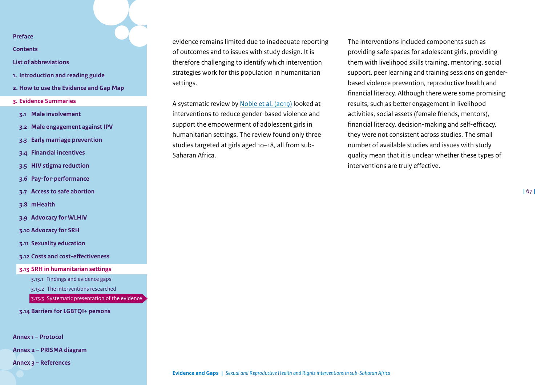**[Contents](#page-2-0)**

- **[List of abbreviations](#page-3-0)**
- **1. [Introduction and reading guide](#page-4-0)**
- **2. [How to use the Evidence and Gap Map](#page-7-0)**
- **3. [Evidence Summaries](#page-10-0)**
- **3.1 [Male involvement](#page-11-0)**
- **3.2 [Male engagement against IPV](#page-15-0)**
- **3.3 [Early marriage prevention](#page-19-0)**
- **3.4 [Financial incentives](#page-23-0)**
- **3.5 [HIV stigma reduction](#page-30-0)**
- **3.6 [Pay-for-performance](#page-33-0)**
- **3.7 [Access to safe abortion](#page-38-0)**

**3.8 [mHealth](#page-42-0)**

**3.9 [Advocacy for WLHIV](#page-46-0)**

**3.10 [Advocacy for SRH](#page-49-0)**

**3.11 [Sexuality education](#page-53-0)**

**3.12 [Costs and cost-effectiveness](#page-58-0)**

**3.13 [SRH in humanitarian settings](#page-62-0)**

3.13.1 [Findings and evidence gaps](#page-62-1)

3.13.2 [The interventions researched](#page-63-0)

[3.13.3 Systematic presentation of the evidence](#page-64-0)

**3.14 [Barriers for LGBTQI+ persons](#page-67-0)**

**[Annex 1 – Protocol](#page-71-0)**

**[Annex 2 – PRISMA diagram](#page-85-0)** 

**[Annex 3 – References](#page-86-0)**

evidence remains limited due to inadequate reporting of outcomes and to issues with study design. It is therefore challenging to identify which intervention strategies work for this population in humanitarian settings.

A systematic review by [Noble et al. \(2019\)](https://journals.sagepub.com/doi/full/10.1177/1524838017699601) looked at interventions to reduce gender-based violence and support the empowerment of adolescent girls in humanitarian settings. The review found only three studies targeted at girls aged 10–18, all from sub-Saharan Africa.

The interventions included components such as providing safe spaces for adolescent girls, providing them with livelihood skills training, mentoring, social support, peer learning and training sessions on genderbased violence prevention, reproductive health and financial literacy. Although there were some promising results, such as better engagement in livelihood activities, social assets (female friends, mentors), financial literacy, decision-making and self-efficacy, they were not consistent across studies. The small number of available studies and issues with study quality mean that it is unclear whether these types of interventions are truly effective[.](#page-62-0)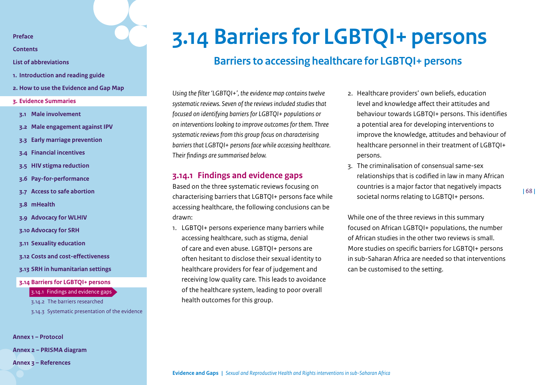**[Contents](#page-2-0)**

- **[List of abbreviations](#page-3-0)**
- **1. [Introduction and reading guide](#page-4-0)**
- **2. [How to use the Evidence and Gap Map](#page-7-0)**
- **3. [Evidence Summaries](#page-10-0)**
- **3.1 [Male involvement](#page-11-0)**
- **3.2 [Male engagement against IPV](#page-15-0)**
- **3.3 [Early marriage prevention](#page-19-0)**
- **3.4 [Financial incentives](#page-23-0)**
- **3.5 [HIV stigma reduction](#page-30-0)**
- **3.6 [Pay-for-performance](#page-33-0)**
- **3.7 [Access to safe abortion](#page-38-0)**
- **3.8 [mHealth](#page-42-0)**
- **3.9 [Advocacy for WLHIV](#page-46-0)**
- **3.10 [Advocacy for SRH](#page-49-0)**
- **3.11 [Sexuality education](#page-53-0)**
- **3.12 [Costs and cost-effectiveness](#page-58-0)**
- **3.13 [SRH in humanitarian settings](#page-62-0)**
- **3.14 [Barriers for LGBTQI+ persons](#page-67-0)**

#### 3.14.1 [Findings and evidence gaps](#page-67-1)

3.14.2 [The barriers researched](#page-68-0) [3.14.3 Systematic presentation of the evidence](#page-69-0)

**[Annex 1 – Protocol](#page-71-0)**

**[Annex 2 – PRISMA diagram](#page-85-0)** 

**[Annex 3 – References](#page-86-0)**

# **3.14 Barriers for LGBTQI+ persons**

# <span id="page-67-0"></span>**Barriers to accessing healthcare for LGBTQI+ persons**

*Using the filter 'LGBTQI+', the evidence map contains twelve systematic reviews. Seven of the reviews included studies that focused on identifying barriers for LGBTQI+ populations or on interventions looking to improve outcomes for them. Three systematic reviews from this group focus on characterising barriers that LGBTQI+ persons face while accessing healthcare. Their findings are summarised below.*

## <span id="page-67-1"></span>**3.14.1 Findings and evidence gaps**

Based on the three systematic reviews focusing on characterising barriers that LGBTQI+ persons face while accessing healthcare, the following conclusions can be drawn:

1. LGBTQI+ persons experience many barriers while accessing healthcare, such as stigma, denial of care and even abuse. LGBTQI+ persons are often hesitant to disclose their sexual identity to healthcare providers for fear of judgement and receiving low quality care. This leads to avoidance of the healthcare system, leading to poor overall health outcomes for this group.

- 2. Healthcare providers' own beliefs, education level and knowledge affect their attitudes and behaviour towards LGBTQI+ persons. This identifies a potential area for developing interventions to improve the knowledge, attitudes and behaviour of healthcare personnel in their treatment of LGBTQI+ persons.
- 3. The criminalisation of consensual same-sex relationships that is codified in law in many African countries is a major factor that negatively impacts societal norms relating to LGBTQI+ persons.

While one of the three reviews in this summary focused on African LGBTQI+ populations, the number of African studies in the other two reviews is small. More studies on specific barriers for LGBTQI+ persons in sub-Saharan Africa are needed so that interventions can be customised to the setting[.](#page-68-0)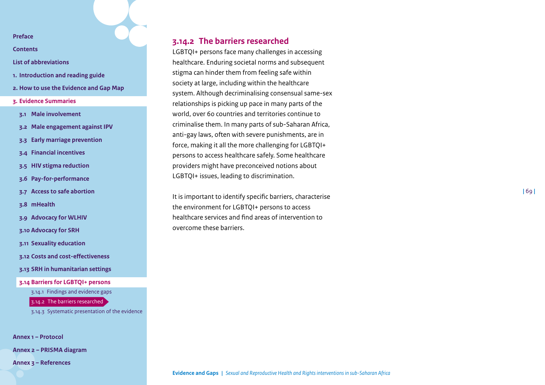**[Contents](#page-2-0)**

- **[List of abbreviations](#page-3-0)**
- **1. [Introduction and reading guide](#page-4-0)**
- **2. [How to use the Evidence and Gap Map](#page-7-0)**
- **3. [Evidence Summaries](#page-10-0)**
- **3.1 [Male involvement](#page-11-0)**
- **3.2 [Male engagement against IPV](#page-15-0)**
- **3.3 [Early marriage prevention](#page-19-0)**
- **3.4 [Financial incentives](#page-23-0)**
- **3.5 [HIV stigma reduction](#page-30-0)**
- **3.6 [Pay-for-performance](#page-33-0)**
- **3.7 [Access to safe abortion](#page-38-0)**
- **3.8 [mHealth](#page-42-0)**
- **3.9 [Advocacy for WLHIV](#page-46-0)**
- **3.10 [Advocacy for SRH](#page-49-0)**
- **3.11 [Sexuality education](#page-53-0)**
- **3.12 [Costs and cost-effectiveness](#page-58-0)**
- **3.13 [SRH in humanitarian settings](#page-62-0)**
- **3.14 [Barriers for LGBTQI+ persons](#page-67-0)**

3.14.1 [Findings and evidence gaps](#page-67-1)

3.14.2 [The barriers researched](#page-68-0)

[3.14.3 Systematic presentation of the evidence](#page-69-0)

**[Annex 1 – Protocol](#page-71-0)**

**[Annex 2 – PRISMA diagram](#page-85-0)** 

**[Annex 3 – References](#page-86-0)**

# <span id="page-68-0"></span>**3.14.2 The barriers researched**

LGBTQI+ persons face many challenges in accessing healthcare. Enduring societal norms and subsequent stigma can hinder them from feeling safe within society at large, including within the healthcare system. Although decriminalising consensual same-sex relationships is picking up pace in many parts of the world, over 60 countries and territories continue to criminalise them. In many parts of sub-Saharan Africa, anti-gay laws, often with severe punishments, are in force, making it all the more challenging for LGBTQI+ persons to access healthcare safely. Some healthcare providers might have preconceived notions about LGBTQI+ issues, leading to discrimination.

It is important to identify specific barriers, characterise the environment for LGBTQI+ persons to access healthcare services and find areas of intervention to overcome these barriers.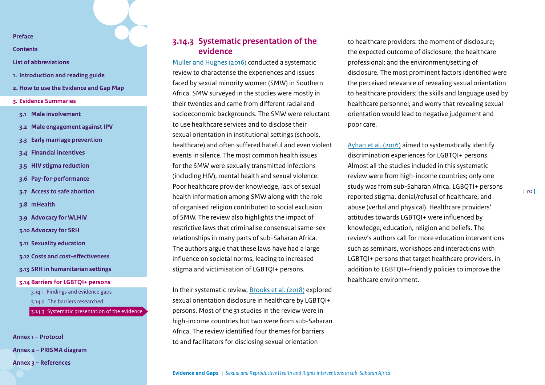**[Contents](#page-2-0)**

**[List of abbreviations](#page-3-0)**

- **1. [Introduction and reading guide](#page-4-0)**
- **2. [How to use the Evidence and Gap Map](#page-7-0)**
- **3. [Evidence Summaries](#page-10-0)**
- **3.1 [Male involvement](#page-11-0)**
- **3.2 [Male engagement against IPV](#page-15-0)**
- **3.3 [Early marriage prevention](#page-19-0)**
- **3.4 [Financial incentives](#page-23-0)**
- **3.5 [HIV stigma reduction](#page-30-0)**
- **3.6 [Pay-for-performance](#page-33-0)**
- **3.7 [Access to safe abortion](#page-38-0)**
- **3.8 [mHealth](#page-42-0)**
- **3.9 [Advocacy for WLHIV](#page-46-0)**
- **3.10 [Advocacy for SRH](#page-49-0)**
- **3.11 [Sexuality education](#page-53-0)**
- **3.12 [Costs and cost-effectiveness](#page-58-0)**
- **3.13 [SRH in humanitarian settings](#page-62-0)**
- **3.14 [Barriers for LGBTQI+ persons](#page-67-0)**
	- 3.14.1 [Findings and evidence gaps](#page-67-1)
	- 3.14.2 [The barriers researched](#page-68-0)
	- [3.14.3 Systematic presentation of the evidence](#page-69-0)

**[Annex 1 – Protocol](#page-71-0) [Annex 2 – PRISMA diagram](#page-85-0)  [Annex 3 – References](#page-86-0)**

# <span id="page-69-0"></span>**3.14.3 Systematic presentation of the evidence**

[Muller and Hughes \(2016\)](https://www.ncbi.nlm.nih.gov/pmc/articles/PMC4827176/) conducted a systematic review to characterise the experiences and issues faced by sexual minority women (SMW) in Southern Africa. SMW surveyed in the studies were mostly in their twenties and came from different racial and socioeconomic backgrounds. The SMW were reluctant to use healthcare services and to disclose their sexual orientation in institutional settings (schools, healthcare) and often suffered hateful and even violent events in silence. The most common health issues for the SMW were sexually transmitted infections (including HIV), mental health and sexual violence. Poor healthcare provider knowledge, lack of sexual health information among SMW along with the role of organised religion contributed to social exclusion of SMW. The review also highlights the impact of restrictive laws that criminalise consensual same-sex relationships in many parts of sub-Saharan Africa. The authors argue that these laws have had a large influence on societal norms, leading to increased stigma and victimisation of LGBTQI+ persons.

In their systematic review, [Brooks et al. \(2018\)](https://www.ncbi.nlm.nih.gov/pmc/articles/PMC5819984/) explored sexual orientation disclosure in healthcare by LGBTQI+ persons. Most of the 31 studies in the review were in high-income countries but two were from sub-Saharan Africa. The review identified four themes for barriers to and facilitators for disclosing sexual orientation

to healthcare providers: the moment of disclosure; the expected outcome of disclosure; the healthcare professional; and the environment/setting of disclosure. The most prominent factors identified were the perceived relevance of revealing sexual orientation to healthcare providers; the skills and language used by healthcare personnel; and worry that revealing sexual orientation would lead to negative judgement and poor care.

[Ayhan et al. \(2016\)](https://journals.sagepub.com/doi/full/10.1177/0020731419885093) aimed to systematically identify discrimination experiences for LGBTQI+ persons. Almost all the studies included in this systematic review were from high-income countries; only one study was from sub-Saharan Africa. LGBQTI+ persons reported stigma, denial/refusal of healthcare, and abuse (verbal and physical). Healthcare providers' attitudes towards LGBTQI+ were influenced by knowledge, education, religion and beliefs. The review's authors call for more education interventions such as seminars, workshops and interactions with LGBTQI+ persons that target healthcare providers, in addition to LGBTQI+-friendly policies to improve the healthcare environment.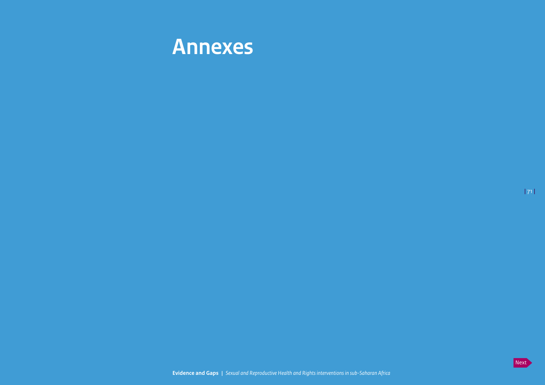

**|** 71 **|**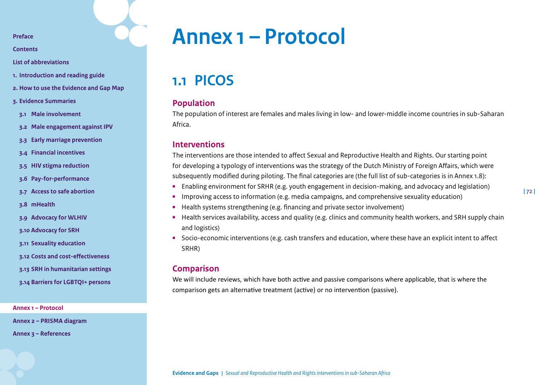**[Contents](#page-2-0)**

**[List of abbreviations](#page-3-0)**

- **1. [Introduction and reading guide](#page-4-0)**
- **2. [How to use the Evidence and Gap Map](#page-7-0)**
- **3. [Evidence Summaries](#page-10-0)**
- **3.1 [Male involvement](#page-11-0)**
- **3.2 [Male engagement against IPV](#page-15-0)**
- **3.3 [Early marriage prevention](#page-19-0)**
- **3.4 [Financial incentives](#page-23-0)**
- **3.5 [HIV stigma reduction](#page-30-0)**
- **3.6 [Pay-for-performance](#page-33-0)**
- **3.7 [Access to safe abortion](#page-38-0)**
- **3.8 [mHealth](#page-42-0)**
- **3.9 [Advocacy for WLHIV](#page-46-0)**
- **3.10 [Advocacy for SRH](#page-49-0)**
- **3.11 [Sexuality education](#page-53-0)**
- **3.12 [Costs and cost-effectiveness](#page-58-0)**
- **3.13 [SRH in humanitarian settings](#page-62-0)**
- **3.14 [Barriers for LGBTQI+ persons](#page-67-0)**

**[Annex 1 – Protocol](#page-71-0)**

**[Annex 2 – PRISMA diagram](#page-85-0)** 

**[Annex 3 – References](#page-86-0)**

# <span id="page-71-0"></span>**Annex 1 – Protocol**

**1.1 PICOS**

### **Population**

The population of interest are females and males living in low- and lower-middle income countries in sub-Saharan Africa.

### **Interventions**

The interventions are those intended to affect Sexual and Reproductive Health and Rights. Our starting point for developing a typology of interventions was the strategy of the Dutch Ministry of Foreign Affairs, which were subsequently modified during piloting. The final categories are (the full list of sub-categories is in Annex 1.8):

- **•** Enabling environment for SRHR (e.g. youth engagement in decision-making, and advocacy and legislation)
- **•** Improving access to information (e.g. media campaigns, and comprehensive sexuality education)
- **•** Health systems strengthening (e.g. financing and private sector involvement)
- **•** Health services availability, access and quality (e.g. clinics and community health workers, and SRH supply chain and logistics)
- **•** Socio-economic interventions (e.g. cash transfers and education, where these have an explicit intent to affect SRHR)

### **Comparison**

We will include reviews, which have both active and passive comparisons where applicable, that is where the comparison gets an alternative treatment (active) or no intervention (passive).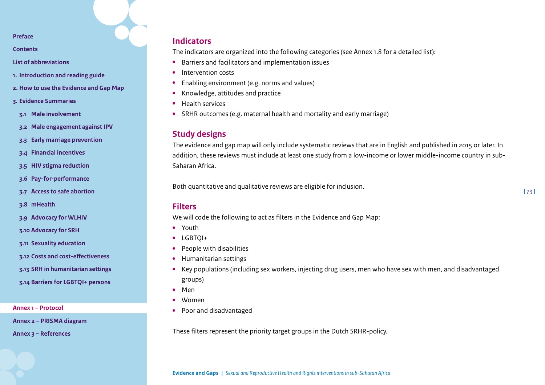**[Contents](#page-2-0)**

**[List of abbreviations](#page-3-0)**

- **1. [Introduction and reading guide](#page-4-0)**
- **2. [How to use the Evidence and Gap Map](#page-7-0)**
- **3. [Evidence Summaries](#page-10-0)**
- **3.1 [Male involvement](#page-11-0)**
- **3.2 [Male engagement against IPV](#page-15-0)**
- **3.3 [Early marriage prevention](#page-19-0)**
- **3.4 [Financial incentives](#page-23-0)**
- **3.5 [HIV stigma reduction](#page-30-0)**
- **3.6 [Pay-for-performance](#page-33-0)**
- **3.7 [Access to safe abortion](#page-38-0)**
- **3.8 [mHealth](#page-42-0)**
- **3.9 [Advocacy for WLHIV](#page-46-0)**
- **3.10 [Advocacy for SRH](#page-49-0)**
- **3.11 [Sexuality education](#page-53-0)**
- **3.12 [Costs and cost-effectiveness](#page-58-0)**
- **3.13 [SRH in humanitarian settings](#page-62-0)**
- **3.14 [Barriers for LGBTQI+ persons](#page-67-0)**

**[Annex 1 – Protocol](#page-71-0)**

**[Annex 2 – PRISMA diagram](#page-85-0)** 

**[Annex 3 – References](#page-86-0)**

## **Indicators**

The indicators are organized into the following categories (see Annex 1.8 for a detailed list):

- **•** Barriers and facilitators and implementation issues
- **•** Intervention costs
- **•** Enabling environment (e.g. norms and values)
- **•** Knowledge, attitudes and practice
- **•** Health services
- **•** SRHR outcomes (e.g. maternal health and mortality and early marriage)

## **Study designs**

The evidence and gap map will only include systematic reviews that are in English and published in 2015 or later. In addition, these reviews must include at least one study from a low-income or lower middle-income country in sub-Saharan Africa.

Both quantitative and qualitative reviews are eligible for inclusion.

### **Filters**

We will code the following to act as filters in the Evidence and Gap Map:

- **•** Youth
- **•** LGBTQI+
- **•** People with disabilities
- **•** Humanitarian settings
- **•** Key populations (including sex workers, injecting drug users, men who have sex with men, and disadvantaged groups)
- **•** Men
- **•** Women
- **•** Poor and disadvantaged

These filters represent the priority target groups in the Dutch SRHR-policy.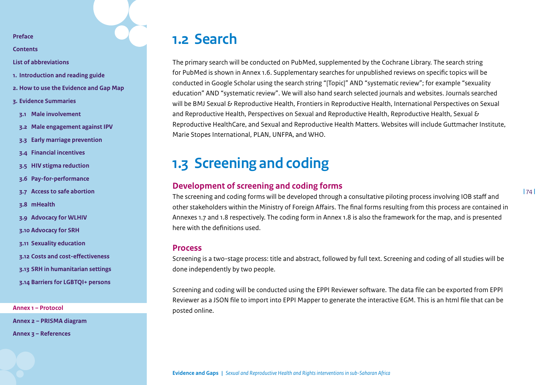**[Contents](#page-2-0)**

**[List of abbreviations](#page-3-0)**

- **1. [Introduction and reading guide](#page-4-0)**
- **2. [How to use the Evidence and Gap Map](#page-7-0)**
- **3. [Evidence Summaries](#page-10-0)**
- **3.1 [Male involvement](#page-11-0)**
- **3.2 [Male engagement against IPV](#page-15-0)**
- **3.3 [Early marriage prevention](#page-19-0)**
- **3.4 [Financial incentives](#page-23-0)**
- **3.5 [HIV stigma reduction](#page-30-0)**
- **3.6 [Pay-for-performance](#page-33-0)**
- **3.7 [Access to safe abortion](#page-38-0)**
- **3.8 [mHealth](#page-42-0)**
- **3.9 [Advocacy for WLHIV](#page-46-0)**
- **3.10 [Advocacy for SRH](#page-49-0)**
- **3.11 [Sexuality education](#page-53-0)**
- **3.12 [Costs and cost-effectiveness](#page-58-0)**
- **3.13 [SRH in humanitarian settings](#page-62-0)**
- **3.14 [Barriers for LGBTQI+ persons](#page-67-0)**

**[Annex 1 – Protocol](#page-71-0)**

**[Annex 2 – PRISMA diagram](#page-85-0)** 

**[Annex 3 – References](#page-86-0)**

## **1.2 Search**

The primary search will be conducted on PubMed, supplemented by the Cochrane Library. The search string for PubMed is shown in Annex 1.6. Supplementary searches for unpublished reviews on specific topics will be conducted in Google Scholar using the search string "[Topic]" AND "systematic review"; for example "sexuality education" AND "systematic review". We will also hand search selected journals and websites. Journals searched will be BMJ Sexual & Reproductive Health, Frontiers in Reproductive Health, International Perspectives on Sexual and Reproductive Health, Perspectives on Sexual and Reproductive Health, Reproductive Health, Sexual & Reproductive HealthCare, and Sexual and Reproductive Health Matters. Websites will include Guttmacher Institute, Marie Stopes International, PLAN, UNFPA, and WHO.

# **1.3 Screening and coding**

### **Development of screening and coding forms**

The screening and coding forms will be developed through a consultative piloting process involving IOB staff and other stakeholders within the Ministry of Foreign Affairs. The final forms resulting from this process are contained in Annexes 1.7 and 1.8 respectively. The coding form in Annex 1.8 is also the framework for the map, and is presented here with the definitions used.

#### **Process**

Screening is a two-stage process: title and abstract, followed by full text. Screening and coding of all studies will be done independently by two people.

Screening and coding will be conducted using the EPPI Reviewer software. The data file can be exported from EPPI Reviewer as a JSON file to import into EPPI Mapper to generate the interactive EGM. This is an html file that can be posted online.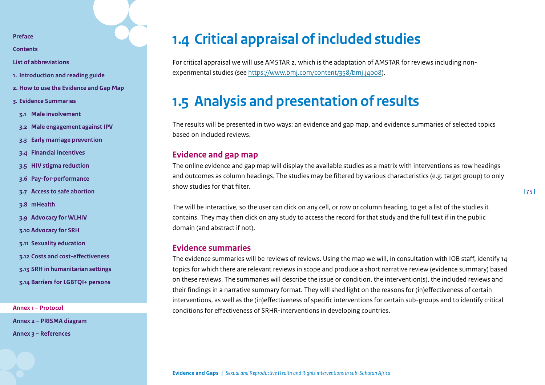**[Contents](#page-2-0)**

**[List of abbreviations](#page-3-0)**

- **1. [Introduction and reading guide](#page-4-0)**
- **2. [How to use the Evidence and Gap Map](#page-7-0)**
- **3. [Evidence Summaries](#page-10-0)**
- **3.1 [Male involvement](#page-11-0)**
- **3.2 [Male engagement against IPV](#page-15-0)**
- **3.3 [Early marriage prevention](#page-19-0)**
- **3.4 [Financial incentives](#page-23-0)**
- **3.5 [HIV stigma reduction](#page-30-0)**
- **3.6 [Pay-for-performance](#page-33-0)**
- **3.7 [Access to safe abortion](#page-38-0)**
- **3.8 [mHealth](#page-42-0)**
- **3.9 [Advocacy for WLHIV](#page-46-0)**
- **3.10 [Advocacy for SRH](#page-49-0)**
- **3.11 [Sexuality education](#page-53-0)**
- **3.12 [Costs and cost-effectiveness](#page-58-0)**
- **3.13 [SRH in humanitarian settings](#page-62-0)**
- **3.14 [Barriers for LGBTQI+ persons](#page-67-0)**

**[Annex 1 – Protocol](#page-71-0)**

**[Annex 2 – PRISMA diagram](#page-85-0)** 

**[Annex 3 – References](#page-86-0)**

# **1.4 Critical appraisal of included studies**

For critical appraisal we will use AMSTAR 2, which is the adaptation of AMSTAR for reviews including nonexperimental studies (see [https://www.bmj.com/content/358/bmj.j4008\)](https://www.bmj.com/content/358/bmj.j4008).

# **1.5 Analysis and presentation of results**

The results will be presented in two ways: an evidence and gap map, and evidence summaries of selected topics based on included reviews.

## **Evidence and gap map**

The online evidence and gap map will display the available studies as a matrix with interventions as row headings and outcomes as column headings. The studies may be filtered by various characteristics (e.g. target group) to only show studies for that filter.

The will be interactive, so the user can click on any cell, or row or column heading, to get a list of the studies it contains. They may then click on any study to access the record for that study and the full text if in the public domain (and abstract if not).

## **Evidence summaries**

The evidence summaries will be reviews of reviews. Using the map we will, in consultation with IOB staff, identify 14 topics for which there are relevant reviews in scope and produce a short narrative review (evidence summary) based on these reviews. The summaries will describe the issue or condition, the intervention(s), the included reviews and their findings in a narrative summary format. They will shed light on the reasons for (in)effectiveness of certain interventions, as well as the (in)effectiveness of specific interventions for certain sub-groups and to identify critical conditions for effectiveness of SRHR-interventions in developing countries.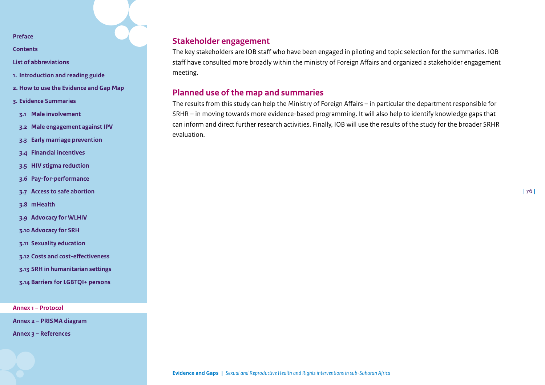**[Contents](#page-2-0)**

**[List of abbreviations](#page-3-0)**

- **1. [Introduction and reading guide](#page-4-0)**
- **2. [How to use the Evidence and Gap Map](#page-7-0)**
- **3. [Evidence Summaries](#page-10-0)**
- **3.1 [Male involvement](#page-11-0)**
- **3.2 [Male engagement against IPV](#page-15-0)**
- **3.3 [Early marriage prevention](#page-19-0)**
- **3.4 [Financial incentives](#page-23-0)**
- **3.5 [HIV stigma reduction](#page-30-0)**
- **3.6 [Pay-for-performance](#page-33-0)**
- **3.7 [Access to safe abortion](#page-38-0)**
- **3.8 [mHealth](#page-42-0)**
- **3.9 [Advocacy for WLHIV](#page-46-0)**
- **3.10 [Advocacy for SRH](#page-49-0)**
- **3.11 [Sexuality education](#page-53-0)**
- **3.12 [Costs and cost-effectiveness](#page-58-0)**
- **3.13 [SRH in humanitarian settings](#page-62-0)**
- **3.14 [Barriers for LGBTQI+ persons](#page-67-0)**

**[Annex 1 – Protocol](#page-71-0)**

**[Annex 2 – PRISMA diagram](#page-85-0)** 

**[Annex 3 – References](#page-86-0)**

## **Stakeholder engagement**

The key stakeholders are IOB staff who have been engaged in piloting and topic selection for the summaries. IOB staff have consulted more broadly within the ministry of Foreign Affairs and organized a stakeholder engagement meeting.

## **Planned use of the map and summaries**

The results from this study can help the Ministry of Foreign Affairs – in particular the department responsible for SRHR – in moving towards more evidence-based programming. It will also help to identify knowledge gaps that can inform and direct further research activities. Finally, IOB will use the results of the study for the broader SRHR evaluation.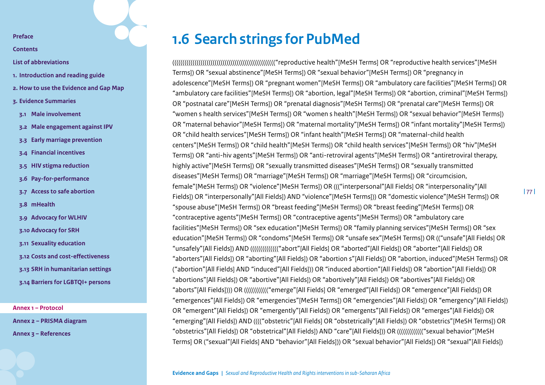**[Contents](#page-2-0)**

- **[List of abbreviations](#page-3-0)**
- **1. [Introduction and reading guide](#page-4-0)**
- **2. [How to use the Evidence and Gap Map](#page-7-0)**
- **3. [Evidence Summaries](#page-10-0)**
- **3.1 [Male involvement](#page-11-0)**
- **3.2 [Male engagement against IPV](#page-15-0)**
- **3.3 [Early marriage prevention](#page-19-0)**
- **3.4 [Financial incentives](#page-23-0)**
- **3.5 [HIV stigma reduction](#page-30-0)**
- **3.6 [Pay-for-performance](#page-33-0)**
- **3.7 [Access to safe abortion](#page-38-0)**
- **3.8 [mHealth](#page-42-0)**
- **3.9 [Advocacy for WLHIV](#page-46-0)**
- **3.10 [Advocacy for SRH](#page-49-0)**
- **3.11 [Sexuality education](#page-53-0)**
- **3.12 [Costs and cost-effectiveness](#page-58-0)**
- **3.13 [SRH in humanitarian settings](#page-62-0)**
- **3.14 [Barriers for LGBTQI+ persons](#page-67-0)**

**[Annex 1 – Protocol](#page-71-0)**

**[Annex 2 – PRISMA diagram](#page-85-0)** 

**[Annex 3 – References](#page-86-0)**

# **1.6 Search strings for PubMed**

((((((((((((((((((((((((((((((((((((((((((((((((((("reproductive health"[MeSH Terms] OR "reproductive health services"[MeSH Terms]) OR "sexual abstinence"[MeSH Terms]) OR "sexual behavior"[MeSH Terms]) OR "pregnancy in adolescence"[MeSH Terms]) OR "pregnant women"[MeSH Terms]) OR "ambulatory care facilities"[MeSH Terms]) OR "ambulatory care facilities"[MeSH Terms]) OR "abortion, legal"[MeSH Terms]) OR "abortion, criminal"[MeSH Terms]) OR "postnatal care"[MeSH Terms]) OR "prenatal diagnosis"[MeSH Terms]) OR "prenatal care"[MeSH Terms]) OR "women s health services"[MeSH Terms]) OR "women s health"[MeSH Terms]) OR "sexual behavior"[MeSH Terms]) OR "maternal behavior"[MeSH Terms]) OR "maternal mortality"[MeSH Terms]) OR "infant mortality"[MeSH Terms]) OR "child health services"[MeSH Terms]) OR "infant health"[MeSH Terms]) OR "maternal-child health centers"[MeSH Terms]) OR "child health"[MeSH Terms]) OR "child health services"[MeSH Terms]) OR "hiv"[MeSH Terms]) OR "anti-hiv agents"[MeSH Terms]) OR "anti-retroviral agents"[MeSH Terms]) OR "antiretroviral therapy, highly active"[MeSH Terms]) OR "sexually transmitted diseases"[MeSH Terms]) OR "sexually transmitted diseases"[MeSH Terms]) OR "marriage"[MeSH Terms]) OR "marriage"[MeSH Terms]) OR "circumcision, female"[MeSH Terms]) OR "violence"[MeSH Terms]) OR ((("interpersonal"[All Fields] OR "interpersonality"[All Fields]) OR "interpersonally"[All Fields]) AND "violence"[MeSH Terms])) OR "domestic violence"[MeSH Terms]) OR "spouse abuse"[MeSH Terms]) OR "breast feeding"[MeSH Terms]) OR "breast feeding"[MeSH Terms]) OR "contraceptive agents"[MeSH Terms]) OR "contraceptive agents"[MeSH Terms]) OR "ambulatory care facilities"[MeSH Terms]) OR "sex education"[MeSH Terms]) OR "family planning services"[MeSH Terms]) OR "sex education"[MeSH Terms]) OR "condoms"[MeSH Terms]) OR "unsafe sex"[MeSH Terms]) OR (("unsafe"[All Fields] OR "unsafely"[All Fields]) AND (((((((((((((("abort"[All Fields] OR "aborted"[All Fields]) OR "aborter"[All Fields]) OR "aborters"[All Fields]) OR "aborting"[All Fields]) OR "abortion s"[All Fields]) OR "abortion, induced"[MeSH Terms]) OR ("abortion"[All Fields] AND "induced"[All Fields])) OR "induced abortion"[All Fields]) OR "abortion"[All Fields]) OR "abortions"[All Fields]) OR "abortive"[All Fields]) OR "abortively"[All Fields]) OR "abortives"[All Fields]) OR "aborts"[All Fields]))) OR (((((((((((("emerge"[All Fields] OR "emerged"[All Fields]) OR "emergence"[All Fields]) OR "emergences"[All Fields]) OR "emergencies"[MeSH Terms]) OR "emergencies"[All Fields]) OR "emergency"[All Fields]) OR "emergent"[All Fields]) OR "emergently"[All Fields]) OR "emergents"[All Fields]) OR "emerges"[All Fields]) OR "emerging"[All Fields]) AND (((("obstetric"[All Fields] OR "obstetrically"[All Fields]) OR "obstetrics"[MeSH Terms]) OR "obstetrics"[All Fields]) OR "obstetrical"[All Fields]) AND "care"[All Fields])) OR ((((((((((((("sexual behavior"[MeSH Terms] OR ("sexual"[All Fields] AND "behavior"[All Fields])) OR "sexual behavior"[All Fields]) OR "sexual"[All Fields])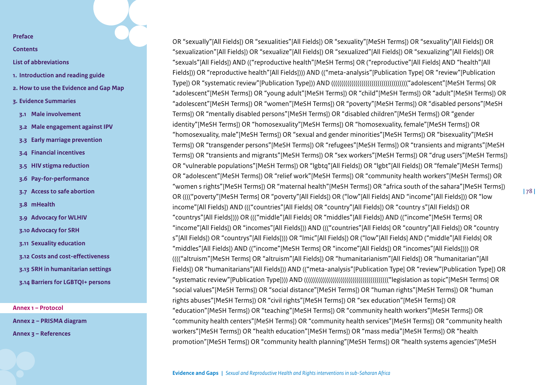**[Contents](#page-2-0)**

- **[List of abbreviations](#page-3-0)**
- **1. [Introduction and reading guide](#page-4-0)**
- **2. [How to use the Evidence and Gap Map](#page-7-0)**
- **3. [Evidence Summaries](#page-10-0)**
- **3.1 [Male involvement](#page-11-0)**
- **3.2 [Male engagement against IPV](#page-15-0)**
- **3.3 [Early marriage prevention](#page-19-0)**
- **3.4 [Financial incentives](#page-23-0)**
- **3.5 [HIV stigma reduction](#page-30-0)**
- **3.6 [Pay-for-performance](#page-33-0)**
- **3.7 [Access to safe abortion](#page-38-0)**
- **3.8 [mHealth](#page-42-0)**
- **3.9 [Advocacy for WLHIV](#page-46-0)**
- **3.10 [Advocacy for SRH](#page-49-0)**
- **3.11 [Sexuality education](#page-53-0)**
- **3.12 [Costs and cost-effectiveness](#page-58-0)**
- **3.13 [SRH in humanitarian settings](#page-62-0)**
- **3.14 [Barriers for LGBTQI+ persons](#page-67-0)**

**[Annex 1 – Protocol](#page-71-0)**

**[Annex 2 – PRISMA diagram](#page-85-0)** 

**[Annex 3 – References](#page-86-0)**

OR "sexually"[All Fields]) OR "sexualities"[All Fields]) OR "sexuality"[MeSH Terms]) OR "sexuality"[All Fields]) OR "sexualization"[All Fields]) OR "sexualize"[All Fields]) OR "sexualized"[All Fields]) OR "sexualizing"[All Fields]) OR "sexuals"[All Fields]) AND (("reproductive health"[MeSH Terms] OR ("reproductive"[All Fields] AND "health"[All Fields])) OR "reproductive health"[All Fields]))) AND (("meta-analysis"[Publication Type] OR "review"[Publication Type]) OR "systematic review"[Publication Type])) AND (((((((((((((((((((((((((((((((((((((("adolescent"[MeSH Terms] OR "adolescent"[MeSH Terms]) OR "young adult"[MeSH Terms]) OR "child"[MeSH Terms]) OR "adult"[MeSH Terms]) OR "adolescent"[MeSH Terms]) OR "women"[MeSH Terms]) OR "poverty"[MeSH Terms]) OR "disabled persons"[MeSH Terms]) OR "mentally disabled persons"[MeSH Terms]) OR "disabled children"[MeSH Terms]) OR "gender identity"[MeSH Terms]) OR "homosexuality"[MeSH Terms]) OR "homosexuality, female"[MeSH Terms]) OR "homosexuality, male"[MeSH Terms]) OR "sexual and gender minorities"[MeSH Terms]) OR "bisexuality"[MeSH Terms]) OR "transgender persons"[MeSH Terms]) OR "refugees"[MeSH Terms]) OR "transients and migrants"[MeSH Terms]) OR "transients and migrants"[MeSH Terms]) OR "sex workers"[MeSH Terms]) OR "drug users"[MeSH Terms]) OR "vulnerable populations"[MeSH Terms]) OR "lgbtq"[All Fields]) OR "lgbt"[All Fields]) OR "female"[MeSH Terms]) OR "adolescent"[MeSH Terms]) OR "relief work"[MeSH Terms]) OR "community health workers"[MeSH Terms]) OR "women s rights"[MeSH Terms]) OR "maternal health"[MeSH Terms]) OR "africa south of the sahara"[MeSH Terms]) OR (((("poverty"[MeSH Terms] OR "poverty"[All Fields]) OR ("low"[All Fields] AND "income"[All Fields])) OR "low income"[All Fields]) AND ((("countries"[All Fields] OR "country"[All Fields]) OR "country s"[All Fields]) OR "countrys"[All Fields]))) OR ((("middle"[All Fields] OR "middles"[All Fields]) AND (("income"[MeSH Terms] OR "income"[All Fields]) OR "incomes"[All Fields])) AND ((("countries"[All Fields] OR "country"[All Fields]) OR "country s"[All Fields]) OR "countrys"[All Fields]))) OR "lmic"[All Fields]) OR ("low"[All Fields] AND ("middle"[All Fields] OR "middles"[All Fields]) AND (("income"[MeSH Terms] OR "income"[All Fields]) OR "incomes"[All Fields]))) OR (((("altruism"[MeSH Terms] OR "altruism"[All Fields]) OR "humanitarianism"[All Fields]) OR "humanitarian"[All Fields]) OR "humanitarians"[All Fields])) AND (("meta-analysis"[Publication Type] OR "review"[Publication Type]) OR "systematic review"[Publication Type]))) AND (((((((((((((((((((((((((((((((((((((((((("legislation as topic"[MeSH Terms] OR "social values"[MeSH Terms]) OR "social distance"[MeSH Terms]) OR "human rights"[MeSH Terms]) OR "human rights abuses"[MeSH Terms]) OR "civil rights"[MeSH Terms]) OR "sex education"[MeSH Terms]) OR "education"[MeSH Terms]) OR "teaching"[MeSH Terms]) OR "community health workers"[MeSH Terms]) OR "community health centers"[MeSH Terms]) OR "community health services"[MeSH Terms]) OR "community health workers"[MeSH Terms]) OR "health education"[MeSH Terms]) OR "mass media"[MeSH Terms]) OR "health promotion"[MeSH Terms]) OR "community health planning"[MeSH Terms]) OR "health systems agencies"[MeSH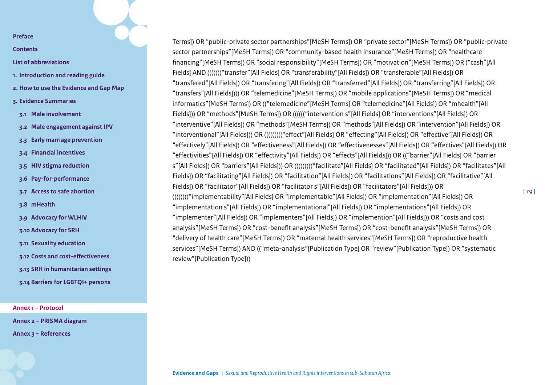**[Contents](#page-2-0)**

- **[List of abbreviations](#page-3-0)**
- **1. [Introduction and reading guide](#page-4-0)**
- **2. [How to use the Evidence and Gap Map](#page-7-0)**
- **3. [Evidence Summaries](#page-10-0)**
- **3.1 [Male involvement](#page-11-0)**
- **3.2 [Male engagement against IPV](#page-15-0)**
- **3.3 [Early marriage prevention](#page-19-0)**
- **3.4 [Financial incentives](#page-23-0)**
- **3.5 [HIV stigma reduction](#page-30-0)**
- **3.6 [Pay-for-performance](#page-33-0)**
- **3.7 [Access to safe abortion](#page-38-0)**
- **3.8 [mHealth](#page-42-0)**
- **3.9 [Advocacy for WLHIV](#page-46-0)**
- **3.10 [Advocacy for SRH](#page-49-0)**
- **3.11 [Sexuality education](#page-53-0)**
- **3.12 [Costs and cost-effectiveness](#page-58-0)**
- **3.13 [SRH in humanitarian settings](#page-62-0)**
- **3.14 [Barriers for LGBTQI+ persons](#page-67-0)**

**[Annex 1 – Protocol](#page-71-0)**

**[Annex 2 – PRISMA diagram](#page-85-0)** 

**[Annex 3 – References](#page-86-0)**

Terms]) OR "public-private sector partnerships"[MeSH Terms]) OR "private sector"[MeSH Terms]) OR "public-private sector partnerships"[MeSH Terms]) OR "community-based health insurance"[MeSH Terms]) OR "healthcare financing"[MeSH Terms]) OR "social responsibility"[MeSH Terms]) OR "motivation"[MeSH Terms]) OR ("cash"[All Fields] AND ((((((("transfer"[All Fields] OR "transferability"[All Fields]) OR "transferable"[All Fields]) OR "transfered"[All Fields]) OR "transfering"[All Fields]) OR "transferred"[All Fields]) OR "transferring"[All Fields]) OR "transfers"[All Fields]))) OR "telemedicine"[MeSH Terms]) OR "mobile applications"[MeSH Terms]) OR "medical informatics"[MeSH Terms]) OR (("telemedicine"[MeSH Terms] OR "telemedicine"[All Fields]) OR "mhealth"[All Fields])) OR "methods"[MeSH Terms]) OR (((((("intervention s"[All Fields] OR "interventions"[All Fields]) OR "interventive"[All Fields]) OR "methods"[MeSH Terms]) OR "methods"[All Fields]) OR "intervention"[All Fields]) OR "interventional"[All Fields])) OR ((((((((("effect"[All Fields] OR "effecting"[All Fields]) OR "effective"[All Fields]) OR "effectively"[All Fields]) OR "effectiveness"[All Fields]) OR "effectivenesses"[All Fields]) OR "effectives"[All Fields]) OR "effectivities"[All Fields]) OR "effectivity"[All Fields]) OR "effects"[All Fields])) OR (("barrier"[All Fields] OR "barrier s"[All Fields]) OR "barriers"[All Fields])) OR ((((((((("facilitate"[All Fields] OR "facilitated"[All Fields]) OR "facilitates"[All Fields]) OR "facilitating"[All Fields]) OR "facilitation"[All Fields]) OR "facilitations"[All Fields]) OR "facilitative"[All Fields]) OR "facilitator"[All Fields]) OR "facilitator s"[All Fields]) OR "facilitators"[All Fields])) OR (((((((("implementability"[All Fields] OR "implementable"[All Fields]) OR "implementation"[All Fields]) OR "implementation s"[All Fields]) OR "implementational"[All Fields]) OR "implementations"[All Fields]) OR "implementer"[All Fields]) OR "implementers"[All Fields]) OR "implemention"[All Fields])) OR "costs and cost analysis"[MeSH Terms]) OR "cost-benefit analysis"[MeSH Terms]) OR "cost-benefit analysis"[MeSH Terms]) OR "delivery of health care"[MeSH Terms]) OR "maternal health services"[MeSH Terms]) OR "reproductive health services"[MeSH Terms]) AND (("meta-analysis"[Publication Type] OR "review"[Publication Type]) OR "systematic review"[Publication Type]))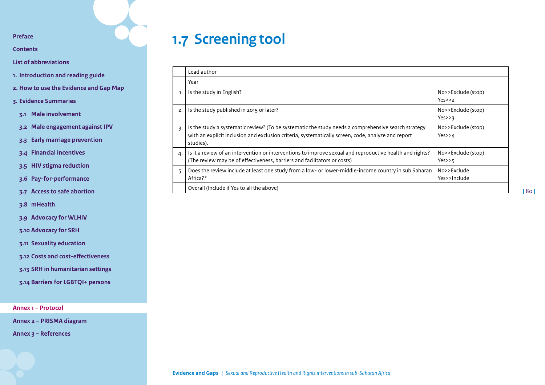**[Contents](#page-2-0)**

**[List of abbreviations](#page-3-0)**

- **1. [Introduction and reading guide](#page-4-0)**
- **2. [How to use the Evidence and Gap Map](#page-7-0)**
- **3. [Evidence Summaries](#page-10-0)**
- **3.1 [Male involvement](#page-11-0)**
- **3.2 [Male engagement against IPV](#page-15-0)**
- **3.3 [Early marriage prevention](#page-19-0)**
- **3.4 [Financial incentives](#page-23-0)**
- **3.5 [HIV stigma reduction](#page-30-0)**
- **3.6 [Pay-for-performance](#page-33-0)**
- **3.7 [Access to safe abortion](#page-38-0)**
- **3.8 [mHealth](#page-42-0)**
- **3.9 [Advocacy for WLHIV](#page-46-0)**
- **3.10 [Advocacy for SRH](#page-49-0)**
- **3.11 [Sexuality education](#page-53-0)**
- **3.12 [Costs and cost-effectiveness](#page-58-0)**
- **3.13 [SRH in humanitarian settings](#page-62-0)**
- **3.14 [Barriers for LGBTQI+ persons](#page-67-0)**

**[Annex 1 – Protocol](#page-71-0)**

**[Annex 2 – PRISMA diagram](#page-85-0)** 

**[Annex 3 – References](#page-86-0)**

# **1.7 Screening tool**

|                             | Lead author                                                                                                                                                                                                            |                                    |
|-----------------------------|------------------------------------------------------------------------------------------------------------------------------------------------------------------------------------------------------------------------|------------------------------------|
|                             | Year                                                                                                                                                                                                                   |                                    |
| 1.                          | Is the study in English?                                                                                                                                                                                               | No>>Exclude (stop)<br>Yes>>2       |
| $\mathcal{P}_{\mathcal{P}}$ | Is the study published in 2015 or later?                                                                                                                                                                               | No>>Exclude (stop)<br>$Yes \geq 7$ |
| 3.                          | Is the study a systematic review? (To be systematic the study needs a comprehensive search strategy<br>with an explicit inclusion and exclusion criteria, systematically screen, code, analyze and report<br>studies). | No>>Exclude (stop)<br>Yes>4        |
| 4.                          | Is it a review of an intervention or interventions to improve sexual and reproductive health and rights?<br>(The review may be of effectiveness, barriers and facilitators or costs)                                   | No>>Exclude (stop)<br>$Yes \ge 5$  |
| 5.                          | Does the review include at least one study from a low- or lower-middle-income country in sub Saharan<br>Africa?*                                                                                                       | No>>Exclude<br>Yes>>Include        |
|                             | Overall (Include if Yes to all the above)                                                                                                                                                                              |                                    |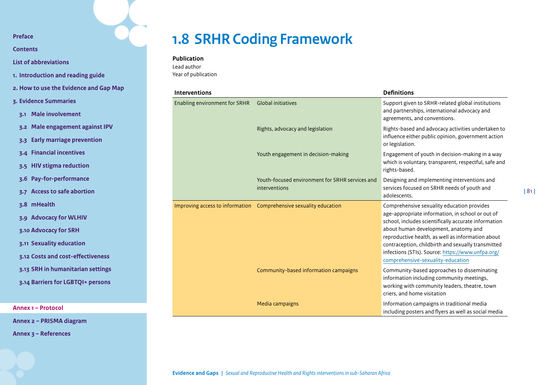**[Contents](#page-2-0)**

**[List of abbreviations](#page-3-0)**

**1. [Introduction and reading guide](#page-4-0)**

- **2. [How to use the Evidence and Gap Map](#page-7-0)**
- **3. [Evidence Summaries](#page-10-0)**

**3.1 [Male involvement](#page-11-0)**

**3.2 [Male engagement against IPV](#page-15-0)**

- **3.3 [Early marriage prevention](#page-19-0)**
- **3.4 [Financial incentives](#page-23-0)**
- **3.5 [HIV stigma reduction](#page-30-0)**
- **3.6 [Pay-for-performance](#page-33-0)**
- **3.7 [Access to safe abortion](#page-38-0)**
- **3.8 [mHealth](#page-42-0)**
- **3.9 [Advocacy for WLHIV](#page-46-0)**
- **3.10 [Advocacy for SRH](#page-49-0)**
- **3.11 [Sexuality education](#page-53-0)**
- **3.12 [Costs and cost-effectiveness](#page-58-0)**
- **3.13 [SRH in humanitarian settings](#page-62-0)**
- **3.14 [Barriers for LGBTQI+ persons](#page-67-0)**

**[Annex 1 – Protocol](#page-71-0)**

**[Annex 2 – PRISMA diagram](#page-85-0)** 

**[Annex 3 – References](#page-86-0)**

# **1.8 SRHR Coding Framework**

#### **Publication**

Lead author Year of publication

| <b>Interventions</b>                 |                                                                   | <b>Definitions</b>                                                                                                                                                                                                                                                                                                                                                                                  |  |
|--------------------------------------|-------------------------------------------------------------------|-----------------------------------------------------------------------------------------------------------------------------------------------------------------------------------------------------------------------------------------------------------------------------------------------------------------------------------------------------------------------------------------------------|--|
| <b>Enabling environment for SRHR</b> | <b>Global initiatives</b>                                         | Support given to SRHR-related global institutions<br>and partnerships, international advocacy and<br>agreements, and conventions.                                                                                                                                                                                                                                                                   |  |
|                                      | Rights, advocacy and legislation                                  | Rights-based and advocacy activities undertaken to<br>influence either public opinion, government action<br>or legislation.                                                                                                                                                                                                                                                                         |  |
|                                      | Youth engagement in decision-making                               | Engagement of youth in decision-making in a way<br>which is voluntary, transparent, respectful, safe and<br>rights-based.                                                                                                                                                                                                                                                                           |  |
|                                      | Youth-focused environment for SRHR services and<br>interventions  | Designing and implementing interventions and<br>services focused on SRHR needs of youth and<br>adolescents.                                                                                                                                                                                                                                                                                         |  |
|                                      | Improving access to information Comprehensive sexuality education | Comprehensive sexuality education provides<br>age-appropriate information, in school or out of<br>school, includes scientifically accurate information<br>about human development, anatomy and<br>reproductive health, as well as information about<br>contraception, childbirth and sexually transmitted<br>infections (STIs). Source: https://www.unfpa.org/<br>comprehensive-sexuality-education |  |
|                                      | Community-based information campaigns                             | Community-based approaches to disseminating<br>information including community meetings,<br>working with community leaders, theatre, town<br>criers, and home visitation                                                                                                                                                                                                                            |  |
|                                      | Media campaigns                                                   | Information campaigns in traditional media<br>including posters and flyers as well as social media                                                                                                                                                                                                                                                                                                  |  |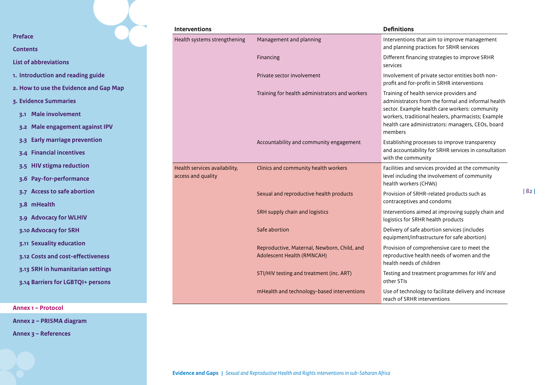|                                                      | Interventions                 |                                                | <b>Definitions</b>                                                                                   |
|------------------------------------------------------|-------------------------------|------------------------------------------------|------------------------------------------------------------------------------------------------------|
| <b>Preface</b>                                       | Health systems strengthening  | Management and planning                        | Interventions that aim to improve management                                                         |
| <b>Contents</b>                                      |                               |                                                | and planning practices for SRHR services                                                             |
| <b>List of abbreviations</b>                         |                               | Financing                                      | Different financing strategies to improve SRHR<br>services                                           |
| 1. Introduction and reading guide                    |                               | Private sector involvement                     | Involvement of private sector entities both non-<br>profit and for-profit in SRHR interventions      |
| 2. How to use the Evidence and Gap Map               |                               | Training for health administrators and workers | Training of health service providers and                                                             |
| 3. Evidence Summaries                                |                               |                                                | administrators from the formal and informal health                                                   |
| 3.1 Male involvement                                 |                               |                                                | sector. Example health care workers: community<br>workers, traditional healers, pharmacists; Example |
| 3.2 Male engagement against IPV                      |                               |                                                | health care administrators: managers, CEOs, board<br>members                                         |
| <b>Early marriage prevention</b><br>3.3 <sub>1</sub> |                               | Accountability and community engagement        | Establishing processes to improve transparency                                                       |
| 3.4 Financial incentives                             |                               |                                                | and accountability for SRHR services in consultation<br>with the community                           |
| <b>HIV stigma reduction</b>                          | Health services availability, | Clinics and community health workers           | Facilities and services provided at the community                                                    |
| Pay-for-performance                                  | access and quality            |                                                | level including the involvement of community<br>health workers (CHWs)                                |
| <b>Access to safe abortion</b>                       |                               | Sexual and reproductive health products        | Provision of SRHR-related products such as<br>contraceptives and condoms                             |
| 3.8 mHealth                                          |                               | SRH supply chain and logistics                 | Interventions aimed at improving supply chain and                                                    |
| 3.9 Advocacy for WLHIV                               |                               |                                                | logistics for SRHR health products                                                                   |
| 3.10 Advocacy for SRH                                |                               | Safe abortion                                  | Delivery of safe abortion services (includes<br>equipment/infrastructure for safe abortion)          |
| 3.11 Sexuality education                             |                               | Reproductive, Maternal, Newborn, Child, and    | Provision of comprehensive care to meet the                                                          |
| 3.12 Costs and cost-effectiveness                    |                               | Adolescent Health (RMNCAH)                     | reproductive health needs of women and the<br>health needs of children                               |
| 3.13 SRH in humanitarian settings                    |                               | STI/HIV testing and treatment (inc. ART)       | Testing and treatment programmes for HIV and                                                         |
| 3.14 Barriers for LGBTQI+ persons                    |                               |                                                | other STIs                                                                                           |
|                                                      |                               | mHealth and technology-based interventions     | Use of technology to facilitate delivery and increase<br>reach of SRHR interventions                 |

**|** 82 **|**

**[Annex 1 – Protocol](#page-71-0)**

**[Annex 2 – PRISMA diagram](#page-85-0)** 

**[Annex 3 – References](#page-86-0)**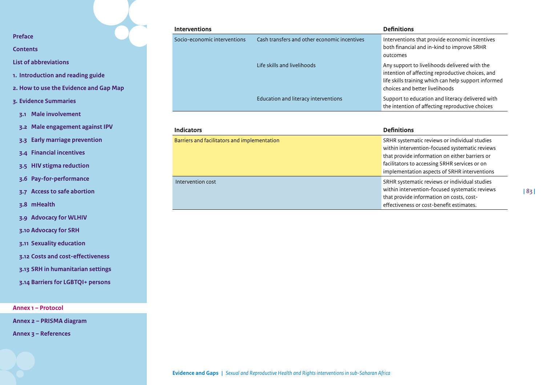**[Contents](#page-2-0)**

**[List of abbreviations](#page-3-0)**

- **1. [Introduction and reading guide](#page-4-0)**
- **2. [How to use the Evidence and Gap Map](#page-7-0)**
- **3. [Evidence Summaries](#page-10-0)**
	- **3.1 [Male involvement](#page-11-0)**
- **3.2 [Male engagement against IPV](#page-15-0)**
- **3.3 [Early marriage prevention](#page-19-0)**
- **3.4 [Financial incentives](#page-23-0)**
- **3.5 [HIV stigma reduction](#page-30-0)**
- **3.6 [Pay-for-performance](#page-33-0)**
- **3.7 [Access to safe abortion](#page-38-0)**

**3.8 [mHealth](#page-42-0)**

- **3.9 [Advocacy for WLHIV](#page-46-0)**
- **3.10 [Advocacy for SRH](#page-49-0)**
- **3.11 [Sexuality education](#page-53-0)**
- **3.12 [Costs and cost-effectiveness](#page-58-0)**
- **3.13 [SRH in humanitarian settings](#page-62-0)**
- **3.14 [Barriers for LGBTQI+ persons](#page-67-0)**

**[Annex 1 – Protocol](#page-71-0)**

**[Annex 2 – PRISMA diagram](#page-85-0)** 

**[Annex 3 – References](#page-86-0)**

| <b>Interventions</b>         |                                              | <b>Definitions</b>                                                                                                                                                                          |
|------------------------------|----------------------------------------------|---------------------------------------------------------------------------------------------------------------------------------------------------------------------------------------------|
| Socio-economic interventions | Cash transfers and other economic incentives | Interventions that provide economic incentives<br>both financial and in-kind to improve SRHR<br>outcomes                                                                                    |
|                              | Life skills and livelihoods                  | Any support to livelihoods delivered with the<br>intention of affecting reproductive choices, and<br>life skills training which can help support informed<br>choices and better livelihoods |
|                              | Education and literacy interventions         | Support to education and literacy delivered with<br>the intention of affecting reproductive choices                                                                                         |

| <b>Indicators</b>                            | <b>Definitions</b>                                                                                                                                                                                                                                 |  |
|----------------------------------------------|----------------------------------------------------------------------------------------------------------------------------------------------------------------------------------------------------------------------------------------------------|--|
| Barriers and facilitators and implementation | SRHR systematic reviews or individual studies<br>within intervention-focused systematic reviews<br>that provide information on either barriers or<br>facilitators to accessing SRHR services or on<br>implementation aspects of SRHR interventions |  |
| Intervention cost                            | SRHR systematic reviews or individual studies<br>within intervention-focused systematic reviews<br>that provide information on costs, cost-<br>effectiveness or cost-benefit estimates.                                                            |  |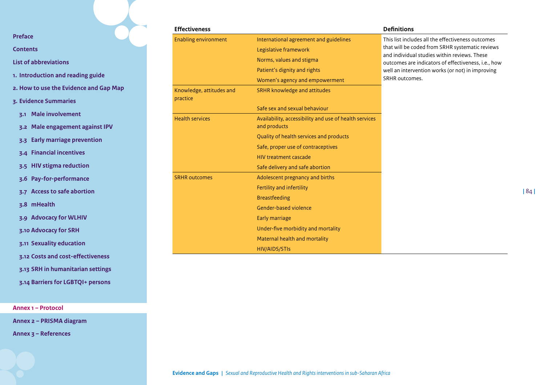**[Contents](#page-2-0)**

**[List of abbreviations](#page-3-0)**

- **1. [Introduction and reading guide](#page-4-0)**
- **2. [How to use the Evidence and Gap Map](#page-7-0)**
- **3. [Evidence Summaries](#page-10-0)**
	- **3.1 [Male involvement](#page-11-0)**
- **3.2 [Male engagement against IPV](#page-15-0)**
- **3.3 [Early marriage prevention](#page-19-0)**
- **3.4 [Financial incentives](#page-23-0)**
- **3.5 [HIV stigma reduction](#page-30-0)**
- **3.6 [Pay-for-performance](#page-33-0)**
- **3.7 [Access to safe abortion](#page-38-0)**
- **3.8 [mHealth](#page-42-0)**
- **3.9 [Advocacy for WLHIV](#page-46-0)**
- **3.10 [Advocacy for SRH](#page-49-0)**
- **3.11 [Sexuality education](#page-53-0)**
- **3.12 [Costs and cost-effectiveness](#page-58-0)**
- **3.13 [SRH in humanitarian settings](#page-62-0)**
- **3.14 [Barriers for LGBTQI+ persons](#page-67-0)**

**[Annex 1 – Protocol](#page-71-0)**

**[Annex 2 – PRISMA diagram](#page-85-0)** 

**[Annex 3 – References](#page-86-0)**

| <b>Effectiveness</b>                 |                                                                        | <b>Definitions</b>                                                                                  |
|--------------------------------------|------------------------------------------------------------------------|-----------------------------------------------------------------------------------------------------|
| <b>Enabling environment</b>          | International agreement and guidelines                                 | This list includes all the effectiveness outcomes                                                   |
|                                      | Legislative framework                                                  | that will be coded from SRHR systematic reviews                                                     |
|                                      | Norms, values and stigma                                               | and individual studies within reviews. These<br>outcomes are indicators of effectiveness, i.e., how |
|                                      | Patient's dignity and rights                                           | well an intervention works (or not) in improving                                                    |
|                                      | Women's agency and empowerment                                         | SRHR outcomes.                                                                                      |
| Knowledge, attitudes and<br>practice | SRHR knowledge and attitudes                                           |                                                                                                     |
|                                      | Safe sex and sexual behaviour                                          |                                                                                                     |
| <b>Health services</b>               | Availability, accessibility and use of health services<br>and products |                                                                                                     |
|                                      | Quality of health services and products                                |                                                                                                     |
|                                      | Safe, proper use of contraceptives                                     |                                                                                                     |
|                                      | <b>HIV treatment cascade</b>                                           |                                                                                                     |
|                                      | Safe delivery and safe abortion                                        |                                                                                                     |
| <b>SRHR outcomes</b>                 | Adolescent pregnancy and births                                        |                                                                                                     |
|                                      | Fertility and infertility                                              |                                                                                                     |
|                                      | <b>Breastfeeding</b>                                                   |                                                                                                     |
|                                      | Gender-based violence                                                  |                                                                                                     |
|                                      | Early marriage                                                         |                                                                                                     |
|                                      | Under-five morbidity and mortality                                     |                                                                                                     |
|                                      | Maternal health and mortality                                          |                                                                                                     |
|                                      | HIV/AIDS/STIs                                                          |                                                                                                     |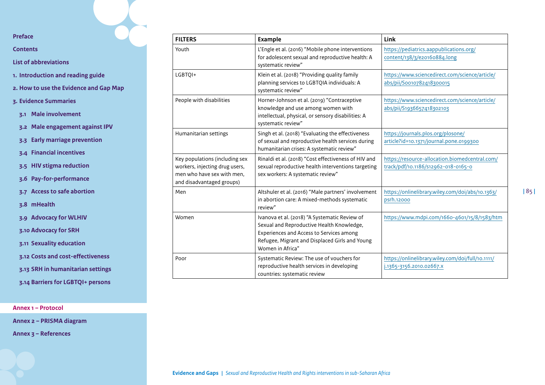**[Contents](#page-2-0)**

**[List of abbreviations](#page-3-0)**

**1. [Introduction and reading guide](#page-4-0)**

**2. [How to use the Evidence and Gap Map](#page-7-0)**

- **3. [Evidence Summaries](#page-10-0)**
	- **3.1 [Male involvement](#page-11-0)**
	- **3.2 [Male engagement against IPV](#page-15-0)**
	- **3.3 [Early marriage prevention](#page-19-0)**
	- **3.4 [Financial incentives](#page-23-0)**
	- **3.5 [HIV stigma reduction](#page-30-0)**
	- **3.6 [Pay-for-performance](#page-33-0)**

**3.7 [Access to safe abortion](#page-38-0)**

**3.8 [mHealth](#page-42-0)**

**3.9 [Advocacy for WLHIV](#page-46-0)**

**3.10 [Advocacy for SRH](#page-49-0)**

**3.11 [Sexuality education](#page-53-0)**

**3.12 [Costs and cost-effectiveness](#page-58-0)**

**3.13 [SRH in humanitarian settings](#page-62-0)**

**3.14 [Barriers for LGBTQI+ persons](#page-67-0)**

**[Annex 1 – Protocol](#page-71-0)**

**[Annex 2 – PRISMA diagram](#page-85-0)** 

**[Annex 3 – References](#page-86-0)**

| <b>FILTERS</b>                                                                                                              | <b>Example</b>                                                                                                                                                                                               | <b>Link</b>                                                                           |
|-----------------------------------------------------------------------------------------------------------------------------|--------------------------------------------------------------------------------------------------------------------------------------------------------------------------------------------------------------|---------------------------------------------------------------------------------------|
| Youth                                                                                                                       | L'Engle et al. (2016) "Mobile phone interventions<br>for adolescent sexual and reproductive health: A<br>systematic review"                                                                                  | https://pediatrics.aappublications.org/<br>content/138/3/e20160884.long               |
| LGBTQI+                                                                                                                     | Klein et al. (2018) "Providing quality family<br>planning services to LGBTQIA individuals: A<br>systematic review"                                                                                           | https://www.sciencedirect.com/science/article/<br>abs/pii/Soo10782418300015           |
| People with disabilities                                                                                                    | Horner-Johnson et al. (2019) "Contraceptive<br>knowledge and use among women with<br>intellectual, physical, or sensory disabilities: A<br>systematic review"                                                | https://www.sciencedirect.com/science/article/<br>abs/pii/S1936657418302103           |
| Humanitarian settings                                                                                                       | Singh et al. (2018) "Evaluating the effectiveness<br>of sexual and reproductive health services during<br>humanitarian crises: A systematic review"                                                          | https://journals.plos.org/plosone/<br>article?id=10.1371/journal.pone.0199300         |
| Key populations (including sex<br>workers, injecting drug users,<br>men who have sex with men,<br>and disadvantaged groups) | Rinaldi et al. (2018) "Cost effectiveness of HIV and<br>sexual reproductive health interventions targeting<br>sex workers: A systematic review"                                                              | https://resource-allocation.biomedcentral.com/<br>track/pdf/10.1186/s12962-018-0165-0 |
| Men                                                                                                                         | Altshuler et al. (2016) "Male partners' involvement<br>in abortion care: A mixed-methods systematic<br>review"                                                                                               | https://onlinelibrary.wiley.com/doi/abs/10.1363/<br>psrh.12000                        |
| Women                                                                                                                       | Ivanova et al. (2018) "A Systematic Review of<br>Sexual and Reproductive Health Knowledge,<br>Experiences and Access to Services among<br>Refugee, Migrant and Displaced Girls and Young<br>Women in Africa" | https://www.mdpi.com/1660-4601/15/8/1583/htm                                          |
| Poor                                                                                                                        | Systematic Review: The use of vouchers for<br>reproductive health services in developing<br>countries: systematic review                                                                                     | https://onlinelibrary.wiley.com/doi/full/10.1111/<br>j.1365-3156.2010.02667.x         |

**|** 85 **|**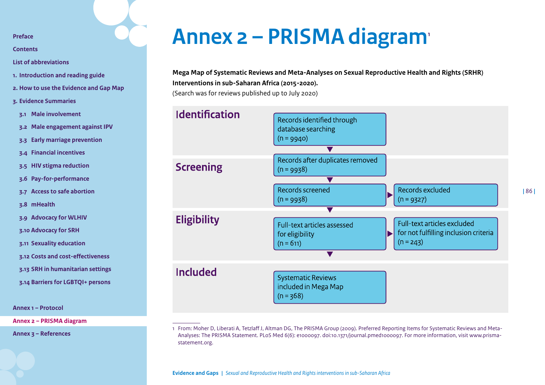**[Contents](#page-2-0)**

**[List of abbreviations](#page-3-0)**

- **1. [Introduction and reading guide](#page-4-0)**
- **2. [How to use the Evidence and Gap Map](#page-7-0)**
- **3. [Evidence Summaries](#page-10-0)**
- **3.1 [Male involvement](#page-11-0)**
- **3.2 [Male engagement against IPV](#page-15-0)**
- **3.3 [Early marriage prevention](#page-19-0)**
- **3.4 [Financial incentives](#page-23-0)**
- **3.5 [HIV stigma reduction](#page-30-0)**
- **3.6 [Pay-for-performance](#page-33-0)**
- **3.7 [Access to safe abortion](#page-38-0)**
- **3.8 [mHealth](#page-42-0)**
- **3.9 [Advocacy for WLHIV](#page-46-0)**
- **3.10 [Advocacy for SRH](#page-49-0)**
- **3.11 [Sexuality education](#page-53-0)**
- **3.12 [Costs and cost-effectiveness](#page-58-0)**
- **3.13 [SRH in humanitarian settings](#page-62-0)**
- **3.14 [Barriers for LGBTQI+ persons](#page-67-0)**

**[Annex 1 – Protocol](#page-71-0)**

**[Annex 2 – PRISMA diagram](#page-85-0)** 

**[Annex 3 – References](#page-86-0)**

# <span id="page-85-0"></span>**Annex 2 – PRISMA diagram1**

## **Mega Map of Systematic Reviews and Meta-Analyses on Sexual Reproductive Health and Rights (SRHR) Interventions in sub-Saharan Africa (2015-2020).**

(Search was for reviews published up to July 2020)



<sup>1</sup> From: Moher D, Liberati A, Tetzlaff J, Altman DG, The PRISMA Group (2009). Preferred Reporting Items for Systematic Reviews and Meta-Analyses: The PRISMA Statement. PLoS Med 6(6): e1000097. doi:10.1371/journal.pmed1000097. For more information, visit www.prismastatement.org.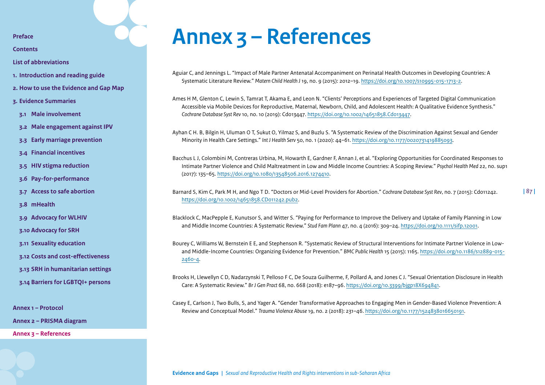**[Contents](#page-2-0)**

**[List of abbreviations](#page-3-0)**

- **1. [Introduction and reading guide](#page-4-0)**
- **2. [How to use the Evidence and Gap Map](#page-7-0)**
- **3. [Evidence Summaries](#page-10-0)**
- **3.1 [Male involvement](#page-11-0)**
- **3.2 [Male engagement against IPV](#page-15-0)**
- **3.3 [Early marriage prevention](#page-19-0)**
- **3.4 [Financial incentives](#page-23-0)**
- **3.5 [HIV stigma reduction](#page-30-0)**
- **3.6 [Pay-for-performance](#page-33-0)**
- **3.7 [Access to safe abortion](#page-38-0)**
- **3.8 [mHealth](#page-42-0)**
- **3.9 [Advocacy for WLHIV](#page-46-0)**
- **3.10 [Advocacy for SRH](#page-49-0)**
- **3.11 [Sexuality education](#page-53-0)**
- **3.12 [Costs and cost-effectiveness](#page-58-0)**
- **3.13 [SRH in humanitarian settings](#page-62-0)**
- **3.14 [Barriers for LGBTQI+ persons](#page-67-0)**

**[Annex 1 – Protocol](#page-71-0)**

**[Annex 2 – PRISMA diagram](#page-85-0)** 

**[Annex 3 – References](#page-86-0)**

# <span id="page-86-0"></span>**Annex 3 – References**

Aguiar C, and Jennings L. "Impact of Male Partner Antenatal Accompaniment on Perinatal Health Outcomes in Developing Countries: A Systematic Literature Review." *Matern Child Health J* 19, no. 9 (2015): 2012–19. <https://doi.org/10.1007/s10995-015-1713-2>.

Ames H M, Glenton C, Lewin S, Tamrat T, Akama E, and Leon N. "Clients' Perceptions and Experiences of Targeted Digital Communication Accessible via Mobile Devices for Reproductive, Maternal, Newborn, Child, and Adolescent Health: A Qualitative Evidence Synthesis." *Cochrane Database Syst Rev* 10, no. 10 (2019): Cd013447.<https://doi.org/10.1002/14651858.Cd013447>.

Ayhan C H. B, Bilgin H, Uluman O T, Sukut O, Yilmaz S, and Buzlu S. "A Systematic Review of the Discrimination Against Sexual and Gender Minority in Health Care Settings." *Int J Health Serv* 50, no. 1 (2020): 44–61. [https://doi.org/10.1177/0020731419885093.](https://doi.org/10.1177/0020731419885093)

Bacchus L J, Colombini M, Contreras Urbina, M, Howarth E, Gardner F, Annan J, et al. "Exploring Opportunities for Coordinated Responses to Intimate Partner Violence and Child Maltreatment in Low and Middle Income Countries: A Scoping Review." *Psychol Health Med* 22, no. sup1 (2017): 135–65. [https://doi.org/10.1080/13548506.2016.1274410.](https://doi.org/10.1080/13548506.2016.1274410)

Barnard S, Kim C, Park M H, and Ngo T D. "Doctors or Mid-Level Providers for Abortion." *Cochrane Database Syst Rev*, no. 7 (2015): Cd011242. <https://doi.org/10.1002/14651858.CD011242.pub2>.

**|** 87 **|**

Blacklock C, MacPepple E, Kunutsor S, and Witter S. "Paying for Performance to Improve the Delivery and Uptake of Family Planning in Low and Middle Income Countries: A Systematic Review." *Stud Fam Plann* 47, no. 4 (2016): 309–24. [https://doi.org/10.1111/sifp.12001.](https://doi.org/10.1111/sifp.12001)

Bourey C, Williams W, Bernstein E E, and Stephenson R. "Systematic Review of Structural Interventions for Intimate Partner Violence in Lowand Middle-Income Countries: Organizing Evidence for Prevention." *BMC Public Health* 15 (2015): 1165. [https://doi.org/10.1186/s12889-015-](https://doi.org/10.1186/s12889-015-2460-4) [2460-4](https://doi.org/10.1186/s12889-015-2460-4).

Brooks H, Llewellyn C D, Nadarzynski T, Pelloso F C, De Souza Guilherme, F, Pollard A, and Jones C J. "Sexual Orientation Disclosure in Health Care: A Systematic Review." *Br J Gen Pract* 68, no. 668 (2018): e187–96. <https://doi.org/10.3399/bjgp18X694841>.

Casey E, Carlson J, Two Bulls, S, and Yager A. "Gender Transformative Approaches to Engaging Men in Gender-Based Violence Prevention: A Review and Conceptual Model." *Trauma Violence Abuse* 19, no. 2 (2018): 231–46. [https://doi.org/10.1177/1524838016650191.](https://doi.org/10.1177/1524838016650191)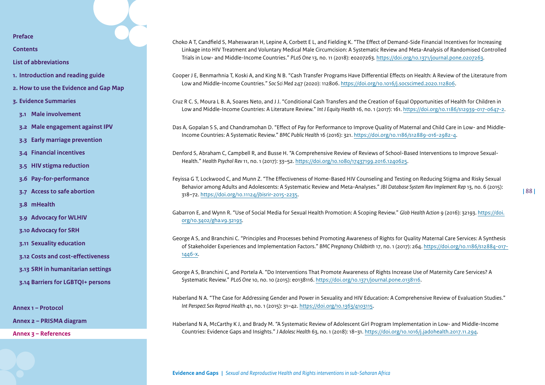**[Contents](#page-2-0)**

**[List of abbreviations](#page-3-0)**

- **1. [Introduction and reading guide](#page-4-0)**
- **2. [How to use the Evidence and Gap Map](#page-7-0)**
- **3. [Evidence Summaries](#page-10-0)**
- **3.1 [Male involvement](#page-11-0)**
- **3.2 [Male engagement against IPV](#page-15-0)**
- **3.3 [Early marriage prevention](#page-19-0)**
- **3.4 [Financial incentives](#page-23-0)**
- **3.5 [HIV stigma reduction](#page-30-0)**
- **3.6 [Pay-for-performance](#page-33-0)**
- **3.7 [Access to safe abortion](#page-38-0)**
- **3.8 [mHealth](#page-42-0)**
- **3.9 [Advocacy for WLHIV](#page-46-0)**
- **3.10 [Advocacy for SRH](#page-49-0)**
- **3.11 [Sexuality education](#page-53-0)**
- **3.12 [Costs and cost-effectiveness](#page-58-0)**
- **3.13 [SRH in humanitarian settings](#page-62-0)**
- **3.14 [Barriers for LGBTQI+ persons](#page-67-0)**

**[Annex 1 – Protocol](#page-71-0)**

**[Annex 2 – PRISMA diagram](#page-85-0)** 

**[Annex 3 – References](#page-86-0)**

Choko A T, Candfield S, Maheswaran H, Lepine A, Corbett E L, and Fielding K. "The Effect of Demand-Side Financial Incentives for Increasing Linkage into HIV Treatment and Voluntary Medical Male Circumcision: A Systematic Review and Meta-Analysis of Randomised Controlled Trials in Low- and Middle-Income Countries." *PLoS One* 13, no. 11 (2018): e0207263. <https://doi.org/10.1371/journal.pone.0207263>.

Cooper J E, Benmarhnia T, Koski A, and King N B. "Cash Transfer Programs Have Differential Effects on Health: A Review of the Literature from Low and Middle-Income Countries." *Soc Sci Med* 247 (2020): 112806. [https://doi.org/10.1016/j.socscimed.2020.112806.](https://doi.org/10.1016/j.socscimed.2020.112806)

Cruz R C. S, Moura L B. A, Soares Neto, and J J. "Conditional Cash Transfers and the Creation of Equal Opportunities of Health for Children in Low and Middle-Income Countries: A Literature Review." *Int J Equity Health* 16, no. 1 (2017): 161. [https://doi.org/10.1186/s12939-017-0647-2.](https://doi.org/10.1186/s12939-017-0647-2)

Das A, Gopalan S S, and Chandramohan D. "Effect of Pay for Performance to Improve Quality of Maternal and Child Care in Low- and Middle-Income Countries: A Systematic Review." *BMC Public Health* 16 (2016): 321. <https://doi.org/10.1186/s12889-016-2982-4>.

Denford S, Abraham C, Campbell R, and Busse H. "A Comprehensive Review of Reviews of School-Based Interventions to Improve Sexual-Health." *Health Psychol Rev* 11, no. 1 (2017): 33–52. [https://doi.org/10.1080/17437199.2016.1240625.](https://doi.org/10.1080/17437199.2016.1240625)

Feyissa G T, Lockwood C, and Munn Z. "The Effectiveness of Home-Based HIV Counseling and Testing on Reducing Stigma and Risky Sexual Behavior among Adults and Adolescents: A Systematic Review and Meta-Analyses." *JBI Database System Rev Implement Rep* 13, no. 6 (2015): 318–72. [https://doi.org/10.11124/jbisrir-2015-2235.](https://doi.org/10.11124/jbisrir-2015-2235)

Gabarron E, and Wynn R. "Use of Social Media for Sexual Health Promotion: A Scoping Review." *Glob Health Action* 9 (2016): 32193. [https://doi.](https://doi.org/10.3402/gha.v9.32193) [org/10.3402/gha.v9.32193.](https://doi.org/10.3402/gha.v9.32193)

George A S, and Branchini C. "Principles and Processes behind Promoting Awareness of Rights for Quality Maternal Care Services: A Synthesis of Stakeholder Experiences and Implementation Factors." *BMC Pregnancy Childbirth* 17, no. 1 (2017): 264. [https://doi.org/10.1186/s12884-017-](https://doi.org/10.1186/s12884-017-1446-x) [1446-x.](https://doi.org/10.1186/s12884-017-1446-x)

George A S, Branchini C, and Portela A. "Do Interventions That Promote Awareness of Rights Increase Use of Maternity Care Services? A Systematic Review." *PLoS One* 10, no. 10 (2015): e0138116. <https://doi.org/10.1371/journal.pone.0138116>.

Haberland N A. "The Case for Addressing Gender and Power in Sexuality and HIV Education: A Comprehensive Review of Evaluation Studies." *Int Perspect Sex Reprod Health* 41, no. 1 (2015): 31–42. [https://doi.org/10.1363/4103115.](https://doi.org/10.1363/4103115)

Haberland N A, McCarthy K J, and Brady M. "A Systematic Review of Adolescent Girl Program Implementation in Low- and Middle-Income Countries: Evidence Gaps and Insights." *J Adolesc Health* 63, no. 1 (2018): 18–31. [https://doi.org/10.1016/j.jadohealth.2017.11.294.](https://doi.org/10.1016/j.jadohealth.2017.11.294)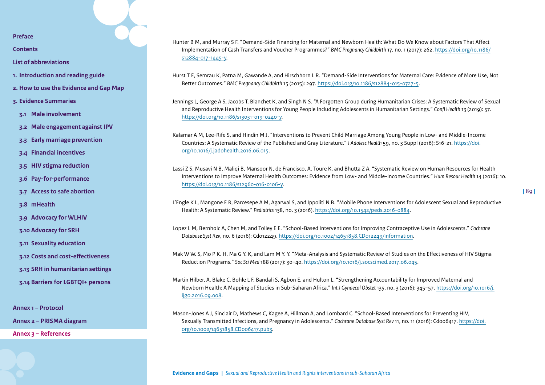**[Contents](#page-2-0)**

**[List of abbreviations](#page-3-0)**

- **1. [Introduction and reading guide](#page-4-0)**
- **2. [How to use the Evidence and Gap Map](#page-7-0)**
- **3. [Evidence Summaries](#page-10-0)**
- **3.1 [Male involvement](#page-11-0)**
- **3.2 [Male engagement against IPV](#page-15-0)**
- **3.3 [Early marriage prevention](#page-19-0)**
- **3.4 [Financial incentives](#page-23-0)**
- **3.5 [HIV stigma reduction](#page-30-0)**
- **3.6 [Pay-for-performance](#page-33-0)**
- **3.7 [Access to safe abortion](#page-38-0)**
- **3.8 [mHealth](#page-42-0)**
- **3.9 [Advocacy for WLHIV](#page-46-0)**
- **3.10 [Advocacy for SRH](#page-49-0)**
- **3.11 [Sexuality education](#page-53-0)**
- **3.12 [Costs and cost-effectiveness](#page-58-0)**
- **3.13 [SRH in humanitarian settings](#page-62-0)**
- **3.14 [Barriers for LGBTQI+ persons](#page-67-0)**

**[Annex 1 – Protocol](#page-71-0)**

**[Annex 2 – PRISMA diagram](#page-85-0)** 

**[Annex 3 – References](#page-86-0)**

Hunter B M, and Murray S F. "Demand-Side Financing for Maternal and Newborn Health: What Do We Know about Factors That Affect Implementation of Cash Transfers and Voucher Programmes?" *BMC Pregnancy Childbirth* 17, no. 1 (2017): 262. [https://doi.org/10.1186/](https://doi.org/10.1186/s12884-017-1445-y) [s12884-017-1445-y](https://doi.org/10.1186/s12884-017-1445-y).

Hurst T E, Semrau K, Patna M, Gawande A, and Hirschhorn L R. "Demand-Side Interventions for Maternal Care: Evidence of More Use, Not Better Outcomes." *BMC Pregnancy Childbirth* 15 (2015): 297. [https://doi.org/10.1186/s12884-015-0727-5.](https://doi.org/10.1186/s12884-015-0727-5)

Jennings L, George A S, Jacobs T, Blanchet K, and Singh N S. "A Forgotten Group during Humanitarian Crises: A Systematic Review of Sexual and Reproductive Health Interventions for Young People Including Adolescents in Humanitarian Settings." *Confl Health* 13 (2019): 57. [https://doi.org/10.1186/s13031-019-0240-y.](https://doi.org/10.1186/s13031-019-0240-y)

Kalamar A M, Lee-Rife S, and Hindin M J. "Interventions to Prevent Child Marriage Among Young People in Low- and Middle-Income Countries: A Systematic Review of the Published and Gray Literature." *J Adolesc Health* 59, no. 3 Suppl (2016): S16-21. [https://doi.](https://doi.org/10.1016/j.jadohealth.2016.06.015) [org/10.1016/j.jadohealth.2016.06.015.](https://doi.org/10.1016/j.jadohealth.2016.06.015)

Lassi Z S, Musavi N B, Maliqi B, Mansoor N, de Francisco, A, Toure K, and Bhutta Z A. "Systematic Review on Human Resources for Health Interventions to Improve Maternal Health Outcomes: Evidence from Low- and Middle-Income Countries." *Hum Resour Health* 14 (2016): 10. [https://doi.org/10.1186/s12960-016-0106-y.](https://doi.org/10.1186/s12960-016-0106-y)

L'Engle K L, Mangone E R, Parcesepe A M, Agarwal S, and Ippoliti N B. "Mobile Phone Interventions for Adolescent Sexual and Reproductive Health: A Systematic Review." *Pediatrics* 138, no. 3 (2016). [https://doi.org/10.1542/peds.2016-0884.](https://doi.org/10.1542/peds.2016-0884)

Lopez L M, Bernholc A, Chen M, and Tolley E E. "School-Based Interventions for Improving Contraceptive Use in Adolescents." *Cochrane Database Syst Rev*, no. 6 (2016): Cd012249. [https://doi.org/10.1002/14651858.CD012249/information.](https://doi.org/10.1002/14651858.CD012249/information)

Mak W W. S, Mo P K. H, Ma G Y. K, and Lam M Y. Y. "Meta-Analysis and Systematic Review of Studies on the Effectiveness of HIV Stigma Reduction Programs." *Soc Sci Med* 188 (2017): 30–40. [https://doi.org/10.1016/j.socscimed.2017.06.045.](https://doi.org/10.1016/j.socscimed.2017.06.045)

Martin Hilber, A, Blake C, Bohle L F, Bandali S, Agbon E, and Hulton L. "Strengthening Accountability for Improved Maternal and Newborn Health: A Mapping of Studies in Sub-Saharan Africa." *Int J Gynaecol Obstet* 135, no. 3 (2016): 345–57. [https://doi.org/10.1016/j.](https://doi.org/10.1016/j.ijgo.2016.09.008) [ijgo.2016.09.008.](https://doi.org/10.1016/j.ijgo.2016.09.008)

Mason-Jones A J, Sinclair D, Mathews C, Kagee A, Hillman A, and Lombard C. "School-Based Interventions for Preventing HIV, Sexually Transmitted Infections, and Pregnancy in Adolescents." *Cochrane Database Syst Rev* 11, no. 11 (2016): Cd006417. [https://doi.](https://doi.org/10.1002/14651858.CD006417.pub3) [org/10.1002/14651858.CD006417.pub3](https://doi.org/10.1002/14651858.CD006417.pub3).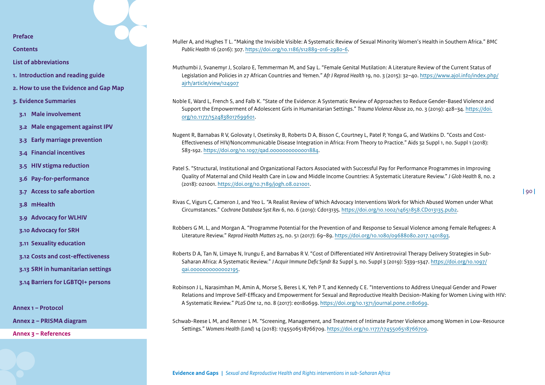**[Contents](#page-2-0)**

- **[List of abbreviations](#page-3-0)**
- **1. [Introduction and reading guide](#page-4-0)**
- **2. [How to use the Evidence and Gap Map](#page-7-0)**
- **3. [Evidence Summaries](#page-10-0)**
- **3.1 [Male involvement](#page-11-0)**
- **3.2 [Male engagement against IPV](#page-15-0)**
- **3.3 [Early marriage prevention](#page-19-0)**
- **3.4 [Financial incentives](#page-23-0)**
- **3.5 [HIV stigma reduction](#page-30-0)**
- **3.6 [Pay-for-performance](#page-33-0)**
- **3.7 [Access to safe abortion](#page-38-0)**
- **3.8 [mHealth](#page-42-0)**
- **3.9 [Advocacy for WLHIV](#page-46-0)**
- **3.10 [Advocacy for SRH](#page-49-0)**
- **3.11 [Sexuality education](#page-53-0)**
- **3.12 [Costs and cost-effectiveness](#page-58-0)**
- **3.13 [SRH in humanitarian settings](#page-62-0)**
- **3.14 [Barriers for LGBTQI+ persons](#page-67-0)**

**[Annex 1 – Protocol](#page-71-0)**

**[Annex 2 – PRISMA diagram](#page-85-0)** 

**[Annex 3 – References](#page-86-0)**

Muller A, and Hughes T L. "Making the Invisible Visible: A Systematic Review of Sexual Minority Women's Health in Southern Africa." *BMC Public Health* 16 (2016): 307. <https://doi.org/10.1186/s12889-016-2980-6>.

Muthumbi J, Svanemyr J, Scolaro E, Temmerman M, and Say L. "Female Genital Mutilation: A Literature Review of the Current Status of Legislation and Policies in 27 African Countries and Yemen." *Afr J Reprod Health* 19, no. 3 (2015): 32–40. [https://www.ajol.info/index.php/](https://www.ajol.info/index.php/ajrh/article/view/124907) [ajrh/article/view/124907](https://www.ajol.info/index.php/ajrh/article/view/124907)

Noble E, Ward L, French S, and Falb K. "State of the Evidence: A Systematic Review of Approaches to Reduce Gender-Based Violence and Support the Empowerment of Adolescent Girls in Humanitarian Settings." *Trauma Violence Abuse* 20, no. 3 (2019): 428–34. [https://doi.](https://doi.org/10.1177/1524838017699601) [org/10.1177/1524838017699601](https://doi.org/10.1177/1524838017699601).

Nugent R, Barnabas R V, Golovaty I, Osetinsky B, Roberts D A, Bisson C, Courtney L, Patel P, Yonga G, and Watkins D. "Costs and Cost-Effectiveness of HIV/Noncommunicable Disease Integration in Africa: From Theory to Practice." Aids 32 Suppl 1, no. Suppl 1 (2018): S83-s92. [https://doi.org/10.1097/qad.0000000000001884.](https://doi.org/10.1097/qad.0000000000001884)

Patel S. "Structural, Institutional and Organizational Factors Associated with Successful Pay for Performance Programmes in Improving Quality of Maternal and Child Health Care in Low and Middle Income Countries: A Systematic Literature Review." *J Glob Health* 8, no. 2 (2018): 021001.<https://doi.org/10.7189/jogh.08.021001>.

Rivas C, Vigurs C, Cameron J, and Yeo L. "A Realist Review of Which Advocacy Interventions Work for Which Abused Women under What Circumstances." *Cochrane Database Syst Rev* 6, no. 6 (2019): Cd013135. <https://doi.org/10.1002/14651858.CD013135.pub2>.

Robbers G M. L, and Morgan A. "Programme Potential for the Prevention of and Response to Sexual Violence among Female Refugees: A Literature Review." *Reprod Health Matters* 25, no. 51 (2017): 69–89.<https://doi.org/10.1080/09688080.2017.1401893>.

Roberts D A, Tan N, Limaye N, Irungu E, and Barnabas R V. "Cost of Differentiated HIV Antiretroviral Therapy Delivery Strategies in Sub-Saharan Africa: A Systematic Review." *J Acquir Immune Defic Syndr* 82 Suppl 3, no. Suppl 3 (2019): S339-s347. [https://doi.org/10.1097/](https://doi.org/10.1097/qai.0000000000002195) [qai.0000000000002195](https://doi.org/10.1097/qai.0000000000002195).

Robinson J L, Narasimhan M, Amin A, Morse S, Beres L K, Yeh P T, and Kennedy C E. "Interventions to Address Unequal Gender and Power Relations and Improve Self-Efficacy and Empowerment for Sexual and Reproductive Health Decision-Making for Women Living with HIV: A Systematic Review." *PLoS One* 12, no. 8 (2017): e0180699. <https://doi.org/10.1371/journal.pone.0180699>.

Schwab-Reese L M, and Renner L M. "Screening, Management, and Treatment of Intimate Partner Violence among Women in Low-Resource Settings." *Womens Health (Lond)* 14 (2018): 1745506518766709. [https://doi.org/10.1177/1745506518766709.](https://doi.org/10.1177/1745506518766709)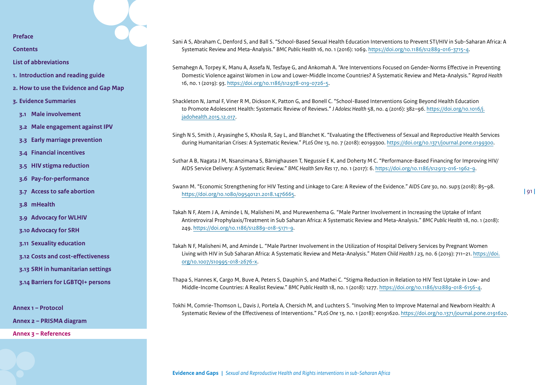**[Contents](#page-2-0)**

- **[List of abbreviations](#page-3-0)**
- **1. [Introduction and reading guide](#page-4-0)**
- **2. [How to use the Evidence and Gap Map](#page-7-0)**
- **3. [Evidence Summaries](#page-10-0)**
- **3.1 [Male involvement](#page-11-0)**
- **3.2 [Male engagement against IPV](#page-15-0)**
- **3.3 [Early marriage prevention](#page-19-0)**
- **3.4 [Financial incentives](#page-23-0)**
- **3.5 [HIV stigma reduction](#page-30-0)**
- **3.6 [Pay-for-performance](#page-33-0)**
- **3.7 [Access to safe abortion](#page-38-0)**
- **3.8 [mHealth](#page-42-0)**
- **3.9 [Advocacy for WLHIV](#page-46-0)**
- **3.10 [Advocacy for SRH](#page-49-0)**
- **3.11 [Sexuality education](#page-53-0)**
- **3.12 [Costs and cost-effectiveness](#page-58-0)**
- **3.13 [SRH in humanitarian settings](#page-62-0)**
- **3.14 [Barriers for LGBTQI+ persons](#page-67-0)**

**[Annex 1 – Protocol](#page-71-0)**

**[Annex 2 – PRISMA diagram](#page-85-0)** 

**[Annex 3 – References](#page-86-0)**

Sani A S, Abraham C, Denford S, and Ball S. "School-Based Sexual Health Education Interventions to Prevent STI/HIV in Sub-Saharan Africa: A Systematic Review and Meta-Analysis." *BMC Public Health* 16, no. 1 (2016): 1069. <https://doi.org/10.1186/s12889-016-3715-4>.

Semahegn A, Torpey K, Manu A, Assefa N, Tesfaye G, and Ankomah A. "Are Interventions Focused on Gender-Norms Effective in Preventing Domestic Violence against Women in Low and Lower-Middle Income Countries? A Systematic Review and Meta-Analysis." *Reprod Health* 16, no. 1 (2019): 93. <https://doi.org/10.1186/s12978-019-0726-5>.

Shackleton N, Jamal F, Viner R M, Dickson K, Patton G, and Bonell C. "School-Based Interventions Going Beyond Health Education to Promote Adolescent Health: Systematic Review of Reviews." *J Adolesc Health* 58, no. 4 (2016): 382–96. [https://doi.org/10.1016/j.](https://doi.org/10.1016/j.jadohealth.2015.12.017) [jadohealth.2015.12.017](https://doi.org/10.1016/j.jadohealth.2015.12.017).

Singh N S, Smith J, Aryasinghe S, Khosla R, Say L, and Blanchet K. "Evaluating the Effectiveness of Sexual and Reproductive Health Services during Humanitarian Crises: A Systematic Review." *PLoS One* 13, no. 7 (2018): e0199300. <https://doi.org/10.1371/journal.pone.0199300>.

Suthar A B, Nagata J M, Nsanzimana S, Bärnighausen T, Negussie E K, and Doherty M C. "Performance-Based Financing for Improving HIV/ AIDS Service Delivery: A Systematic Review." *BMC Health Serv Res* 17, no. 1 (2017): 6. <https://doi.org/10.1186/s12913-016-1962-9>.

Swann M. "Economic Strengthening for HIV Testing and Linkage to Care: A Review of the Evidence." *AIDS Care* 30, no. sup3 (2018): 85–98. [https://doi.org/10.1080/09540121.2018.1476665.](https://doi.org/10.1080/09540121.2018.1476665)

Takah N F, Atem J A, Aminde L N, Malisheni M, and Murewenhema G. "Male Partner Involvement in Increasing the Uptake of Infant Antiretroviral Prophylaxis/Treatment in Sub Saharan Africa: A Systematic Review and Meta-Analysis." *BMC Public Health* 18, no. 1 (2018): 249. <https://doi.org/10.1186/s12889-018-5171-9>.

Takah N F, Malisheni M, and Aminde L. "Male Partner Involvement in the Utilization of Hospital Delivery Services by Pregnant Women Living with HIV in Sub Saharan Africa: A Systematic Review and Meta-Analysis." *Matern Child Health J* 23, no. 6 (2019): 711–21. [https://doi.](https://doi.org/10.1007/s10995-018-2676-x) [org/10.1007/s10995-018-2676-x](https://doi.org/10.1007/s10995-018-2676-x).

Thapa S, Hannes K, Cargo M, Buve A, Peters S, Dauphin S, and Mathei C. "Stigma Reduction in Relation to HIV Test Uptake in Low- and Middle-Income Countries: A Realist Review." *BMC Public Health* 18, no. 1 (2018): 1277. <https://doi.org/10.1186/s12889-018-6156-4>.

Tokhi M, Comrie-Thomson L, Davis J, Portela A, Chersich M, and Luchters S. "Involving Men to Improve Maternal and Newborn Health: A Systematic Review of the Effectiveness of Interventions." *PLoS One* 13, no. 1 (2018): e0191620. [https://doi.org/10.1371/journal.pone.0191620.](https://doi.org/10.1371/journal.pone.0191620)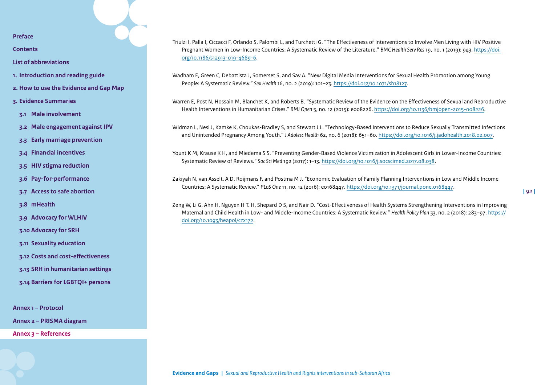**[Contents](#page-2-0)**

**[List of abbreviations](#page-3-0)**

- **1. [Introduction and reading guide](#page-4-0)**
- **2. [How to use the Evidence and Gap Map](#page-7-0)**
- **3. [Evidence Summaries](#page-10-0)**
- **3.1 [Male involvement](#page-11-0)**
- **3.2 [Male engagement against IPV](#page-15-0)**
- **3.3 [Early marriage prevention](#page-19-0)**
- **3.4 [Financial incentives](#page-23-0)**
- **3.5 [HIV stigma reduction](#page-30-0)**
- **3.6 [Pay-for-performance](#page-33-0)**
- **3.7 [Access to safe abortion](#page-38-0)**
- **3.8 [mHealth](#page-42-0)**
- **3.9 [Advocacy for WLHIV](#page-46-0)**
- **3.10 [Advocacy for SRH](#page-49-0)**
- **3.11 [Sexuality education](#page-53-0)**
- **3.12 [Costs and cost-effectiveness](#page-58-0)**
- **3.13 [SRH in humanitarian settings](#page-62-0)**
- **3.14 [Barriers for LGBTQI+ persons](#page-67-0)**

**[Annex 1 – Protocol](#page-71-0)**

**[Annex 2 – PRISMA diagram](#page-85-0)** 

**[Annex 3 – References](#page-86-0)**

Triulzi I, Palla I, Ciccacci F, Orlando S, Palombi L, and Turchetti G. "The Effectiveness of Interventions to Involve Men Living with HIV Positive Pregnant Women in Low-Income Countries: A Systematic Review of the Literature." *BMC Health Serv Res* 19, no. 1 (2019): 943. [https://doi.](https://doi.org/10.1186/s12913-019-4689-6) [org/10.1186/s12913-019-4689-6.](https://doi.org/10.1186/s12913-019-4689-6)

Wadham E, Green C, Debattista J, Somerset S, and Sav A. "New Digital Media Interventions for Sexual Health Promotion among Young People: A Systematic Review." *Sex Health* 16, no. 2 (2019): 101–23. [https://doi.org/10.1071/sh18127.](https://doi.org/10.1071/sh18127)

Warren E, Post N, Hossain M, Blanchet K, and Roberts B. "Systematic Review of the Evidence on the Effectiveness of Sexual and Reproductive Health Interventions in Humanitarian Crises." *BMJ Open* 5, no. 12 (2015): e008226. [https://doi.org/10.1136/bmjopen-2015-008226.](https://doi.org/10.1136/bmjopen-2015-008226)

Widman L, Nesi J, Kamke K, Choukas-Bradley S, and Stewart J L. "Technology-Based Interventions to Reduce Sexually Transmitted Infections and Unintended Pregnancy Among Youth." *J Adolesc Health* 62, no. 6 (2018): 651–60. <https://doi.org/10.1016/j.jadohealth.2018.02.007>.

Yount K M, Krause K H, and Miedema S S. "Preventing Gender-Based Violence Victimization in Adolescent Girls in Lower-Income Countries: Systematic Review of Reviews." *Soc Sci Med* 192 (2017): 1–13. <https://doi.org/10.1016/j.socscimed.2017.08.038>.

Zakiyah N, van Asselt, A D, Roijmans F, and Postma M J. "Economic Evaluation of Family Planning Interventions in Low and Middle Income Countries; A Systematic Review." *PLoS One* 11, no. 12 (2016): e0168447.<https://doi.org/10.1371/journal.pone.0168447>.

Zeng W, Li G, Ahn H, Nguyen H T. H, Shepard D S, and Nair D. "Cost-Effectiveness of Health Systems Strengthening Interventions in Improving Maternal and Child Health in Low- and Middle-Income Countries: A Systematic Review." *Health Policy Plan* 33, no. 2 (2018): 283–97. [https://](https://doi.org/10.1093/heapol/czx172) [doi.org/10.1093/heapol/czx172](https://doi.org/10.1093/heapol/czx172).